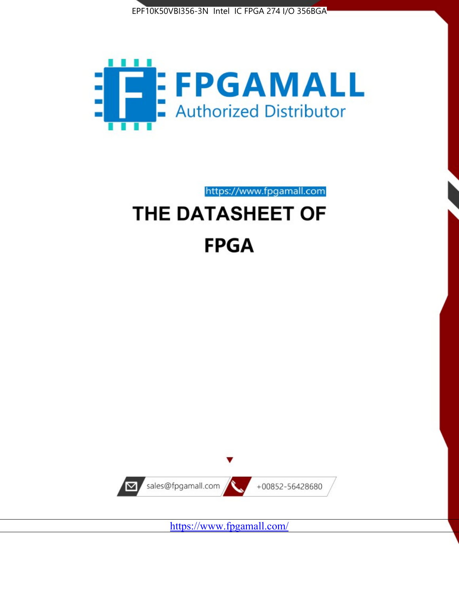



https://www.fpgamall.com

# THE DATASHEET OF **FPGA**



<https://www.fpgamall.com/>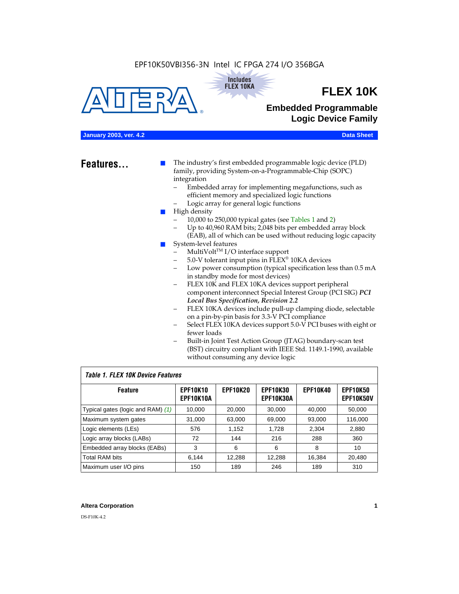#### EPF10K50VBI356-3N Intel IC FPGA 274 I/O 356BGA





## **FLEX 10K**

### **Embedded Programmable Logic Device Family**

#### **January 2003, ver. 4.2 Data Sheet**

**Features...** ■ The industry's first embedded programmable logic device (PLD) family, providing System-on-a-Programmable-Chip (SOPC) integration

- Embedded array for implementing megafunctions, such as efficient memory and specialized logic functions
- Logic array for general logic functions
- High density
	- 10,000 to 250,000 typical gates (see Tables 1 and 2)
	- Up to 40,960 RAM bits; 2,048 bits per embedded array block (EAB), all of which can be used without reducing logic capacity
- System-level features
	- $MultiVolt<sup>TM</sup> I/O interface support$
	- 5.0-V tolerant input pins in FLEX® 10KA devices
	- Low power consumption (typical specification less than 0.5 mA in standby mode for most devices)
	- FLEX 10K and FLEX 10KA devices support peripheral component interconnect Special Interest Group (PCI SIG) *PCI Local Bus Specification, Revision 2.2*
	- FLEX 10KA devices include pull-up clamping diode, selectable on a pin-by-pin basis for 3.3-V PCI compliance
	- Select FLEX 10KA devices support 5.0-V PCI buses with eight or fewer loads
	- Built-in Joint Test Action Group (JTAG) boundary-scan test (BST) circuitry compliant with IEEE Std. 1149.1-1990, available without consuming any device logic

#### *Table 1. FLEX 10K Device Features*

| <b>Feature</b>                    | <b>EPF10K10</b><br>EPF10K10A | <b>EPF10K20</b> | <b>EPF10K30</b><br><b>EPF10K30A</b> | <b>EPF10K40</b> | <b>EPF10K50</b><br><b>EPF10K50V</b> |
|-----------------------------------|------------------------------|-----------------|-------------------------------------|-----------------|-------------------------------------|
| Typical gates (logic and RAM) (1) | 10,000                       | 20,000          | 30,000                              | 40,000          | 50,000                              |
| Maximum system gates              | 31,000                       | 63,000          | 69,000                              | 93,000          | 116,000                             |
| Logic elements (LEs)              | 576                          | 1,152           | 1,728                               | 2,304           | 2,880                               |
| Logic array blocks (LABs)         | 72                           | 144             | 216                                 | 288             | 360                                 |
| Embedded array blocks (EABs)      | 3                            | 6               | 6                                   | 8               | 10                                  |
| <b>Total RAM bits</b>             | 6.144                        | 12,288          | 12,288                              | 16,384          | 20,480                              |
| Maximum user I/O pins             | 150                          | 189             | 246                                 | 189             | 310                                 |

#### **Altera Corporation 1**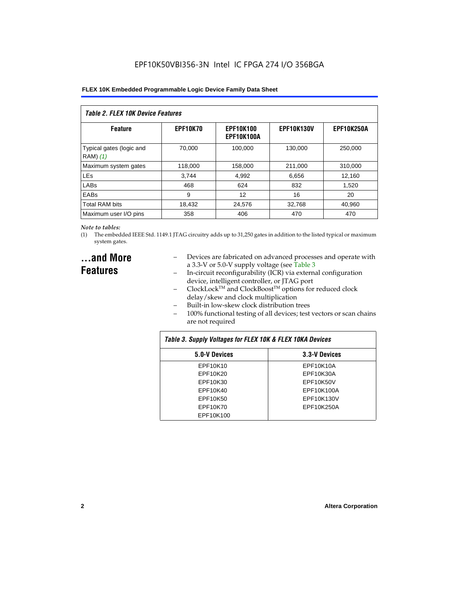| Table 2. FLEX 10K Device Features    |                 |                                |                   |                   |  |  |
|--------------------------------------|-----------------|--------------------------------|-------------------|-------------------|--|--|
| <b>Feature</b>                       | <b>EPF10K70</b> | <b>EPF10K100</b><br>EPF10K100A | <b>EPF10K130V</b> | <b>EPF10K250A</b> |  |  |
| Typical gates (logic and<br>RAM) (1) | 70.000          | 100.000                        | 130.000           | 250,000           |  |  |
| Maximum system gates                 | 118,000         | 158,000                        | 211,000           | 310,000           |  |  |
| <b>LEs</b>                           | 3.744           | 4,992                          | 6,656             | 12,160            |  |  |
| LABs                                 | 468             | 624                            | 832               | 1.520             |  |  |
| EABs                                 | 9               | 12                             | 16                | 20                |  |  |
| <b>Total RAM bits</b>                | 18,432          | 24.576                         | 32,768            | 40,960            |  |  |
| Maximum user I/O pins                | 358             | 406                            | 470               | 470               |  |  |

#### *Note to tables:*

(1) The embedded IEEE Std. 1149.1 JTAG circuitry adds up to 31,250 gates in addition to the listed typical or maximum system gates.

### **...and More Features**

- Devices are fabricated on advanced processes and operate with a 3.3-V or 5.0-V supply voltage (see Table 3
- In-circuit reconfigurability (ICR) via external configuration device, intelligent controller, or JTAG port
- $ClockLock^{TM}$  and  $ClockBoost^{TM}$  options for reduced clock delay/skew and clock multiplication
- Built-in low-skew clock distribution trees
- 100% functional testing of all devices; test vectors or scan chains are not required

| Table 3. Supply Voltages for FLEX 10K & FLEX 10KA Devices |               |  |  |  |  |
|-----------------------------------------------------------|---------------|--|--|--|--|
| 5.0-V Devices                                             | 3.3-V Devices |  |  |  |  |
| EPF10K10                                                  | EPF10K10A     |  |  |  |  |
| EPF10K20                                                  | EPF10K30A     |  |  |  |  |
| EPF10K30                                                  | EPF10K50V     |  |  |  |  |
| EPF10K40                                                  | EPF10K100A    |  |  |  |  |
| EPF10K50                                                  | EPF10K130V    |  |  |  |  |
| EPF10K70                                                  | EPF10K250A    |  |  |  |  |
| EPF10K100                                                 |               |  |  |  |  |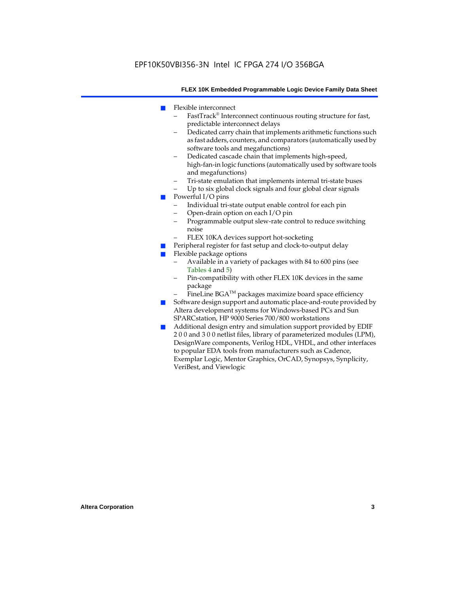- Flexible interconnect
	- FastTrack® Interconnect continuous routing structure for fast, predictable interconnect delays
	- Dedicated carry chain that implements arithmetic functions such as fast adders, counters, and comparators (automatically used by software tools and megafunctions)
	- Dedicated cascade chain that implements high-speed, high-fan-in logic functions (automatically used by software tools and megafunctions)
	- Tri-state emulation that implements internal tri-state buses
	- Up to six global clock signals and four global clear signals
- Powerful I/O pins
	- Individual tri-state output enable control for each pin
	- Open-drain option on each I/O pin
	- Programmable output slew-rate control to reduce switching noise
	- FLEX 10KA devices support hot-socketing
- Peripheral register for fast setup and clock-to-output delay
- Flexible package options
	- Available in a variety of packages with 84 to 600 pins (see Tables 4 and 5)
	- Pin-compatibility with other FLEX 10K devices in the same package
	- FineLine BGA<sup>TM</sup> packages maximize board space efficiency
- Software design support and automatic place-and-route provided by Altera development systems for Windows-based PCs and Sun SPARCstation, HP 9000 Series 700/800 workstations
- Additional design entry and simulation support provided by EDIF 2 0 0 and 3 0 0 netlist files, library of parameterized modules (LPM), DesignWare components, Verilog HDL, VHDL, and other interfaces to popular EDA tools from manufacturers such as Cadence, Exemplar Logic, Mentor Graphics, OrCAD, Synopsys, Synplicity, VeriBest, and Viewlogic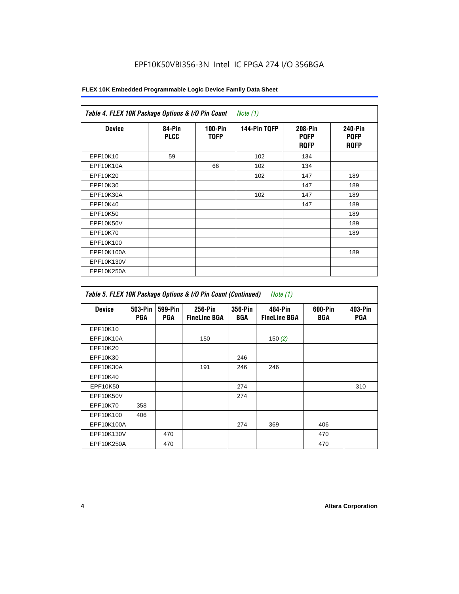| <b>Device</b> | 84-Pin<br><b>PLCC</b> | $100-Pin$<br><b>TQFP</b> | 144-Pin TQFP | 208-Pin<br><b>PQFP</b><br><b>ROFP</b> | 240-Pin<br><b>PQFP</b><br><b>ROFP</b> |
|---------------|-----------------------|--------------------------|--------------|---------------------------------------|---------------------------------------|
| EPF10K10      | 59                    |                          | 102          | 134                                   |                                       |
| EPF10K10A     |                       | 66                       | 102          | 134                                   |                                       |
| EPF10K20      |                       |                          | 102          | 147                                   | 189                                   |
| EPF10K30      |                       |                          |              | 147                                   | 189                                   |
| EPF10K30A     |                       |                          | 102          | 147                                   | 189                                   |
| EPF10K40      |                       |                          |              | 147                                   | 189                                   |
| EPF10K50      |                       |                          |              |                                       | 189                                   |
| EPF10K50V     |                       |                          |              |                                       | 189                                   |
| EPF10K70      |                       |                          |              |                                       | 189                                   |
| EPF10K100     |                       |                          |              |                                       |                                       |
| EPF10K100A    |                       |                          |              |                                       | 189                                   |
| EPF10K130V    |                       |                          |              |                                       |                                       |
| EPF10K250A    |                       |                          |              |                                       |                                       |

| Table 5. FLEX 10K Package Options & I/O Pin Count (Continued)<br>Note $(1)$ |                       |                       |                                |                       |                                |                |                       |
|-----------------------------------------------------------------------------|-----------------------|-----------------------|--------------------------------|-----------------------|--------------------------------|----------------|-----------------------|
| <b>Device</b>                                                               | 503-Pin<br><b>PGA</b> | 599-Pin<br><b>PGA</b> | 256-Pin<br><b>FineLine BGA</b> | 356-Pin<br><b>BGA</b> | 484-Pin<br><b>FineLine BGA</b> | 600-Pin<br>BGA | 403-Pin<br><b>PGA</b> |
| EPF10K10                                                                    |                       |                       |                                |                       |                                |                |                       |
| EPF10K10A                                                                   |                       |                       | 150                            |                       | 150 $(2)$                      |                |                       |
| EPF10K20                                                                    |                       |                       |                                |                       |                                |                |                       |
| EPF10K30                                                                    |                       |                       |                                | 246                   |                                |                |                       |
| EPF10K30A                                                                   |                       |                       | 191                            | 246                   | 246                            |                |                       |
| EPF10K40                                                                    |                       |                       |                                |                       |                                |                |                       |
| EPF10K50                                                                    |                       |                       |                                | 274                   |                                |                | 310                   |
| EPF10K50V                                                                   |                       |                       |                                | 274                   |                                |                |                       |
| EPF10K70                                                                    | 358                   |                       |                                |                       |                                |                |                       |
| EPF10K100                                                                   | 406                   |                       |                                |                       |                                |                |                       |
| EPF10K100A                                                                  |                       |                       |                                | 274                   | 369                            | 406            |                       |
| EPF10K130V                                                                  |                       | 470                   |                                |                       |                                | 470            |                       |
| EPF10K250A                                                                  |                       | 470                   |                                |                       |                                | 470            |                       |

 $\mathbf{r}$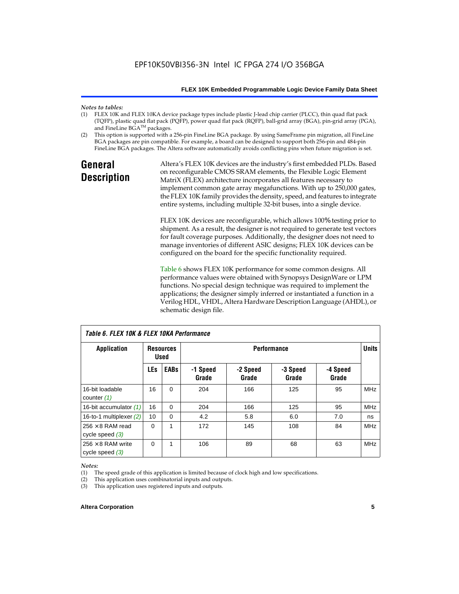### *Notes to tables:*

- FLEX 10K and FLEX 10KA device package types include plastic J-lead chip carrier (PLCC), thin quad flat pack (TQFP), plastic quad flat pack (PQFP), power quad flat pack (RQFP), ball-grid array (BGA), pin-grid array (PGA), and FineLine BGA™ packages.
- (2) This option is supported with a 256-pin FineLine BGA package. By using SameFrame pin migration, all FineLine BGA packages are pin compatible. For example, a board can be designed to support both 256-pin and 484-pin FineLine BGA packages. The Altera software automatically avoids conflicting pins when future migration is set.

### **General Description**

Altera's FLEX 10K devices are the industry's first embedded PLDs. Based on reconfigurable CMOS SRAM elements, the Flexible Logic Element MatriX (FLEX) architecture incorporates all features necessary to implement common gate array megafunctions. With up to 250,000 gates, the FLEX 10K family provides the density, speed, and features to integrate entire systems, including multiple 32-bit buses, into a single device.

FLEX 10K devices are reconfigurable, which allows 100% testing prior to shipment. As a result, the designer is not required to generate test vectors for fault coverage purposes. Additionally, the designer does not need to manage inventories of different ASIC designs; FLEX 10K devices can be configured on the board for the specific functionality required.

Table 6 shows FLEX 10K performance for some common designs. All performance values were obtained with Synopsys DesignWare or LPM functions. No special design technique was required to implement the applications; the designer simply inferred or instantiated a function in a Verilog HDL, VHDL, Altera Hardware Description Language (AHDL), or schematic design file.

| TADIE D. FLEA TUN & FLEA TUNA FEITUITITAIICE  |                                                       |             |                   |                   |                   |                   |            |
|-----------------------------------------------|-------------------------------------------------------|-------------|-------------------|-------------------|-------------------|-------------------|------------|
| <b>Application</b>                            | <b>Performance</b><br><b>Resources</b><br><b>Used</b> |             |                   |                   |                   | <b>Units</b>      |            |
|                                               | <b>LEs</b>                                            | <b>EABs</b> | -1 Speed<br>Grade | -2 Speed<br>Grade | -3 Speed<br>Grade | -4 Speed<br>Grade |            |
| 16-bit loadable<br>counter $(1)$              | 16                                                    | $\Omega$    | 204               | 166               | 125               | 95                | <b>MHz</b> |
| 16-bit accumulator (1)                        | 16                                                    | $\Omega$    | 204               | 166               | 125               | 95                | <b>MHz</b> |
| 16-to-1 multiplexer $(2)$                     | 10                                                    | $\Omega$    | 4.2               | 5.8               | 6.0               | 7.0               | ns         |
| $256 \times 8$ RAM read<br>cycle speed $(3)$  | $\Omega$                                              | 1           | 172               | 145               | 108               | 84                | <b>MHz</b> |
| $256 \times 8$ RAM write<br>cycle speed $(3)$ | 0                                                     | 1           | 106               | 89                | 68                | 63                | <b>MHz</b> |

*Table 6. FLEX 10K & FLEX 10KA Performance*

#### *Notes:*

(1) The speed grade of this application is limited because of clock high and low specifications.

(2) This application uses combinatorial inputs and outputs.

(3) This application uses registered inputs and outputs.

#### **Altera Corporation 5**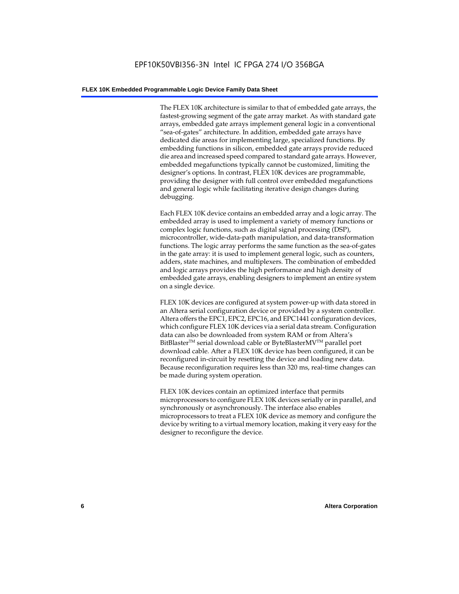The FLEX 10K architecture is similar to that of embedded gate arrays, the fastest-growing segment of the gate array market. As with standard gate arrays, embedded gate arrays implement general logic in a conventional "sea-of-gates" architecture. In addition, embedded gate arrays have dedicated die areas for implementing large, specialized functions. By embedding functions in silicon, embedded gate arrays provide reduced die area and increased speed compared to standard gate arrays. However, embedded megafunctions typically cannot be customized, limiting the designer's options. In contrast, FLEX 10K devices are programmable, providing the designer with full control over embedded megafunctions and general logic while facilitating iterative design changes during debugging.

Each FLEX 10K device contains an embedded array and a logic array. The embedded array is used to implement a variety of memory functions or complex logic functions, such as digital signal processing (DSP), microcontroller, wide-data-path manipulation, and data-transformation functions. The logic array performs the same function as the sea-of-gates in the gate array: it is used to implement general logic, such as counters, adders, state machines, and multiplexers. The combination of embedded and logic arrays provides the high performance and high density of embedded gate arrays, enabling designers to implement an entire system on a single device.

FLEX 10K devices are configured at system power-up with data stored in an Altera serial configuration device or provided by a system controller. Altera offers the EPC1, EPC2, EPC16, and EPC1441 configuration devices, which configure FLEX 10K devices via a serial data stream. Configuration data can also be downloaded from system RAM or from Altera's BitBlaster<sup>™</sup> serial download cable or ByteBlasterMV<sup>™</sup> parallel port download cable. After a FLEX 10K device has been configured, it can be reconfigured in-circuit by resetting the device and loading new data. Because reconfiguration requires less than 320 ms, real-time changes can be made during system operation.

FLEX 10K devices contain an optimized interface that permits microprocessors to configure FLEX 10K devices serially or in parallel, and synchronously or asynchronously. The interface also enables microprocessors to treat a FLEX 10K device as memory and configure the device by writing to a virtual memory location, making it very easy for the designer to reconfigure the device.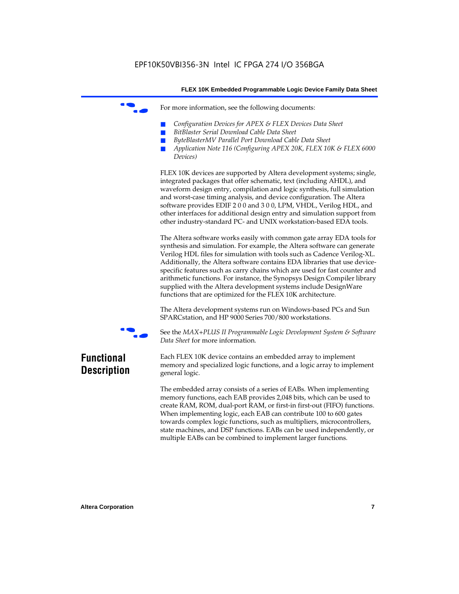For more information, see the following documents:

- *Configuration Devices for APEX & FLEX Devices Data Sheet*
- $BitBlaster$  Serial Download Cable Data Sheet
- *ByteBlasterMV Parallel Port Download Cable Data Sheet*
- *Application Note 116 (Configuring APEX 20K, FLEX 10K & FLEX 6000 Devices)*

FLEX 10K devices are supported by Altera development systems; single, integrated packages that offer schematic, text (including AHDL), and waveform design entry, compilation and logic synthesis, full simulation and worst-case timing analysis, and device configuration. The Altera software provides EDIF 2 0 0 and 3 0 0, LPM, VHDL, Verilog HDL, and other interfaces for additional design entry and simulation support from other industry-standard PC- and UNIX workstation-based EDA tools.

The Altera software works easily with common gate array EDA tools for synthesis and simulation. For example, the Altera software can generate Verilog HDL files for simulation with tools such as Cadence Verilog-XL. Additionally, the Altera software contains EDA libraries that use devicespecific features such as carry chains which are used for fast counter and arithmetic functions. For instance, the Synopsys Design Compiler library supplied with the Altera development systems include DesignWare functions that are optimized for the FLEX 10K architecture.

The Altera development systems run on Windows-based PCs and Sun SPARCstation, and HP 9000 Series 700/800 workstations.



f See the *MAX+PLUS II Programmable Logic Development System & Software Data Sheet* for more information.

### **Functional Description**

Each FLEX 10K device contains an embedded array to implement memory and specialized logic functions, and a logic array to implement general logic.

The embedded array consists of a series of EABs. When implementing memory functions, each EAB provides 2,048 bits, which can be used to create RAM, ROM, dual-port RAM, or first-in first-out (FIFO) functions. When implementing logic, each EAB can contribute 100 to 600 gates towards complex logic functions, such as multipliers, microcontrollers, state machines, and DSP functions. EABs can be used independently, or multiple EABs can be combined to implement larger functions.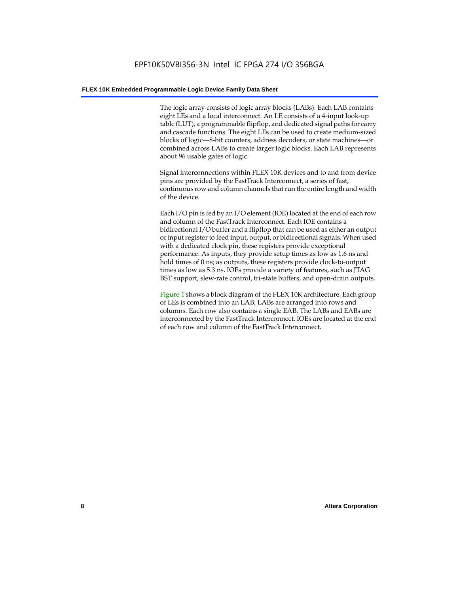The logic array consists of logic array blocks (LABs). Each LAB contains eight LEs and a local interconnect. An LE consists of a 4-input look-up table (LUT), a programmable flipflop, and dedicated signal paths for carry and cascade functions. The eight LEs can be used to create medium-sized blocks of logic—8-bit counters, address decoders, or state machines—or combined across LABs to create larger logic blocks. Each LAB represents about 96 usable gates of logic.

Signal interconnections within FLEX 10K devices and to and from device pins are provided by the FastTrack Interconnect, a series of fast, continuous row and column channels that run the entire length and width of the device.

Each I/O pin is fed by an I/O element (IOE) located at the end of each row and column of the FastTrack Interconnect. Each IOE contains a bidirectional I/O buffer and a flipflop that can be used as either an output or input register to feed input, output, or bidirectional signals. When used with a dedicated clock pin, these registers provide exceptional performance. As inputs, they provide setup times as low as 1.6 ns and hold times of 0 ns; as outputs, these registers provide clock-to-output times as low as 5.3 ns. IOEs provide a variety of features, such as JTAG BST support, slew-rate control, tri-state buffers, and open-drain outputs.

Figure 1 shows a block diagram of the FLEX 10K architecture. Each group of LEs is combined into an LAB; LABs are arranged into rows and columns. Each row also contains a single EAB. The LABs and EABs are interconnected by the FastTrack Interconnect. IOEs are located at the end of each row and column of the FastTrack Interconnect.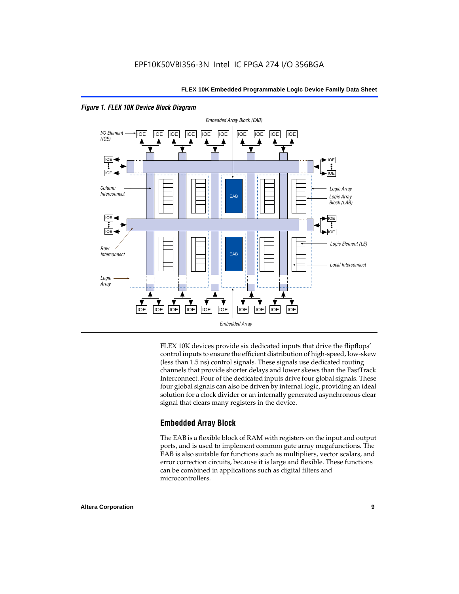

*Figure 1. FLEX 10K Device Block Diagram*

FLEX 10K devices provide six dedicated inputs that drive the flipflops' control inputs to ensure the efficient distribution of high-speed, low-skew (less than 1.5 ns) control signals. These signals use dedicated routing channels that provide shorter delays and lower skews than the FastTrack Interconnect. Four of the dedicated inputs drive four global signals. These four global signals can also be driven by internal logic, providing an ideal solution for a clock divider or an internally generated asynchronous clear signal that clears many registers in the device.

#### **Embedded Array Block**

The EAB is a flexible block of RAM with registers on the input and output ports, and is used to implement common gate array megafunctions. The EAB is also suitable for functions such as multipliers, vector scalars, and error correction circuits, because it is large and flexible. These functions can be combined in applications such as digital filters and microcontrollers.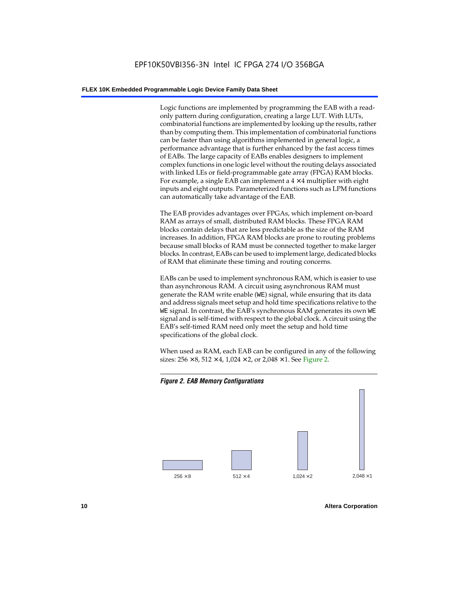Logic functions are implemented by programming the EAB with a readonly pattern during configuration, creating a large LUT. With LUTs, combinatorial functions are implemented by looking up the results, rather than by computing them. This implementation of combinatorial functions can be faster than using algorithms implemented in general logic, a performance advantage that is further enhanced by the fast access times of EABs. The large capacity of EABs enables designers to implement complex functions in one logic level without the routing delays associated with linked LEs or field-programmable gate array (FPGA) RAM blocks. For example, a single EAB can implement a  $4 \times 4$  multiplier with eight inputs and eight outputs. Parameterized functions such as LPM functions can automatically take advantage of the EAB.

The EAB provides advantages over FPGAs, which implement on-board RAM as arrays of small, distributed RAM blocks. These FPGA RAM blocks contain delays that are less predictable as the size of the RAM increases. In addition, FPGA RAM blocks are prone to routing problems because small blocks of RAM must be connected together to make larger blocks. In contrast, EABs can be used to implement large, dedicated blocks of RAM that eliminate these timing and routing concerns.

EABs can be used to implement synchronous RAM, which is easier to use than asynchronous RAM. A circuit using asynchronous RAM must generate the RAM write enable (WE) signal, while ensuring that its data and address signals meet setup and hold time specifications relative to the WE signal. In contrast, the EAB's synchronous RAM generates its own WE signal and is self-timed with respect to the global clock. A circuit using the EAB's self-timed RAM need only meet the setup and hold time specifications of the global clock.

When used as RAM, each EAB can be configured in any of the following sizes:  $256 \times 8$ ,  $512 \times 4$ ,  $1,024 \times 2$ , or  $2,048 \times 1$ . See Figure 2.



**10 Altera Corporation**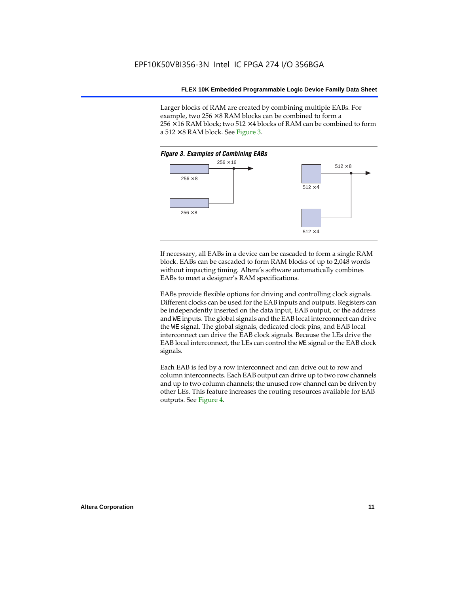Larger blocks of RAM are created by combining multiple EABs. For example, two  $256 \times 8$  RAM blocks can be combined to form a  $256 \times 16$  RAM block; two 512  $\times$  4 blocks of RAM can be combined to form a  $512 \times 8$  RAM block. See Figure 3.



If necessary, all EABs in a device can be cascaded to form a single RAM block. EABs can be cascaded to form RAM blocks of up to 2,048 words without impacting timing. Altera's software automatically combines EABs to meet a designer's RAM specifications.

EABs provide flexible options for driving and controlling clock signals. Different clocks can be used for the EAB inputs and outputs. Registers can be independently inserted on the data input, EAB output, or the address and WE inputs. The global signals and the EAB local interconnect can drive the WE signal. The global signals, dedicated clock pins, and EAB local interconnect can drive the EAB clock signals. Because the LEs drive the EAB local interconnect, the LEs can control the WE signal or the EAB clock signals.

Each EAB is fed by a row interconnect and can drive out to row and column interconnects. Each EAB output can drive up to two row channels and up to two column channels; the unused row channel can be driven by other LEs. This feature increases the routing resources available for EAB outputs. See Figure 4.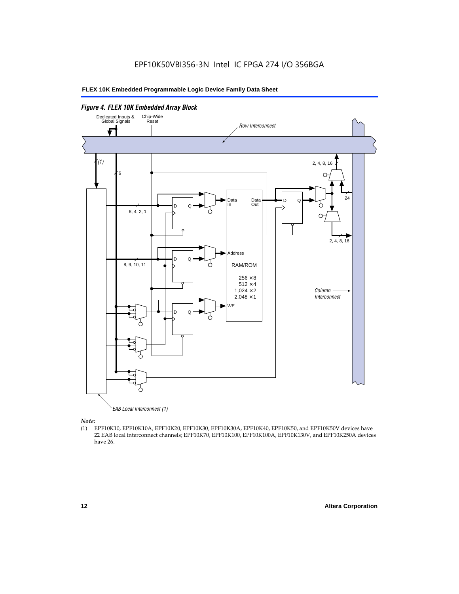

*Note:*<br>(1) **H** 

(1) EPF10K10, EPF10K10A, EPF10K20, EPF10K30, EPF10K30A, EPF10K40, EPF10K50, and EPF10K50V devices have 22 EAB local interconnect channels; EPF10K70, EPF10K100, EPF10K100A, EPF10K130V, and EPF10K250A devices have 26.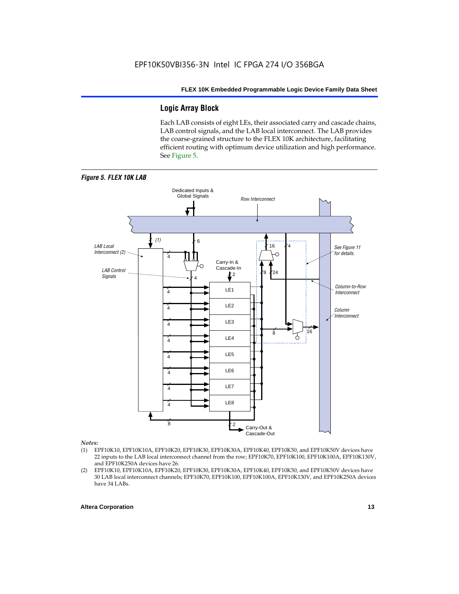#### **Logic Array Block**

Each LAB consists of eight LEs, their associated carry and cascade chains, LAB control signals, and the LAB local interconnect. The LAB provides the coarse-grained structure to the FLEX 10K architecture, facilitating efficient routing with optimum device utilization and high performance. See Figure 5.



#### *Notes:*

- (1) EPF10K10, EPF10K10A, EPF10K20, EPF10K30, EPF10K30A, EPF10K40, EPF10K50, and EPF10K50V devices have 22 inputs to the LAB local interconnect channel from the row; EPF10K70, EPF10K100, EPF10K100A, EPF10K130V, and EPF10K250A devices have 26.
- (2) EPF10K10, EPF10K10A, EPF10K20, EPF10K30, EPF10K30A, EPF10K40, EPF10K50, and EPF10K50V devices have 30 LAB local interconnect channels; EPF10K70, EPF10K100, EPF10K100A, EPF10K130V, and EPF10K250A devices have 34 LABs.

#### **Altera Corporation 13 13**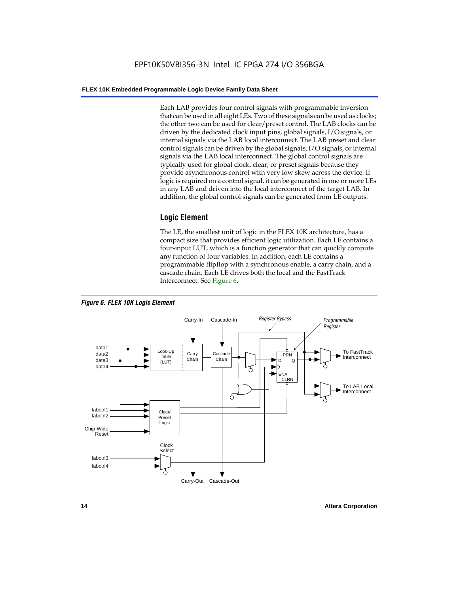Each LAB provides four control signals with programmable inversion that can be used in all eight LEs. Two of these signals can be used as clocks; the other two can be used for clear/preset control. The LAB clocks can be driven by the dedicated clock input pins, global signals, I/O signals, or internal signals via the LAB local interconnect. The LAB preset and clear control signals can be driven by the global signals, I/O signals, or internal signals via the LAB local interconnect. The global control signals are typically used for global clock, clear, or preset signals because they provide asynchronous control with very low skew across the device. If logic is required on a control signal, it can be generated in one or more LEs in any LAB and driven into the local interconnect of the target LAB. In addition, the global control signals can be generated from LE outputs.

#### **Logic Element**

The LE, the smallest unit of logic in the FLEX 10K architecture, has a compact size that provides efficient logic utilization. Each LE contains a four-input LUT, which is a function generator that can quickly compute any function of four variables. In addition, each LE contains a programmable flipflop with a synchronous enable, a carry chain, and a cascade chain. Each LE drives both the local and the FastTrack Interconnect. See Figure 6.



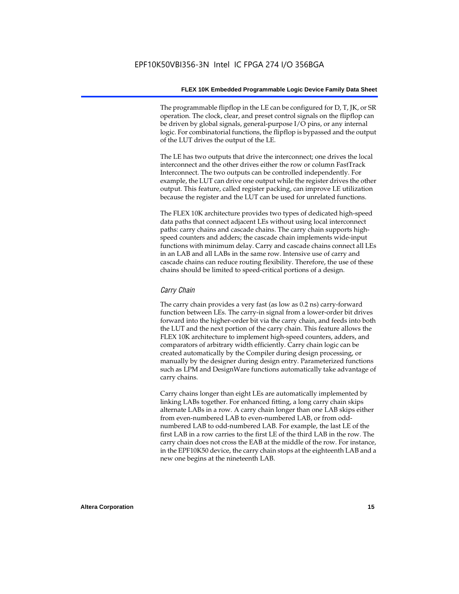The programmable flipflop in the LE can be configured for D, T, JK, or SR operation. The clock, clear, and preset control signals on the flipflop can be driven by global signals, general-purpose I/O pins, or any internal logic. For combinatorial functions, the flipflop is bypassed and the output of the LUT drives the output of the LE.

The LE has two outputs that drive the interconnect; one drives the local interconnect and the other drives either the row or column FastTrack Interconnect. The two outputs can be controlled independently. For example, the LUT can drive one output while the register drives the other output. This feature, called register packing, can improve LE utilization because the register and the LUT can be used for unrelated functions.

The FLEX 10K architecture provides two types of dedicated high-speed data paths that connect adjacent LEs without using local interconnect paths: carry chains and cascade chains. The carry chain supports highspeed counters and adders; the cascade chain implements wide-input functions with minimum delay. Carry and cascade chains connect all LEs in an LAB and all LABs in the same row. Intensive use of carry and cascade chains can reduce routing flexibility. Therefore, the use of these chains should be limited to speed-critical portions of a design.

#### *Carry Chain*

The carry chain provides a very fast (as low as 0.2 ns) carry-forward function between LEs. The carry-in signal from a lower-order bit drives forward into the higher-order bit via the carry chain, and feeds into both the LUT and the next portion of the carry chain. This feature allows the FLEX 10K architecture to implement high-speed counters, adders, and comparators of arbitrary width efficiently. Carry chain logic can be created automatically by the Compiler during design processing, or manually by the designer during design entry. Parameterized functions such as LPM and DesignWare functions automatically take advantage of carry chains.

Carry chains longer than eight LEs are automatically implemented by linking LABs together. For enhanced fitting, a long carry chain skips alternate LABs in a row. A carry chain longer than one LAB skips either from even-numbered LAB to even-numbered LAB, or from oddnumbered LAB to odd-numbered LAB. For example, the last LE of the first LAB in a row carries to the first LE of the third LAB in the row. The carry chain does not cross the EAB at the middle of the row. For instance, in the EPF10K50 device, the carry chain stops at the eighteenth LAB and a new one begins at the nineteenth LAB.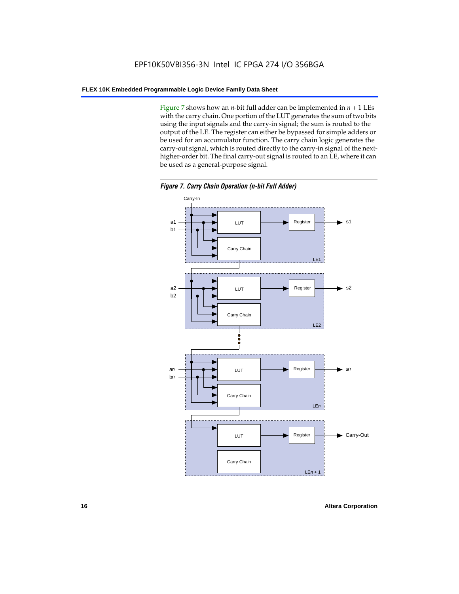Figure 7 shows how an *n*-bit full adder can be implemented in  $n + 1$  LEs with the carry chain. One portion of the LUT generates the sum of two bits using the input signals and the carry-in signal; the sum is routed to the output of the LE. The register can either be bypassed for simple adders or be used for an accumulator function. The carry chain logic generates the carry-out signal, which is routed directly to the carry-in signal of the nexthigher-order bit. The final carry-out signal is routed to an LE, where it can be used as a general-purpose signal.



*Figure 7. Carry Chain Operation (n-bit Full Adder)*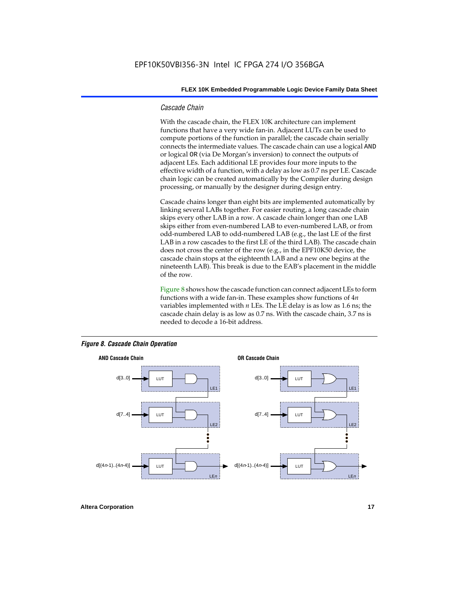#### *Cascade Chain*

With the cascade chain, the FLEX 10K architecture can implement functions that have a very wide fan-in. Adjacent LUTs can be used to compute portions of the function in parallel; the cascade chain serially connects the intermediate values. The cascade chain can use a logical AND or logical OR (via De Morgan's inversion) to connect the outputs of adjacent LEs. Each additional LE provides four more inputs to the effective width of a function, with a delay as low as 0.7 ns per LE. Cascade chain logic can be created automatically by the Compiler during design processing, or manually by the designer during design entry.

Cascade chains longer than eight bits are implemented automatically by linking several LABs together. For easier routing, a long cascade chain skips every other LAB in a row. A cascade chain longer than one LAB skips either from even-numbered LAB to even-numbered LAB, or from odd-numbered LAB to odd-numbered LAB (e.g., the last LE of the first LAB in a row cascades to the first LE of the third LAB). The cascade chain does not cross the center of the row (e.g., in the EPF10K50 device, the cascade chain stops at the eighteenth LAB and a new one begins at the nineteenth LAB). This break is due to the EAB's placement in the middle of the row.

Figure 8 shows how the cascade function can connect adjacent LEs to form functions with a wide fan-in. These examples show functions of 4*n* variables implemented with *n* LEs. The LE delay is as low as 1.6 ns; the cascade chain delay is as low as 0.7 ns. With the cascade chain, 3.7 ns is needed to decode a 16-bit address.



#### *Figure 8. Cascade Chain Operation*

**Altera Corporation 17 17**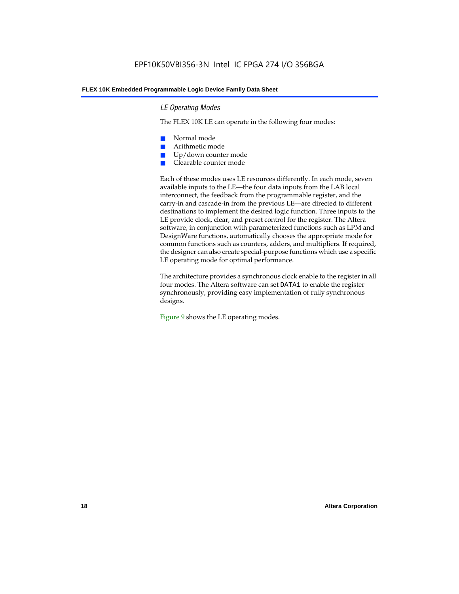#### *LE Operating Modes*

The FLEX 10K LE can operate in the following four modes:

- Normal mode
- Arithmetic mode
- Up/down counter mode
- Clearable counter mode

Each of these modes uses LE resources differently. In each mode, seven available inputs to the LE—the four data inputs from the LAB local interconnect, the feedback from the programmable register, and the carry-in and cascade-in from the previous LE—are directed to different destinations to implement the desired logic function. Three inputs to the LE provide clock, clear, and preset control for the register. The Altera software, in conjunction with parameterized functions such as LPM and DesignWare functions, automatically chooses the appropriate mode for common functions such as counters, adders, and multipliers. If required, the designer can also create special-purpose functions which use a specific LE operating mode for optimal performance.

The architecture provides a synchronous clock enable to the register in all four modes. The Altera software can set DATA1 to enable the register synchronously, providing easy implementation of fully synchronous designs.

Figure 9 shows the LE operating modes.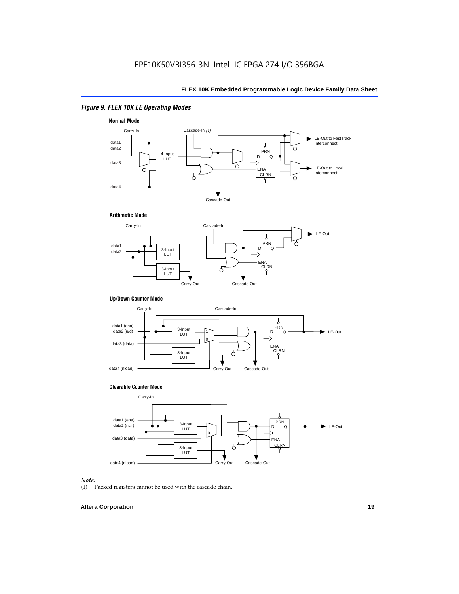### *Figure 9. FLEX 10K LE Operating Modes*







#### **Up/Down Counter Mode**



#### **Clearable Counter Mode**



#### *Note:*

(1) Packed registers cannot be used with the cascade chain.

#### **Altera Corporation 19**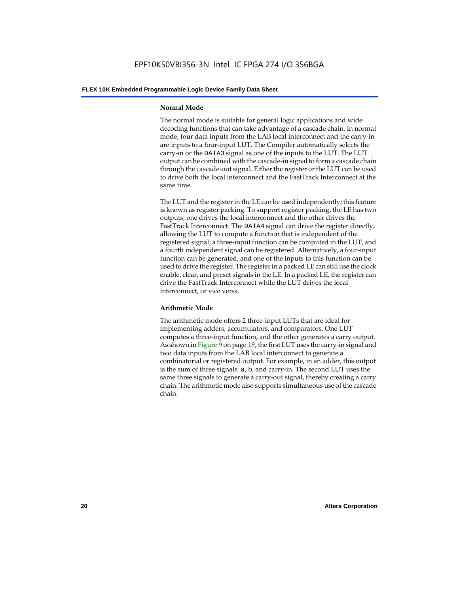#### **Normal Mode**

The normal mode is suitable for general logic applications and wide decoding functions that can take advantage of a cascade chain. In normal mode, four data inputs from the LAB local interconnect and the carry-in are inputs to a four-input LUT. The Compiler automatically selects the carry-in or the DATA3 signal as one of the inputs to the LUT. The LUT output can be combined with the cascade-in signal to form a cascade chain through the cascade-out signal. Either the register or the LUT can be used to drive both the local interconnect and the FastTrack Interconnect at the same time.

The LUT and the register in the LE can be used independently; this feature is known as register packing. To support register packing, the LE has two outputs; one drives the local interconnect and the other drives the FastTrack Interconnect. The DATA4 signal can drive the register directly, allowing the LUT to compute a function that is independent of the registered signal; a three-input function can be computed in the LUT, and a fourth independent signal can be registered. Alternatively, a four-input function can be generated, and one of the inputs to this function can be used to drive the register. The register in a packed LE can still use the clock enable, clear, and preset signals in the LE. In a packed LE, the register can drive the FastTrack Interconnect while the LUT drives the local interconnect, or vice versa.

#### **Arithmetic Mode**

The arithmetic mode offers 2 three-input LUTs that are ideal for implementing adders, accumulators, and comparators. One LUT computes a three-input function, and the other generates a carry output. As shown in Figure 9 on page 19, the first LUT uses the carry-in signal and two data inputs from the LAB local interconnect to generate a combinatorial or registered output. For example, in an adder, this output is the sum of three signals: a, b, and carry-in. The second LUT uses the same three signals to generate a carry-out signal, thereby creating a carry chain. The arithmetic mode also supports simultaneous use of the cascade chain.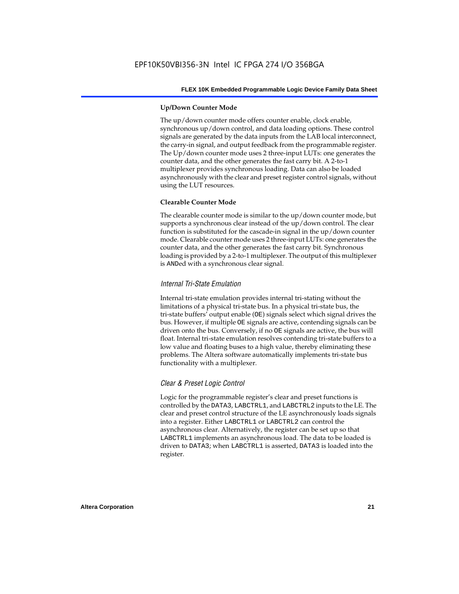#### **Up/Down Counter Mode**

The up/down counter mode offers counter enable, clock enable, synchronous up/down control, and data loading options. These control signals are generated by the data inputs from the LAB local interconnect, the carry-in signal, and output feedback from the programmable register. The Up/down counter mode uses 2 three-input LUTs: one generates the counter data, and the other generates the fast carry bit. A 2-to-1 multiplexer provides synchronous loading. Data can also be loaded asynchronously with the clear and preset register control signals, without using the LUT resources.

#### **Clearable Counter Mode**

The clearable counter mode is similar to the up/down counter mode, but supports a synchronous clear instead of the up/down control. The clear function is substituted for the cascade-in signal in the up/down counter mode. Clearable counter mode uses 2 three-input LUTs: one generates the counter data, and the other generates the fast carry bit. Synchronous loading is provided by a 2-to-1 multiplexer. The output of this multiplexer is ANDed with a synchronous clear signal.

#### *Internal Tri-State Emulation*

Internal tri-state emulation provides internal tri-stating without the limitations of a physical tri-state bus. In a physical tri-state bus, the tri-state buffers' output enable (OE) signals select which signal drives the bus. However, if multiple OE signals are active, contending signals can be driven onto the bus. Conversely, if no OE signals are active, the bus will float. Internal tri-state emulation resolves contending tri-state buffers to a low value and floating buses to a high value, thereby eliminating these problems. The Altera software automatically implements tri-state bus functionality with a multiplexer.

#### *Clear & Preset Logic Control*

Logic for the programmable register's clear and preset functions is controlled by the DATA3, LABCTRL1, and LABCTRL2 inputs to the LE. The clear and preset control structure of the LE asynchronously loads signals into a register. Either LABCTRL1 or LABCTRL2 can control the asynchronous clear. Alternatively, the register can be set up so that LABCTRL1 implements an asynchronous load. The data to be loaded is driven to DATA3; when LABCTRL1 is asserted, DATA3 is loaded into the register.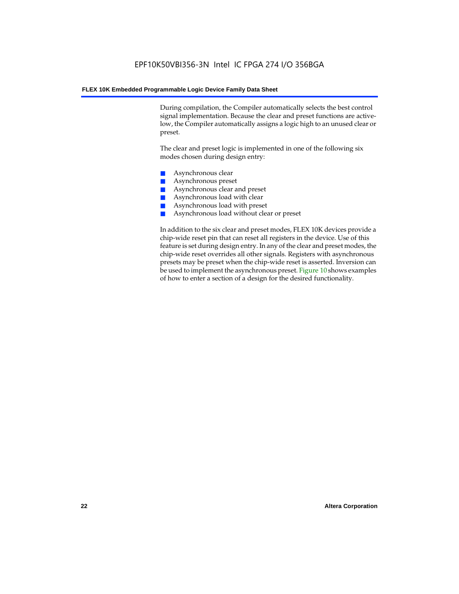During compilation, the Compiler automatically selects the best control signal implementation. Because the clear and preset functions are activelow, the Compiler automatically assigns a logic high to an unused clear or preset.

The clear and preset logic is implemented in one of the following six modes chosen during design entry:

- Asynchronous clear
- Asynchronous preset
- Asynchronous clear and preset
- Asynchronous load with clear
- Asynchronous load with preset
- Asynchronous load without clear or preset

In addition to the six clear and preset modes, FLEX 10K devices provide a chip-wide reset pin that can reset all registers in the device. Use of this feature is set during design entry. In any of the clear and preset modes, the chip-wide reset overrides all other signals. Registers with asynchronous presets may be preset when the chip-wide reset is asserted. Inversion can be used to implement the asynchronous preset. Figure 10 shows examples of how to enter a section of a design for the desired functionality.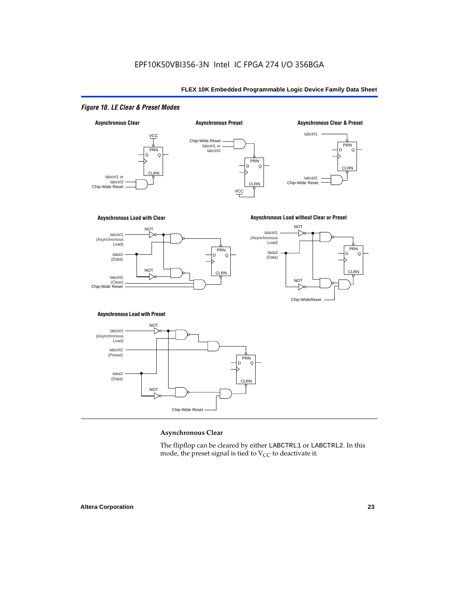### *Figure 10. LE Clear & Preset Modes*



#### **Asynchronous Clear**

The flipflop can be cleared by either LABCTRL1 or LABCTRL2. In this mode, the preset signal is tied to  $V_{CC}$  to deactivate it.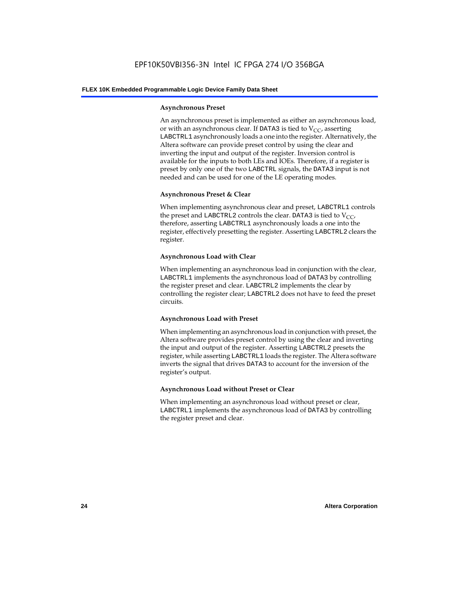#### **Asynchronous Preset**

An asynchronous preset is implemented as either an asynchronous load, or with an asynchronous clear. If DATA3 is tied to  $V_{CC}$ , asserting LABCTRL1 asynchronously loads a one into the register. Alternatively, the Altera software can provide preset control by using the clear and inverting the input and output of the register. Inversion control is available for the inputs to both LEs and IOEs. Therefore, if a register is preset by only one of the two LABCTRL signals, the DATA3 input is not needed and can be used for one of the LE operating modes.

#### **Asynchronous Preset & Clear**

When implementing asynchronous clear and preset, LABCTRL1 controls the preset and LABCTRL2 controls the clear. DATA3 is tied to  $V_{CC}$ , therefore, asserting LABCTRL1 asynchronously loads a one into the register, effectively presetting the register. Asserting LABCTRL2 clears the register.

#### **Asynchronous Load with Clear**

When implementing an asynchronous load in conjunction with the clear, LABCTRL1 implements the asynchronous load of DATA3 by controlling the register preset and clear. LABCTRL2 implements the clear by controlling the register clear; LABCTRL2 does not have to feed the preset circuits.

#### **Asynchronous Load with Preset**

When implementing an asynchronous load in conjunction with preset, the Altera software provides preset control by using the clear and inverting the input and output of the register. Asserting LABCTRL2 presets the register, while asserting LABCTRL1 loads the register. The Altera software inverts the signal that drives DATA3 to account for the inversion of the register's output.

#### **Asynchronous Load without Preset or Clear**

When implementing an asynchronous load without preset or clear, LABCTRL1 implements the asynchronous load of DATA3 by controlling the register preset and clear.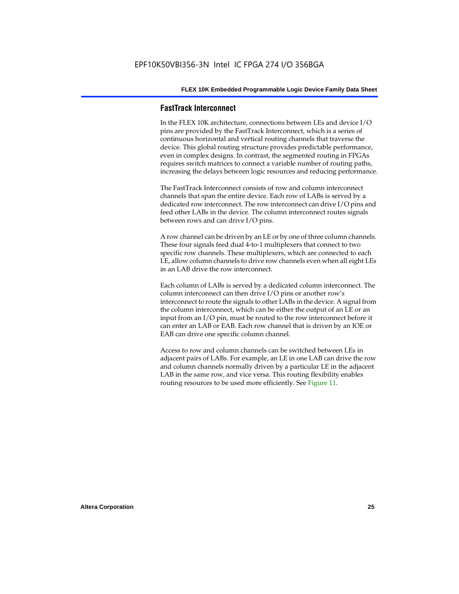#### **FastTrack Interconnect**

In the FLEX 10K architecture, connections between LEs and device I/O pins are provided by the FastTrack Interconnect, which is a series of continuous horizontal and vertical routing channels that traverse the device. This global routing structure provides predictable performance, even in complex designs. In contrast, the segmented routing in FPGAs requires switch matrices to connect a variable number of routing paths, increasing the delays between logic resources and reducing performance.

The FastTrack Interconnect consists of row and column interconnect channels that span the entire device. Each row of LABs is served by a dedicated row interconnect. The row interconnect can drive I/O pins and feed other LABs in the device. The column interconnect routes signals between rows and can drive I/O pins.

A row channel can be driven by an LE or by one of three column channels. These four signals feed dual 4-to-1 multiplexers that connect to two specific row channels. These multiplexers, which are connected to each LE, allow column channels to drive row channels even when all eight LEs in an LAB drive the row interconnect.

Each column of LABs is served by a dedicated column interconnect. The column interconnect can then drive I/O pins or another row's interconnect to route the signals to other LABs in the device. A signal from the column interconnect, which can be either the output of an LE or an input from an I/O pin, must be routed to the row interconnect before it can enter an LAB or EAB. Each row channel that is driven by an IOE or EAB can drive one specific column channel.

Access to row and column channels can be switched between LEs in adjacent pairs of LABs. For example, an LE in one LAB can drive the row and column channels normally driven by a particular LE in the adjacent LAB in the same row, and vice versa. This routing flexibility enables routing resources to be used more efficiently. See Figure 11.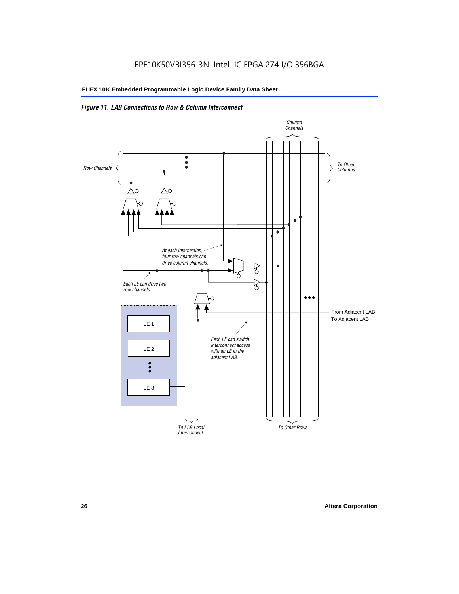### *Figure 11. LAB Connections to Row & Column Interconnect*

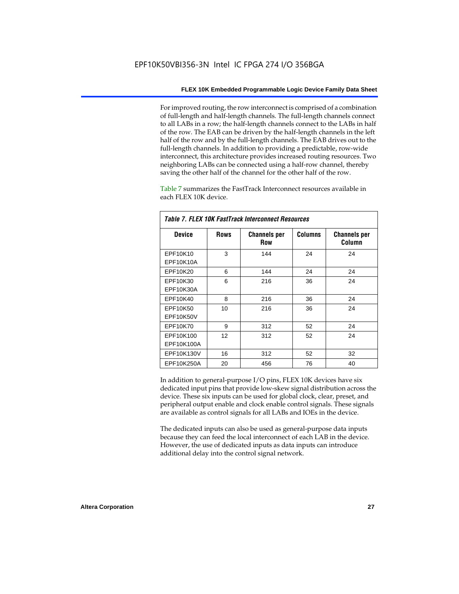For improved routing, the row interconnect is comprised of a combination of full-length and half-length channels. The full-length channels connect to all LABs in a row; the half-length channels connect to the LABs in half of the row. The EAB can be driven by the half-length channels in the left half of the row and by the full-length channels. The EAB drives out to the full-length channels. In addition to providing a predictable, row-wide interconnect, this architecture provides increased routing resources. Two neighboring LABs can be connected using a half-row channel, thereby saving the other half of the channel for the other half of the row.

Table 7 summarizes the FastTrack Interconnect resources available in each FLEX 10K device.

| Tadie 7. Flex Tur Fastitack Mieicumieci Resuulces |      |                                   |                |                               |  |  |
|---------------------------------------------------|------|-----------------------------------|----------------|-------------------------------|--|--|
| <b>Device</b>                                     | Rows | <b>Channels per</b><br><b>Row</b> | <b>Columns</b> | <b>Channels per</b><br>Column |  |  |
| EPF10K10                                          | 3    | 144                               | 24             | 24                            |  |  |
| EPF10K10A                                         |      |                                   |                |                               |  |  |
| EPF10K20                                          | 6    | 144                               | 24             | 24                            |  |  |
| EPF10K30                                          | 6    | 216                               | 36             | 24                            |  |  |
| EPF10K30A                                         |      |                                   |                |                               |  |  |
| EPF10K40                                          | 8    | 216                               | 36             | 24                            |  |  |
| EPF10K50                                          | 10   | 216                               | 36             | 24                            |  |  |
| <b>EPF10K50V</b>                                  |      |                                   |                |                               |  |  |
| EPF10K70                                          | 9    | 312                               | 52             | 24                            |  |  |
| EPF10K100                                         | 12   | 312                               | 52             | 24                            |  |  |
| EPF10K100A                                        |      |                                   |                |                               |  |  |
| EPF10K130V                                        | 16   | 312                               | 52             | 32                            |  |  |
| EPF10K250A                                        | 20   | 456                               | 76             | 40                            |  |  |

*Table 7. FLEX 10K FastTrack Interconnect Resources*

In addition to general-purpose I/O pins, FLEX 10K devices have six dedicated input pins that provide low-skew signal distribution across the device. These six inputs can be used for global clock, clear, preset, and peripheral output enable and clock enable control signals. These signals are available as control signals for all LABs and IOEs in the device.

The dedicated inputs can also be used as general-purpose data inputs because they can feed the local interconnect of each LAB in the device. However, the use of dedicated inputs as data inputs can introduce additional delay into the control signal network.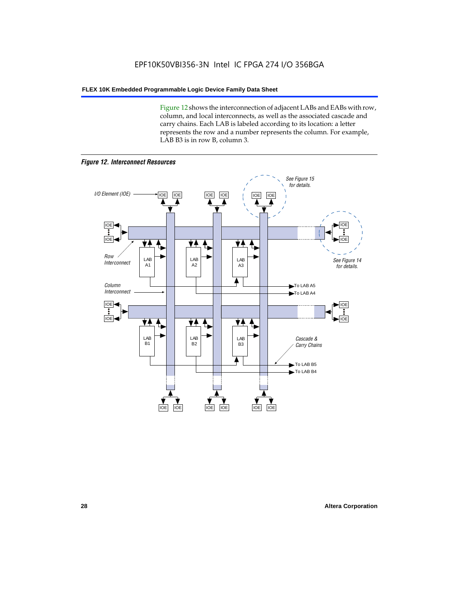Figure 12 shows the interconnection of adjacent LABs and EABs with row, column, and local interconnects, as well as the associated cascade and carry chains. Each LAB is labeled according to its location: a letter represents the row and a number represents the column. For example, LAB B3 is in row B, column 3.



*Figure 12. Interconnect Resources*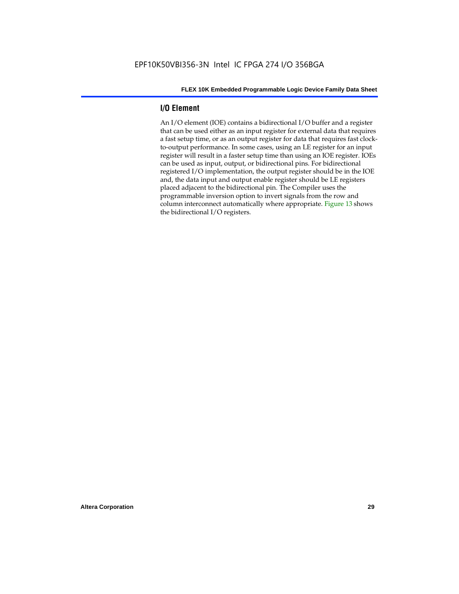#### **I/O Element**

An I/O element (IOE) contains a bidirectional I/O buffer and a register that can be used either as an input register for external data that requires a fast setup time, or as an output register for data that requires fast clockto-output performance. In some cases, using an LE register for an input register will result in a faster setup time than using an IOE register. IOEs can be used as input, output, or bidirectional pins. For bidirectional registered I/O implementation, the output register should be in the IOE and, the data input and output enable register should be LE registers placed adjacent to the bidirectional pin. The Compiler uses the programmable inversion option to invert signals from the row and column interconnect automatically where appropriate. Figure 13 shows the bidirectional I/O registers.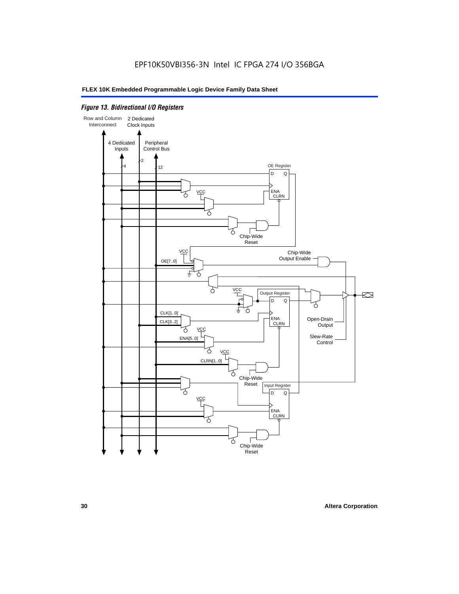#### *Figure 13. Bidirectional I/O Registers*

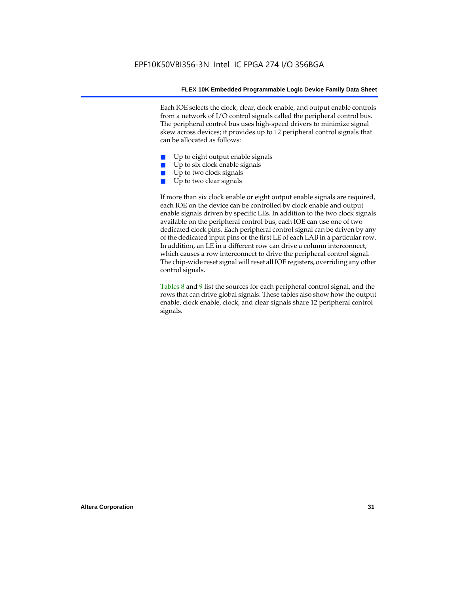Each IOE selects the clock, clear, clock enable, and output enable controls from a network of I/O control signals called the peripheral control bus. The peripheral control bus uses high-speed drivers to minimize signal skew across devices; it provides up to 12 peripheral control signals that can be allocated as follows:

- Up to eight output enable signals
- Up to six clock enable signals
- Up to two clock signals
- Up to two clear signals

If more than six clock enable or eight output enable signals are required, each IOE on the device can be controlled by clock enable and output enable signals driven by specific LEs. In addition to the two clock signals available on the peripheral control bus, each IOE can use one of two dedicated clock pins. Each peripheral control signal can be driven by any of the dedicated input pins or the first LE of each LAB in a particular row. In addition, an LE in a different row can drive a column interconnect, which causes a row interconnect to drive the peripheral control signal. The chip-wide reset signal will reset all IOE registers, overriding any other control signals.

Tables 8 and 9 list the sources for each peripheral control signal, and the rows that can drive global signals. These tables also show how the output enable, clock enable, clock, and clear signals share 12 peripheral control signals.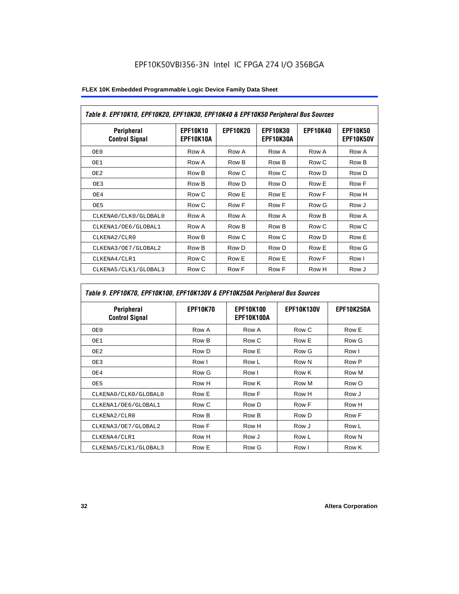|  | FLEX 10K Embedded Programmable Logic Device Family Data Sheet |
|--|---------------------------------------------------------------|
|--|---------------------------------------------------------------|

| Table 8. EPF10K10, EPF10K20, EPF10K30, EPF10K40 & EPF10K50 Peripheral Bus Sources |                              |                 |                              |                 |                              |  |
|-----------------------------------------------------------------------------------|------------------------------|-----------------|------------------------------|-----------------|------------------------------|--|
| <b>Peripheral</b><br><b>Control Signal</b>                                        | <b>EPF10K10</b><br>EPF10K10A | <b>EPF10K20</b> | <b>EPF10K30</b><br>EPF10K30A | <b>EPF10K40</b> | <b>EPF10K50</b><br>EPF10K50V |  |
| OE 0                                                                              | Row A                        | Row A           | Row A                        | Row A           | Row A                        |  |
| OE1                                                                               | Row A                        | Row B           | Row B                        | Row C           | Row B                        |  |
| OE2                                                                               | Row B                        | Row C           | Row C                        | Row D           | Row D                        |  |
| OE3                                                                               | Row B                        | Row D           | Row D                        | Row E           | Row F                        |  |
| OE4                                                                               | Row C                        | Row E           | Row E                        | Row F           | Row H                        |  |
| OE5                                                                               | Row C                        | Row F           | Row F                        | Row G           | Row J                        |  |
| CLKENA0/CLK0/GLOBAL0                                                              | Row A                        | Row A           | Row A                        | Row B           | Row A                        |  |
| CLKENA1/OE6/GLOBAL1                                                               | Row A                        | Row B           | Row B                        | Row C           | Row C                        |  |
| CLKENA2/CLR0                                                                      | Row B                        | Row C           | Row C                        | Row D           | Row E                        |  |
| CLKENA3/OE7/GLOBAL2                                                               | Row B                        | Row D           | Row D                        | Row E           | Row G                        |  |
| CLKENA4/CLR1                                                                      | Row C                        | Row E           | Row E                        | Row F           | Row I                        |  |
| CLKENA5/CLK1/GLOBAL3                                                              | Row C                        | Row F           | Row F                        | Row H           | Row J                        |  |

### *Table 9. EPF10K70, EPF10K100, EPF10K130V & EPF10K250A Peripheral Bus Sources*

| Peripheral<br><b>Control Signal</b> | <b>EPF10K70</b> | <b>EPF10K100</b><br>EPF10K100A | <b>EPF10K130V</b> | <b>EPF10K250A</b> |
|-------------------------------------|-----------------|--------------------------------|-------------------|-------------------|
| OE0                                 | Row A           | Row A                          | Row C             | Row E             |
| OE1                                 | Row B           | Row C                          | Row E             | Row G             |
| OE <sub>2</sub>                     | Row D           | Row E                          | Row G             | Row I             |
| OE3                                 | Row I           | Row L                          | Row N             | Row P             |
| OE4                                 | Row G           | Row I                          | Row K             | Row M             |
| OE5                                 | Row H           | Row K                          | Row M             | Row O             |
| CLKENA0/CLK0/GLOBAL0                | Row E           | Row F                          | Row H             | Row J             |
| CLKENA1/OE6/GLOBAL1                 | Row C           | Row D                          | Row F             | Row H             |
| CLKENA2/CLR0                        | Row B           | Row B                          | Row D             | Row F             |
| CLKENA3/OE7/GLOBAL2                 | Row F           | Row H                          | Row J             | Row L             |
| CLKENA4/CLR1                        | Row H           | Row J                          | Row L             | Row N             |
| CLKENA5/CLK1/GLOBAL3                | Row E           | Row G                          | Row I             | Row K             |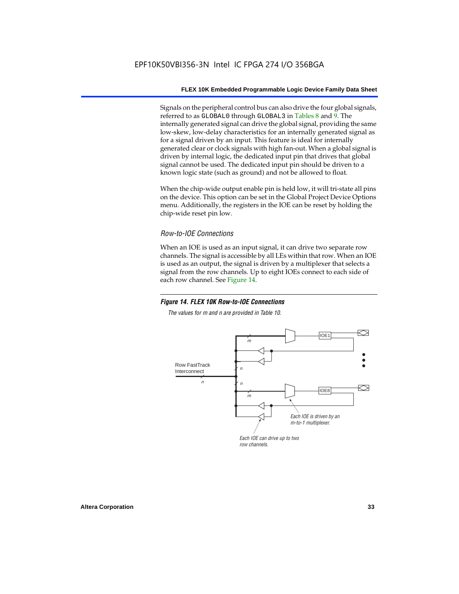Signals on the peripheral control bus can also drive the four global signals, referred to as GLOBAL0 through GLOBAL3 in Tables 8 and 9. The internally generated signal can drive the global signal, providing the same low-skew, low-delay characteristics for an internally generated signal as for a signal driven by an input. This feature is ideal for internally generated clear or clock signals with high fan-out. When a global signal is driven by internal logic, the dedicated input pin that drives that global signal cannot be used. The dedicated input pin should be driven to a known logic state (such as ground) and not be allowed to float.

When the chip-wide output enable pin is held low, it will tri-state all pins on the device. This option can be set in the Global Project Device Options menu. Additionally, the registers in the IOE can be reset by holding the chip-wide reset pin low.

#### *Row-to-IOE Connections*

When an IOE is used as an input signal, it can drive two separate row channels. The signal is accessible by all LEs within that row. When an IOE is used as an output, the signal is driven by a multiplexer that selects a signal from the row channels. Up to eight IOEs connect to each side of each row channel. See Figure 14.

#### *Figure 14. FLEX 10K Row-to-IOE Connections*

*The values for m and n are provided in Table 10.*

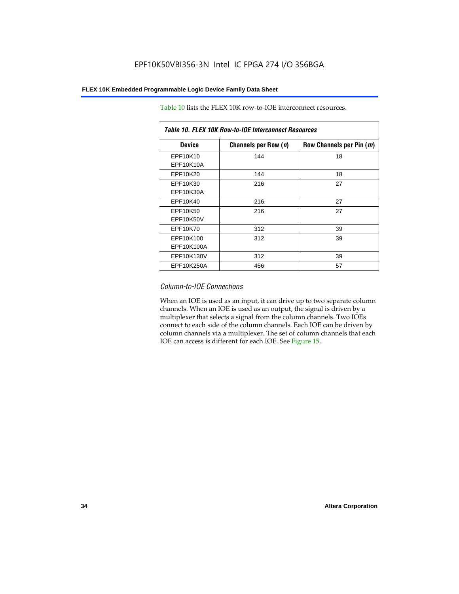| Table 10. FLEX 10K Row-to-IOE Interconnect Resources |                      |                          |  |  |  |  |
|------------------------------------------------------|----------------------|--------------------------|--|--|--|--|
| <b>Device</b>                                        | Channels per Row (n) | Row Channels per Pin (m) |  |  |  |  |
| EPF10K10<br>EPF10K10A                                | 144                  | 18                       |  |  |  |  |
| EPF10K20                                             | 144                  | 18                       |  |  |  |  |
| EPF10K30<br>EPF10K30A                                | 216                  | 27                       |  |  |  |  |
| EPF10K40                                             | 216                  | 27                       |  |  |  |  |
| EPF10K50<br>EPF10K50V                                | 216                  | 27                       |  |  |  |  |
| EPF10K70                                             | 312                  | 39                       |  |  |  |  |
| EPF10K100<br>EPF10K100A                              | 312                  | 39                       |  |  |  |  |
| EPF10K130V                                           | 312                  | 39                       |  |  |  |  |
| EPF10K250A                                           | 456                  | 57                       |  |  |  |  |

Table 10 lists the FLEX 10K row-to-IOE interconnect resources.

#### *Column-to-IOE Connections*

When an IOE is used as an input, it can drive up to two separate column channels. When an IOE is used as an output, the signal is driven by a multiplexer that selects a signal from the column channels. Two IOEs connect to each side of the column channels. Each IOE can be driven by column channels via a multiplexer. The set of column channels that each IOE can access is different for each IOE. See Figure 15.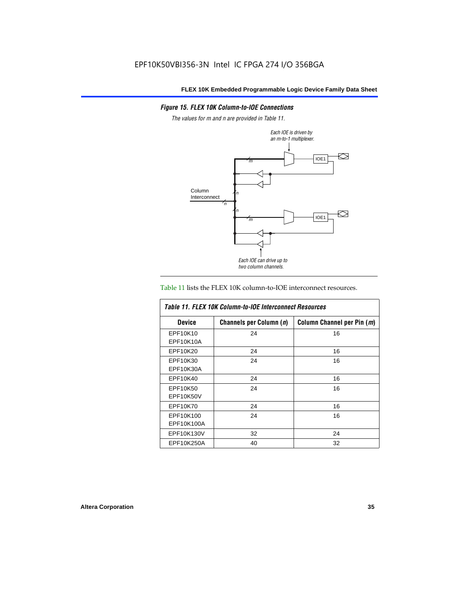#### *Figure 15. FLEX 10K Column-to-IOE Connections*

*The values for m and n are provided in Table 11.*



#### Table 11 lists the FLEX 10K column-to-IOE interconnect resources.

| Table 11, FLEX 10K Column-to-IOE Interconnect Resources |                         |                            |
|---------------------------------------------------------|-------------------------|----------------------------|
| <b>Device</b>                                           | Channels per Column (n) | Column Channel per Pin (m) |
| EPF10K10                                                | 24                      | 16                         |
| EPF10K10A                                               |                         |                            |
| EPF10K20                                                | 24                      | 16                         |
| EPF10K30                                                | 24                      | 16                         |
| EPF10K30A                                               |                         |                            |
| EPF10K40                                                | 24                      | 16                         |
| EPF10K50                                                | 24                      | 16                         |
| EPF10K50V                                               |                         |                            |
| EPF10K70                                                | 24                      | 16                         |
| EPF10K100                                               | 24                      | 16                         |
| EPF10K100A                                              |                         |                            |
| EPF10K130V                                              | 32                      | 24                         |
| EPF10K250A                                              | 40                      | 32                         |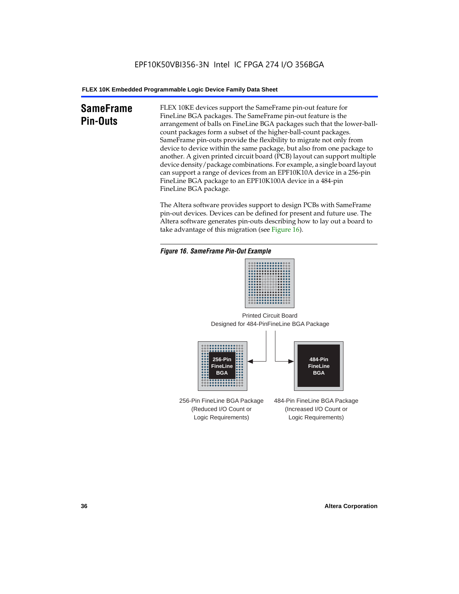# **SameFrame Pin-Outs**

FLEX 10KE devices support the SameFrame pin-out feature for FineLine BGA packages. The SameFrame pin-out feature is the arrangement of balls on FineLine BGA packages such that the lower-ballcount packages form a subset of the higher-ball-count packages. SameFrame pin-outs provide the flexibility to migrate not only from device to device within the same package, but also from one package to another. A given printed circuit board (PCB) layout can support multiple device density/package combinations. For example, a single board layout can support a range of devices from an EPF10K10A device in a 256-pin FineLine BGA package to an EPF10K100A device in a 484-pin FineLine BGA package.

The Altera software provides support to design PCBs with SameFrame pin-out devices. Devices can be defined for present and future use. The Altera software generates pin-outs describing how to lay out a board to take advantage of this migration (see Figure 16).







256-Pin FineLine BGA Package (Reduced I/O Count or Logic Requirements) 484-Pin FineLine BGA Package (Increased I/O Count or Logic Requirements)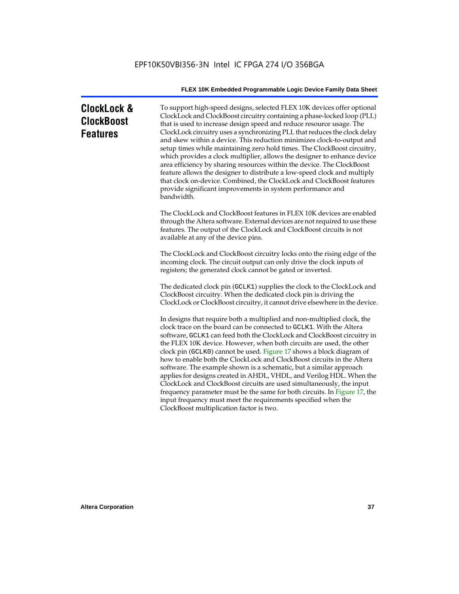# **ClockLock & ClockBoost Features**

To support high-speed designs, selected FLEX 10K devices offer optional ClockLock and ClockBoost circuitry containing a phase-locked loop (PLL) that is used to increase design speed and reduce resource usage. The ClockLock circuitry uses a synchronizing PLL that reduces the clock delay and skew within a device. This reduction minimizes clock-to-output and setup times while maintaining zero hold times. The ClockBoost circuitry, which provides a clock multiplier, allows the designer to enhance device area efficiency by sharing resources within the device. The ClockBoost feature allows the designer to distribute a low-speed clock and multiply that clock on-device. Combined, the ClockLock and ClockBoost features provide significant improvements in system performance and bandwidth.

The ClockLock and ClockBoost features in FLEX 10K devices are enabled through the Altera software. External devices are not required to use these features. The output of the ClockLock and ClockBoost circuits is not available at any of the device pins.

The ClockLock and ClockBoost circuitry locks onto the rising edge of the incoming clock. The circuit output can only drive the clock inputs of registers; the generated clock cannot be gated or inverted.

The dedicated clock pin (GCLK1) supplies the clock to the ClockLock and ClockBoost circuitry. When the dedicated clock pin is driving the ClockLock or ClockBoost circuitry, it cannot drive elsewhere in the device.

In designs that require both a multiplied and non-multiplied clock, the clock trace on the board can be connected to GCLK1. With the Altera software, GCLK1 can feed both the ClockLock and ClockBoost circuitry in the FLEX 10K device. However, when both circuits are used, the other clock pin (GCLK0) cannot be used. Figure 17 shows a block diagram of how to enable both the ClockLock and ClockBoost circuits in the Altera software. The example shown is a schematic, but a similar approach applies for designs created in AHDL, VHDL, and Verilog HDL. When the ClockLock and ClockBoost circuits are used simultaneously, the input frequency parameter must be the same for both circuits. In Figure 17, the input frequency must meet the requirements specified when the ClockBoost multiplication factor is two.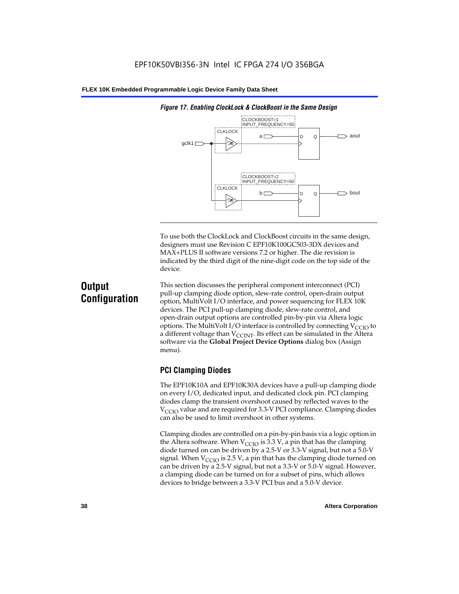

*Figure 17. Enabling ClockLock & ClockBoost in the Same Design*

To use both the ClockLock and ClockBoost circuits in the same design, designers must use Revision C EPF10K100GC503-3DX devices and MAX+PLUS II software versions 7.2 or higher. The die revision is indicated by the third digit of the nine-digit code on the top side of the device.

# **Output Configuration**

This section discusses the peripheral component interconnect (PCI) pull-up clamping diode option, slew-rate control, open-drain output option, MultiVolt I/O interface, and power sequencing for FLEX 10K devices. The PCI pull-up clamping diode, slew-rate control, and open-drain output options are controlled pin-by-pin via Altera logic options. The MultiVolt I/O interface is controlled by connecting  $V_{\text{CCIO}}$  to a different voltage than  $V_{\text{CCINT}}$ . Its effect can be simulated in the Altera software via the **Global Project Device Options** dialog box (Assign menu).

### **PCI Clamping Diodes**

The EPF10K10A and EPF10K30A devices have a pull-up clamping diode on every I/O, dedicated input, and dedicated clock pin. PCI clamping diodes clamp the transient overshoot caused by reflected waves to the  $V_{\text{CCIO}}$  value and are required for 3.3-V PCI compliance. Clamping diodes can also be used to limit overshoot in other systems.

Clamping diodes are controlled on a pin-by-pin basis via a logic option in the Altera software. When  $V_{\text{CCIO}}$  is 3.3 V, a pin that has the clamping diode turned on can be driven by a 2.5-V or 3.3-V signal, but not a 5.0-V signal. When  $V_{\text{CCIO}}$  is 2.5 V, a pin that has the clamping diode turned on can be driven by a 2.5-V signal, but not a 3.3-V or 5.0-V signal. However, a clamping diode can be turned on for a subset of pins, which allows devices to bridge between a 3.3-V PCI bus and a 5.0-V device.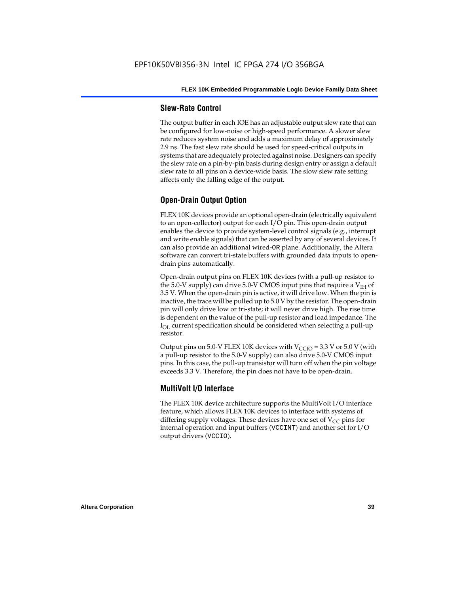#### **Slew-Rate Control**

The output buffer in each IOE has an adjustable output slew rate that can be configured for low-noise or high-speed performance. A slower slew rate reduces system noise and adds a maximum delay of approximately 2.9 ns. The fast slew rate should be used for speed-critical outputs in systems that are adequately protected against noise. Designers can specify the slew rate on a pin-by-pin basis during design entry or assign a default slew rate to all pins on a device-wide basis. The slow slew rate setting affects only the falling edge of the output.

### **Open-Drain Output Option**

FLEX 10K devices provide an optional open-drain (electrically equivalent to an open-collector) output for each I/O pin. This open-drain output enables the device to provide system-level control signals (e.g., interrupt and write enable signals) that can be asserted by any of several devices. It can also provide an additional wired-OR plane. Additionally, the Altera software can convert tri-state buffers with grounded data inputs to opendrain pins automatically.

Open-drain output pins on FLEX 10K devices (with a pull-up resistor to the 5.0-V supply) can drive 5.0-V CMOS input pins that require a  $V<sub>IH</sub>$  of 3.5 V. When the open-drain pin is active, it will drive low. When the pin is inactive, the trace will be pulled up to 5.0 V by the resistor. The open-drain pin will only drive low or tri-state; it will never drive high. The rise time is dependent on the value of the pull-up resistor and load impedance. The  $I_{\text{OL}}$  current specification should be considered when selecting a pull-up resistor.

Output pins on 5.0-V FLEX 10K devices with  $V_{\text{CCIO}} = 3.3$  V or 5.0 V (with a pull-up resistor to the 5.0-V supply) can also drive 5.0-V CMOS input pins. In this case, the pull-up transistor will turn off when the pin voltage exceeds 3.3 V. Therefore, the pin does not have to be open-drain.

#### **MultiVolt I/O Interface**

The FLEX 10K device architecture supports the MultiVolt I/O interface feature, which allows FLEX 10K devices to interface with systems of differing supply voltages. These devices have one set of  $V_{CC}$  pins for internal operation and input buffers (VCCINT) and another set for I/O output drivers (VCCIO).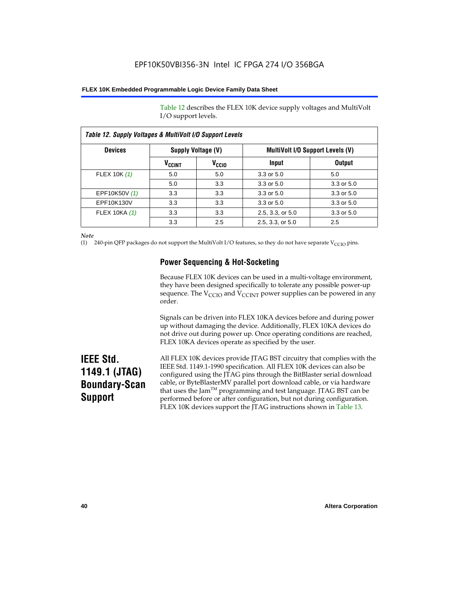Table 12 describes the FLEX 10K device supply voltages and MultiVolt I/O support levels.

| Table 12. Supply Voltages & MultiVolt I/O Support Levels |                          |                   |                                         |                |  |
|----------------------------------------------------------|--------------------------|-------------------|-----------------------------------------|----------------|--|
| <b>Devices</b>                                           | Supply Voltage (V)       |                   | <b>MultiVolt I/O Support Levels (V)</b> |                |  |
|                                                          | <b>V<sub>CCINT</sub></b> | V <sub>CCIO</sub> | Input                                   | <b>Output</b>  |  |
| FLEX 10K (1)                                             | 5.0                      | 5.0               | 3.3 or 5.0                              | 5.0            |  |
|                                                          | 5.0                      | 3.3               | 3.3 or 5.0                              | 3.3 or 5.0     |  |
| EPF10K50V (1)                                            | 3.3                      | 3.3               | 3.3 or 5.0                              | $3.3$ or $5.0$ |  |
| EPF10K130V                                               | 3.3                      | 3.3               | $3.3$ or $5.0$                          | 3.3 or 5.0     |  |
| FLEX 10KA (1)                                            | 3.3                      | 3.3               | 2.5, 3.3, or 5.0                        | 3.3 or 5.0     |  |
|                                                          | 3.3                      | 2.5               | 2.5, 3.3, or 5.0                        | 2.5            |  |

*Note*

(1) 240-pin QFP packages do not support the MultiVolt I/O features, so they do not have separate V<sub>CCIO</sub> pins.

### **Power Sequencing & Hot-Socketing**

Because FLEX 10K devices can be used in a multi-voltage environment, they have been designed specifically to tolerate any possible power-up sequence. The  $V_{\text{CCIO}}$  and  $V_{\text{CCINT}}$  power supplies can be powered in any order.

Signals can be driven into FLEX 10KA devices before and during power up without damaging the device. Additionally, FLEX 10KA devices do not drive out during power up. Once operating conditions are reached, FLEX 10KA devices operate as specified by the user.

# **IEEE Std. 1149.1 (JTAG) Boundary-Scan Support**

All FLEX 10K devices provide JTAG BST circuitry that complies with the IEEE Std. 1149.1-1990 specification. All FLEX 10K devices can also be configured using the JTAG pins through the BitBlaster serial download cable, or ByteBlasterMV parallel port download cable, or via hardware that uses the Jam<sup>TM</sup> programming and test language. JTAG BST can be performed before or after configuration, but not during configuration. FLEX 10K devices support the JTAG instructions shown in Table 13.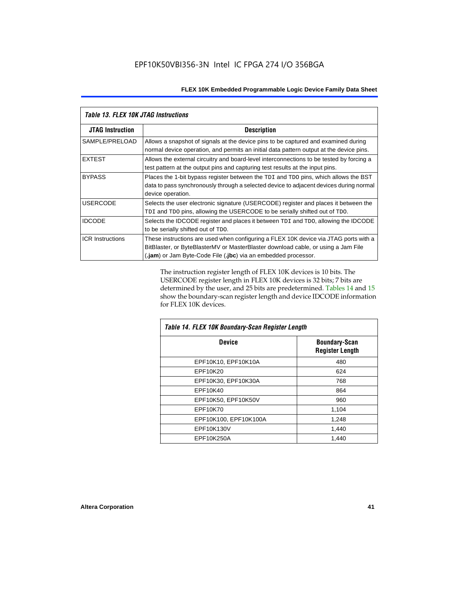| <b>Table 13. FLEX 10K JTAG Instructions</b> |                                                                                                                                                                                                                                             |  |  |
|---------------------------------------------|---------------------------------------------------------------------------------------------------------------------------------------------------------------------------------------------------------------------------------------------|--|--|
| <b>JTAG Instruction</b>                     | <b>Description</b>                                                                                                                                                                                                                          |  |  |
| SAMPLE/PRELOAD                              | Allows a snapshot of signals at the device pins to be captured and examined during<br>normal device operation, and permits an initial data pattern output at the device pins.                                                               |  |  |
| <b>EXTEST</b>                               | Allows the external circuitry and board-level interconnections to be tested by forcing a<br>test pattern at the output pins and capturing test results at the input pins.                                                                   |  |  |
| <b>BYPASS</b>                               | Places the 1-bit bypass register between the TDI and TDO pins, which allows the BST<br>data to pass synchronously through a selected device to adjacent devices during normal<br>device operation.                                          |  |  |
| <b>USERCODE</b>                             | Selects the user electronic signature (USERCODE) register and places it between the<br>TDI and TDO pins, allowing the USERCODE to be serially shifted out of TDO.                                                                           |  |  |
| <b>IDCODE</b>                               | Selects the IDCODE register and places it between TDI and TDO, allowing the IDCODE<br>to be serially shifted out of TDO.                                                                                                                    |  |  |
| <b>ICR Instructions</b>                     | These instructions are used when configuring a FLEX 10K device via JTAG ports with a<br>BitBlaster, or ByteBlasterMV or MasterBlaster download cable, or using a Jam File<br>(.jam) or Jam Byte-Code File (.jbc) via an embedded processor. |  |  |

The instruction register length of FLEX 10K devices is 10 bits. The USERCODE register length in FLEX 10K devices is 32 bits; 7 bits are determined by the user, and 25 bits are predetermined. Tables 14 and 15 show the boundary-scan register length and device IDCODE information for FLEX 10K devices.

| Table 14. FLEX 10K Boundary-Scan Register Length |                                                |  |  |
|--------------------------------------------------|------------------------------------------------|--|--|
| <b>Device</b>                                    | <b>Boundary-Scan</b><br><b>Register Length</b> |  |  |
| EPF10K10, EPF10K10A                              | 480                                            |  |  |
| EPF10K20                                         | 624                                            |  |  |
| EPF10K30, EPF10K30A                              | 768                                            |  |  |
| EPF10K40                                         | 864                                            |  |  |
| EPF10K50, EPF10K50V                              | 960                                            |  |  |
| EPF10K70                                         | 1,104                                          |  |  |
| EPF10K100, EPF10K100A                            | 1,248                                          |  |  |
| EPF10K130V                                       | 1,440                                          |  |  |
| EPF10K250A                                       | 1.440                                          |  |  |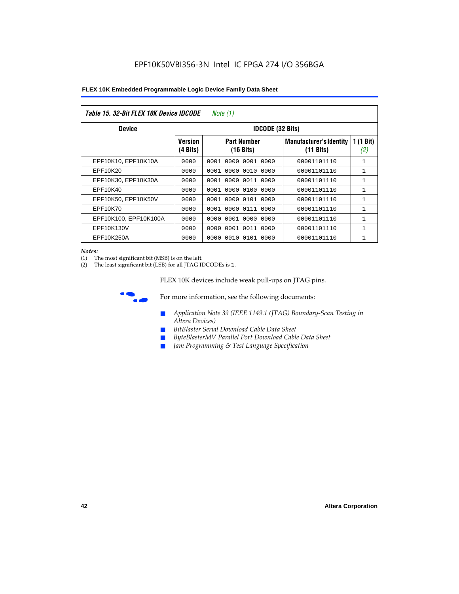| Table 15. 32-Bit FLEX 10K Device IDCODE<br>Note (1) |                            |                                           |                                                       |                    |  |  |  |
|-----------------------------------------------------|----------------------------|-------------------------------------------|-------------------------------------------------------|--------------------|--|--|--|
| <b>Device</b>                                       | <b>IDCODE (32 Bits)</b>    |                                           |                                                       |                    |  |  |  |
|                                                     | <b>Version</b><br>(4 Bits) | <b>Part Number</b><br>$(16 \text{ bits})$ | <b>Manufacturer's Identity</b><br>$(11 \text{ bits})$ | 1 $(1$ Bit)<br>(2) |  |  |  |
| EPF10K10, EPF10K10A                                 | 0000                       | 0001<br>0000<br>0001 0000                 | 00001101110                                           | $\mathbf{1}$       |  |  |  |
| EPF10K20                                            | 0000                       | 0000 0010 0000<br>0001                    | 00001101110                                           | 1                  |  |  |  |
| EPF10K30, EPF10K30A                                 | 0000                       | 0001 0000 0011 0000                       | 00001101110                                           | 1                  |  |  |  |
| EPF10K40                                            | 0000                       | 0000<br>0100<br>0001<br>0000              | 00001101110                                           | $\mathbf{1}$       |  |  |  |
| EPF10K50, EPF10K50V                                 | 0000                       | 0001 0000 0101 0000                       | 00001101110                                           | 1                  |  |  |  |
| EPF10K70                                            | 0000                       | 0000 0111 0000<br>0001                    | 00001101110                                           | $\mathbf{1}$       |  |  |  |
| EPF10K100, EPF10K100A                               | 0000                       | 0001 0000 0000<br>0000                    | 00001101110                                           | 1                  |  |  |  |
| EPF10K130V                                          | 0000                       | 0000<br>0001 0011 0000                    | 00001101110                                           | 1                  |  |  |  |
| EPF10K250A                                          | 0000                       | 0000<br>0010 0101 0000                    | 00001101110                                           | $\mathbf{1}$       |  |  |  |

#### *Notes:*

(1) The most significant bit (MSB) is on the left.

(2) The least significant bit (LSB) for all JTAG IDCODEs is 1.

FLEX 10K devices include weak pull-ups on JTAG pins.



**for more information, see the following documents:** 

- *Application Note 39 (IEEE 1149.1 (JTAG) Boundary-Scan Testing in Altera Devices)*
- *BitBlaster Serial Download Cable Data Sheet*
- *ByteBlasterMV Parallel Port Download Cable Data Sheet*
- *Jam Programming & Test Language Specification*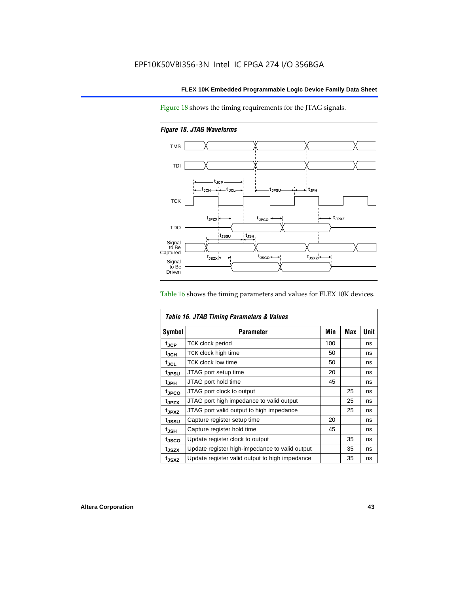Figure 18 shows the timing requirements for the JTAG signals.

*Figure 18. JTAG Waveforms*



Table 16 shows the timing parameters and values for FLEX 10K devices.

| Table 16. JTAG Timing Parameters & Values |                                                |     |            |      |  |  |
|-------------------------------------------|------------------------------------------------|-----|------------|------|--|--|
| <b>Symbol</b>                             | <b>Parameter</b>                               | Min | <b>Max</b> | Unit |  |  |
| t <sub>JCP</sub>                          | <b>TCK clock period</b>                        | 100 |            | ns   |  |  |
| t <sub>JCH</sub>                          | TCK clock high time                            | 50  |            | ns   |  |  |
| $t_{JCL}$                                 | TCK clock low time                             | 50  |            | ns   |  |  |
| tjpsu                                     | JTAG port setup time                           | 20  |            | ns   |  |  |
| t <sub>JPH</sub>                          | JTAG port hold time                            | 45  |            | ns   |  |  |
| <sup>t</sup> JPCO                         | JTAG port clock to output                      |     | 25         | ns   |  |  |
| t <sub>JPZX</sub>                         | JTAG port high impedance to valid output       |     | 25         | ns   |  |  |
| t <sub>JPXZ</sub>                         | JTAG port valid output to high impedance       |     | 25         | ns   |  |  |
| tussu                                     | Capture register setup time                    | 20  |            | ns   |  |  |
| $t_{JSH}$                                 | Capture register hold time                     | 45  |            | ns   |  |  |
| tjsco                                     | Update register clock to output                |     | 35         | ns   |  |  |
| t <sub>JSZX</sub>                         | Update register high-impedance to valid output |     | 35         | ns   |  |  |
| t <sub>JSXZ</sub>                         | Update register valid output to high impedance |     | 35         | ns   |  |  |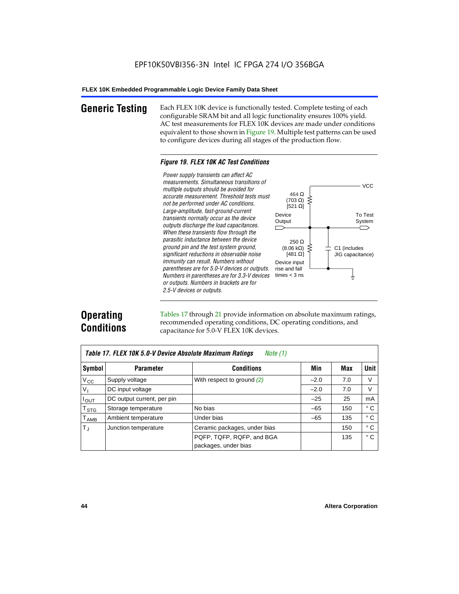**Generic Testing** Each FLEX 10K device is functionally tested. Complete testing of each configurable SRAM bit and all logic functionality ensures 100% yield. AC test measurements for FLEX 10K devices are made under conditions equivalent to those shown in Figure 19. Multiple test patterns can be used to configure devices during all stages of the production flow.

#### *Figure 19. FLEX 10K AC Test Conditions*

*Power supply transients can affect AC measurements. Simultaneous transitions of*  $V<sub>CC</sub>$ *multiple outputs should be avoided for* 464 Ω *accurate measurement. Threshold tests must* (703 Ω) ξ *not be performed under AC conditions.*  $[521 \Omega]$ *Large-amplitude, fast-ground-current* To Test Device *transients normally occur as the device* Output System *outputs discharge the load capacitances. When these transients flow through the parasitic inductance between the device* 250 Ω *ground pin and the test system ground,*  $(8.06 \text{ k}\Omega)$ C1 (includes *significant reductions in observable noise* [481 $\Omega$ ] JIG capacitance) *immunity can result. Numbers without*  Device input *parentheses are for 5.0-V devices or outputs.*  rise and fall *Numbers in parentheses are for 3.3-V devices*  times  $<$  3 ns ŧ *or outputs. Numbers in brackets are for 2.5-V devices or outputs.*

# **Operating Conditions**

Tables 17 through 21 provide information on absolute maximum ratings, recommended operating conditions, DC operating conditions, and capacitance for 5.0-V FLEX 10K devices.

| Table 17. FLEX 10K 5.0-V Device Absolute Maximum Ratings<br>Note (1) |                            |                              |        |     |              |  |
|----------------------------------------------------------------------|----------------------------|------------------------------|--------|-----|--------------|--|
| Symbol                                                               | <b>Parameter</b>           | <b>Conditions</b>            | Min    | Max | <b>Unit</b>  |  |
| $V_{\rm CC}$                                                         | Supply voltage             | With respect to ground $(2)$ | $-2.0$ | 7.0 | V            |  |
| $V_{I}$                                                              | DC input voltage           |                              | $-2.0$ | 7.0 | V            |  |
| $I_{\text{OUT}}$                                                     | DC output current, per pin |                              | $-25$  | 25  | mA           |  |
| $\mathsf{T}_{\texttt{STG}}$                                          | Storage temperature        | No bias                      | $-65$  | 150 | ° C          |  |
| $\mathsf{T}_{\mathsf{AMB}}$                                          | Ambient temperature        | Under bias                   | $-65$  | 135 | $^{\circ}$ C |  |
| $T_{\rm J}$                                                          | Junction temperature       | Ceramic packages, under bias |        | 150 | ° C          |  |
|                                                                      |                            | PQFP, TQFP, RQFP, and BGA    |        | 135 | $^{\circ}$ C |  |
|                                                                      |                            | packages, under bias         |        |     |              |  |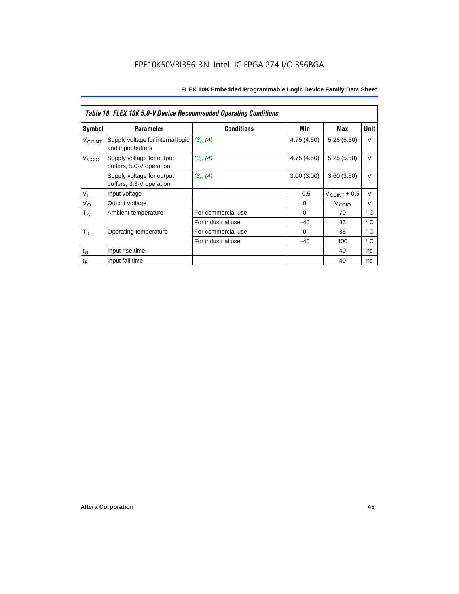|                   | <b>Table 18. FLEX 10K 5.0-V Device Recommended Operating Conditions</b> |                    |             |                       |              |  |  |
|-------------------|-------------------------------------------------------------------------|--------------------|-------------|-----------------------|--------------|--|--|
| Symbol            | <b>Parameter</b>                                                        | <b>Conditions</b>  | Min         | Max                   | <b>Unit</b>  |  |  |
| VCCINT            | Supply voltage for internal logic<br>and input buffers                  | (3), (4)           | 4.75 (4.50) | 5.25(5.50)            | $\vee$       |  |  |
| V <sub>CCIO</sub> | Supply voltage for output<br>buffers, 5.0-V operation                   | (3), (4)           | 4.75 (4.50) | 5.25(5.50)            | $\vee$       |  |  |
|                   | Supply voltage for output<br>buffers, 3.3-V operation                   | (3), (4)           | 3.00(3.00)  | 3.60(3.60)            | $\vee$       |  |  |
| V <sub>1</sub>    | Input voltage                                                           |                    | $-0.5$      | $V_{\rm CCINT}$ + 0.5 | $\vee$       |  |  |
| $V_{\rm O}$       | Output voltage                                                          |                    | 0           | V <sub>CCIO</sub>     | $\vee$       |  |  |
| $T_A$             | Ambient temperature                                                     | For commercial use | $\Omega$    | 70                    | $^{\circ}$ C |  |  |
|                   |                                                                         | For industrial use | $-40$       | 85                    | $^{\circ}$ C |  |  |
| $T_{\rm J}$       | Operating temperature                                                   | For commercial use | $\Omega$    | 85                    | °C           |  |  |
|                   |                                                                         | For industrial use | $-40$       | 100                   | $^{\circ}$ C |  |  |
| $t_{R}$           | Input rise time                                                         |                    |             | 40                    | ns           |  |  |
| $t_F$             | Input fall time                                                         |                    |             | 40                    | ns           |  |  |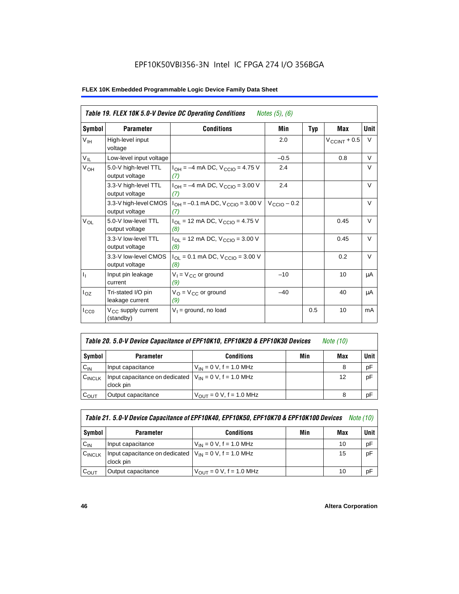## EPF10K50VBI356-3N Intel IC FPGA 274 I/O 356BGA

| Table 19. FLEX 10K 5.0-V Device DC Operating Conditions<br><i>Notes</i> $(5)$ , $(6)$ |                                             |                                                               |                         |            |                          |        |
|---------------------------------------------------------------------------------------|---------------------------------------------|---------------------------------------------------------------|-------------------------|------------|--------------------------|--------|
| Symbol                                                                                | <b>Parameter</b>                            | <b>Conditions</b>                                             | Min                     | <b>Typ</b> | Max                      | Unit   |
| V <sub>IH</sub>                                                                       | High-level input<br>voltage                 |                                                               | 2.0                     |            | $V_{\text{CCINT}} + 0.5$ | V      |
| $V_{IL}$                                                                              | Low-level input voltage                     |                                                               | $-0.5$                  |            | 0.8                      | V      |
| V <sub>OH</sub>                                                                       | 5.0-V high-level TTL<br>output voltage      | $I_{OH} = -4$ mA DC, $V_{CCIO} = 4.75$ V<br>(7)               | 2.4                     |            |                          | V      |
|                                                                                       | 3.3-V high-level TTL<br>output voltage      | $I_{OH} = -4$ mA DC, $V_{CGIO} = 3.00$ V<br>(7)               | 2.4                     |            |                          | $\vee$ |
|                                                                                       | 3.3-V high-level CMOS<br>output voltage     | $1_{OH} = -0.1$ mA DC, $V_{CCIO} = 3.00$ V<br>(7)             | $V_{\text{CCIO}} - 0.2$ |            |                          | $\vee$ |
| $V_{OL}$                                                                              | 5.0-V low-level TTL<br>output voltage       | $I_{\text{OI}}$ = 12 mA DC, $V_{\text{CCIO}}$ = 4.75 V<br>(8) |                         |            | 0.45                     | $\vee$ |
|                                                                                       | 3.3-V low-level TTL<br>output voltage       | $I_{OL}$ = 12 mA DC, $V_{CCIO}$ = 3.00 V<br>(8)               |                         |            | 0.45                     | V      |
|                                                                                       | 3.3-V low-level CMOS<br>output voltage      | $I_{OL}$ = 0.1 mA DC, $V_{CClO}$ = 3.00 V<br>(8)              |                         |            | 0.2                      | $\vee$ |
| $I_1$                                                                                 | Input pin leakage<br>current                | $V_1 = V_{CC}$ or ground<br>(9)                               | $-10$                   |            | 10                       | μA     |
| $I_{OZ}$                                                                              | Tri-stated I/O pin<br>leakage current       | $V_O = V_{CC}$ or ground<br>(9)                               | $-40$                   |            | 40                       | μA     |
| $I_{CC0}$                                                                             | V <sub>CC</sub> supply current<br>(standby) | $V_1$ = ground, no load                                       |                         | 0.5        | 10                       | mA     |

| Table 20. 5.0-V Device Capacitance of EPF10K10, EPF10K20 & EPF10K30 Devices | Note (10) |  |
|-----------------------------------------------------------------------------|-----------|--|
|-----------------------------------------------------------------------------|-----------|--|

| Symbol    | <b>Parameter</b>                                                         | <b>Conditions</b>                   | Min | Max | Unit I |
|-----------|--------------------------------------------------------------------------|-------------------------------------|-----|-----|--------|
| $C_{IN}$  | Input capacitance                                                        | $V_{IN} = 0 V$ , f = 1.0 MHz        |     |     | pF     |
| CINCLK    | Input capacitance on dedicated $V_{IN} = 0 V$ , f = 1.0 MHz<br>clock pin |                                     |     | 12  | pF     |
| $C_{OUT}$ | Output capacitance                                                       | $V_{\text{OUT}} = 0 V, f = 1.0 MHz$ |     | 8   | рF     |

|           |                                                                           | Table 21. 5.0-V Device Capacitance of EPF10K40, EPF10K50, EPF10K70 & EPF10K100 Devices |     | <i>Note (10)</i> |      |
|-----------|---------------------------------------------------------------------------|----------------------------------------------------------------------------------------|-----|------------------|------|
| Symbol    | <b>Parameter</b>                                                          | <b>Conditions</b>                                                                      | Min | Max              | Unit |
| $C_{IN}$  | Input capacitance                                                         | $V_{IN} = 0 V$ , f = 1.0 MHz                                                           |     | 10               | pF   |
| CINCLK    | Input capacitance on dedicated $ V_{IN} = 0 V$ , f = 1.0 MHz<br>clock pin |                                                                                        |     | 15               | pF   |
| $C_{OUT}$ | Output capacitance                                                        | $V_{OIII}$ = 0 V, f = 1.0 MHz                                                          |     | 10               | рF   |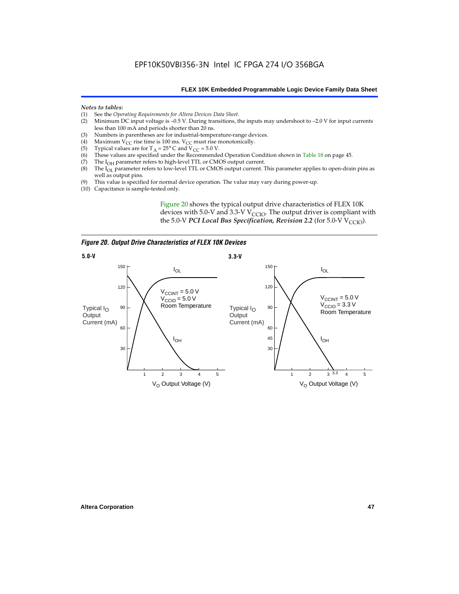#### *Notes to tables:*

- (1) See the *Operating Requirements for Altera Devices Data Sheet*.
- Minimum DC input voltage is  $-0.5$  V. During transitions, the inputs may undershoot to  $-2.0$  V for input currents less than 100 mA and periods shorter than 20 ns.
- (3) Numbers in parentheses are for industrial-temperature-range devices.<br>(4) Maximum  $V_{CC}$  rise time is 100 ms.  $V_{CC}$  must rise monotonically.
- (4) Maximum V<sub>CC</sub> rise time is 100 ms. V<sub>CC</sub> must rise monotonically.<br>(5) Typical values are for T<sub>A</sub> = 25° C and V<sub>CC</sub> = 5.0 V.
- (5) Typical values are for  $T_A = 25^\circ$  C and  $V_{CC} = 5.0$  V.<br>(6) These values are specified under the Recommende
- (6) These values are specified under the Recommended Operation Condition shown in Table 18 on page 45.<br>(7) The  $I_{OH}$  parameter refers to high-level TTL or CMOS output current.
- (7) The  $I_{OH}$  parameter refers to high-level TTL or CMOS output current.<br>(8) The  $I_{OL}$  parameter refers to low-level TTL or CMOS output current. T
- The I<sub>OL</sub> parameter refers to low-level TTL or CMOS output current. This parameter applies to open-drain pins as well as output pins.
- (9) This value is specified for normal device operation. The value may vary during power-up.
- (10) Capacitance is sample-tested only.

Figure 20 shows the typical output drive characteristics of FLEX 10K devices with 5.0-V and 3.3-V  $V_{CCIO}$ . The output driver is compliant with the 5.0-V *PCI Local Bus Specification, Revision 2.2* (for 5.0-V  $V_{\text{CCIO}}$ ).

*Figure 20. Output Drive Characteristics of FLEX 10K Devices*

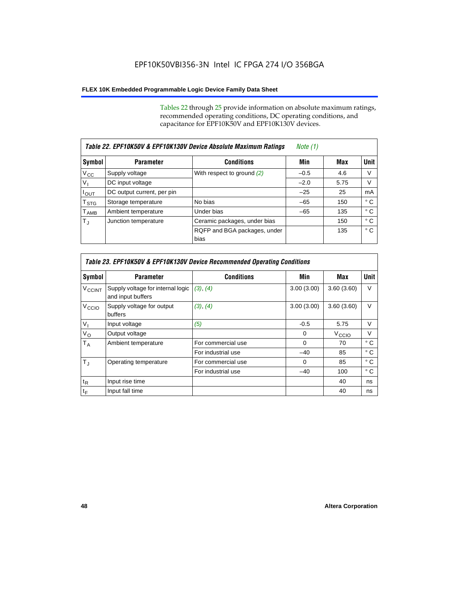Tables 22 through 25 provide information on absolute maximum ratings, recommended operating conditions, DC operating conditions, and capacitance for EPF10K50V and EPF10K130V devices.

|                           | Table 22. EPF10K50V & EPF10K130V Device Absolute Maximum Ratings | Note (1)                             |        |      |             |
|---------------------------|------------------------------------------------------------------|--------------------------------------|--------|------|-------------|
| Symbol                    | <b>Parameter</b>                                                 | <b>Conditions</b>                    | Min    | Max  | <b>Unit</b> |
| $V_{\rm CC}$              | Supply voltage                                                   | With respect to ground $(2)$         | $-0.5$ | 4.6  | V           |
| $V_{I}$                   | DC input voltage                                                 |                                      | $-2.0$ | 5.75 | V           |
| $I_{\text{OUT}}$          | DC output current, per pin                                       |                                      | $-25$  | 25   | mA          |
| $\mathsf{T}_{\text{STG}}$ | Storage temperature                                              | No bias                              | $-65$  | 150  | ° C         |
| $T_{\sf AMB}$             | Ambient temperature                                              | Under bias                           | $-65$  | 135  | ° C         |
| $T_{\rm J}$               | Junction temperature                                             | Ceramic packages, under bias         |        | 150  | ° C         |
|                           |                                                                  | RQFP and BGA packages, under<br>bias |        | 135  | ° C         |

|                          | Table 23. EPF10K50V & EPF10K130V Device Recommended Operating Conditions |                    |            |                   |              |  |  |
|--------------------------|--------------------------------------------------------------------------|--------------------|------------|-------------------|--------------|--|--|
| Symbol                   | <b>Parameter</b>                                                         | <b>Conditions</b>  | Min        | Max               | Unit         |  |  |
| <b>V<sub>CCINT</sub></b> | Supply voltage for internal logic<br>and input buffers                   | (3), (4)           | 3.00(3.00) | 3.60(3.60)        | $\vee$       |  |  |
| V <sub>CCIO</sub>        | Supply voltage for output<br>buffers                                     | (3), (4)           | 3.00(3.00) | 3.60(3.60)        | V            |  |  |
| $V_{1}$                  | Input voltage                                                            | (5)                | $-0.5$     | 5.75              | $\vee$       |  |  |
| $V_{\rm O}$              | Output voltage                                                           |                    | $\Omega$   | V <sub>CCIO</sub> | $\vee$       |  |  |
| $T_A$                    | Ambient temperature                                                      | For commercial use | $\Omega$   | 70                | $^{\circ}$ C |  |  |
|                          |                                                                          | For industrial use | $-40$      | 85                | ° C          |  |  |
| $T_{\rm J}$              | Operating temperature                                                    | For commercial use | $\Omega$   | 85                | $^{\circ}$ C |  |  |
|                          |                                                                          | For industrial use | $-40$      | 100               | ° C          |  |  |
| $t_{R}$                  | Input rise time                                                          |                    |            | 40                | ns           |  |  |
| $t_F$                    | Input fall time                                                          |                    |            | 40                | ns           |  |  |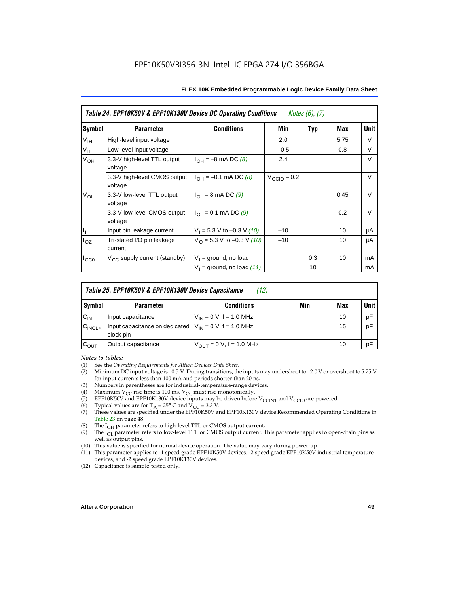| Table 24. EPF10K50V & EPF10K130V Device DC Operating Conditions<br><i>Notes <math>(6)</math>, <math>(7)</math></i> |                                          |                                          |                         |            |      |        |
|--------------------------------------------------------------------------------------------------------------------|------------------------------------------|------------------------------------------|-------------------------|------------|------|--------|
| Symbol                                                                                                             | <b>Parameter</b>                         | <b>Conditions</b>                        | Min                     | <b>Typ</b> | Max  | Unit   |
| V <sub>IH</sub>                                                                                                    | High-level input voltage                 |                                          | 2.0                     |            | 5.75 | V      |
| $V_{IL}$                                                                                                           | Low-level input voltage                  |                                          | $-0.5$                  |            | 0.8  | V      |
| V <sub>OH</sub>                                                                                                    | 3.3-V high-level TTL output<br>voltage   | $I_{OH} = -8$ mA DC (8)                  | 2.4                     |            |      | V      |
|                                                                                                                    | 3.3-V high-level CMOS output<br>voltage  | $I_{OH} = -0.1$ mA DC (8)                | $V_{\text{CCIO}} - 0.2$ |            |      | V      |
| $V_{OL}$                                                                                                           | 3.3-V low-level TTL output<br>voltage    | $I_{\Omega I}$ = 8 mA DC (9)             |                         |            | 0.45 | $\vee$ |
|                                                                                                                    | 3.3-V low-level CMOS output<br>voltage   | $I_{\text{OI}} = 0.1 \text{ mA DC } (9)$ |                         |            | 0.2  | V      |
| $\mathsf{I}_1$                                                                                                     | Input pin leakage current                | $V_1 = 5.3$ V to -0.3 V (10)             | $-10$                   |            | 10   | μA     |
| $I_{OZ}$                                                                                                           | Tri-stated I/O pin leakage<br>current    | $V_O = 5.3 V$ to -0.3 V (10)             | $-10$                   |            | 10   | μA     |
| $I_{CC0}$                                                                                                          | V <sub>CC</sub> supply current (standby) | $V_1$ = ground, no load                  |                         | 0.3        | 10   | mA     |
|                                                                                                                    |                                          | $V_1$ = ground, no load (11)             |                         | 10         |      | mA     |

|           | Table 25. EPF10K50V & EPF10K130V Device Capacitance<br>(12)               |                               |     |     |             |  |
|-----------|---------------------------------------------------------------------------|-------------------------------|-----|-----|-------------|--|
| Symbol    | <b>Parameter</b>                                                          | <b>Conditions</b>             | Min | Max | <b>Unit</b> |  |
| $C_{IN}$  | Input capacitance                                                         | $V_{IN} = 0$ V, f = 1.0 MHz   |     | 10  | pF          |  |
| CINCLK    | Input capacitance on dedicated $ V_{IN} = 0 V$ , f = 1.0 MHz<br>clock pin |                               |     | 15  | pF          |  |
| $C_{OUT}$ | Output capacitance                                                        | $V_{OUT} = 0 V$ , f = 1.0 MHz |     | 10  | pF          |  |

#### *Notes to tables:*

- (1) See the *Operating Requirements for Altera Devices Data Sheet*.
- Minimum DC input voltage is –0.5 V. During transitions, the inputs may undershoot to –2.0 V or overshoot to 5.75 V for input currents less than 100 mA and periods shorter than 20 ns.
- (3) Numbers in parentheses are for industrial-temperature-range devices.<br>(4) Maximum  $V_{CC}$  rise time is 100 ms.  $V_{CC}$  must rise monotonically.
- (4) Maximum  $V_{CC}$  rise time is 100 ms.  $V_{CC}$  must rise monotonically.<br>(5) EPF10K50V and EPF10K130V device inputs may be driven before
- (5) EPF10K50V and EPF10K130V device inputs may be driven before V<sub>CCINT</sub> and V<sub>CCIO</sub> are powered.<br>(6) Typical values are for T<sub>A</sub> = 25° C and V<sub>CC</sub> = 3.3 V.
- Typical values are for  $T_A = 25^\circ$  C and  $V_{CC} = 3.3$  V.
- (7) These values are specified under the EPF10K50V and EPF10K130V device Recommended Operating Conditions in Table 23 on page 48.
- (8) The  $I<sub>OH</sub>$  parameter refers to high-level TTL or CMOS output current.
- (9) The  $I_{OL}$  parameter refers to low-level TTL or CMOS output current. This parameter applies to open-drain pins as well as output pins.
- (10) This value is specified for normal device operation. The value may vary during power-up.
- (11) This parameter applies to -1 speed grade EPF10K50V devices, -2 speed grade EPF10K50V industrial temperature devices, and -2 speed grade EPF10K130V devices.
- (12) Capacitance is sample-tested only.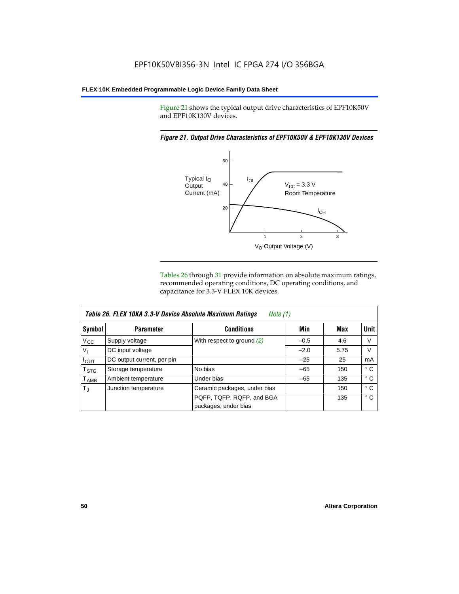Figure 21 shows the typical output drive characteristics of EPF10K50V and EPF10K130V devices.

#### *Figure 21. Output Drive Characteristics of EPF10K50V & EPF10K130V Devices*



Tables 26 through 31 provide information on absolute maximum ratings, recommended operating conditions, DC operating conditions, and capacitance for 3.3-V FLEX 10K devices.

|                  | Table 26. FLEX 10KA 3.3-V Device Absolute Maximum Ratings<br>Note (1) |                              |        |      |              |  |
|------------------|-----------------------------------------------------------------------|------------------------------|--------|------|--------------|--|
| Symbol           | <b>Parameter</b>                                                      | <b>Conditions</b>            | Min    | Max  | Unit         |  |
| $V_{\rm CC}$     | Supply voltage                                                        | With respect to ground $(2)$ | $-0.5$ | 4.6  | V            |  |
| $V_{I}$          | DC input voltage                                                      |                              | $-2.0$ | 5.75 | V            |  |
| $I_{OUT}$        | DC output current, per pin                                            |                              | $-25$  | 25   | mA           |  |
| $T_{\text{STG}}$ | Storage temperature                                                   | No bias                      | $-65$  | 150  | $^{\circ}$ C |  |
| $T_{\sf AMB}$    | Ambient temperature                                                   | Under bias                   | $-65$  | 135  | ° C          |  |
| $T_{\rm J}$      | Junction temperature                                                  | Ceramic packages, under bias |        | 150  | ° C          |  |
|                  |                                                                       | PQFP, TQFP, RQFP, and BGA    |        | 135  | $^{\circ}$ C |  |
|                  |                                                                       | packages, under bias         |        |      |              |  |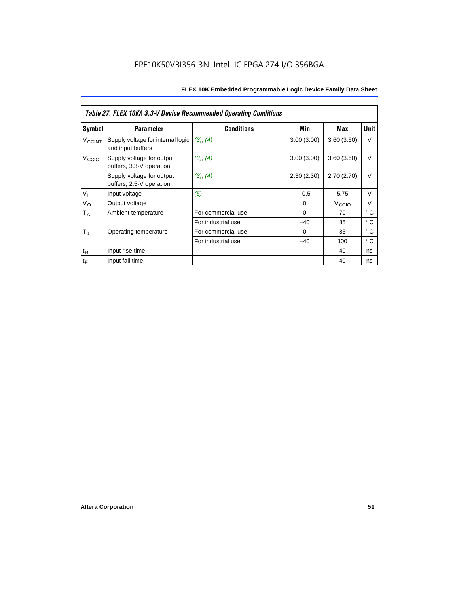|                          | <b>Table 27. FLEX 10KA 3.3-V Device Recommended Operating Conditions</b> |                    |             |                   |              |  |  |
|--------------------------|--------------------------------------------------------------------------|--------------------|-------------|-------------------|--------------|--|--|
| Symbol                   | <b>Parameter</b>                                                         | <b>Conditions</b>  | Min         | Max               | Unit         |  |  |
| <b>V<sub>CCINT</sub></b> | Supply voltage for internal logic<br>and input buffers                   | (3), (4)           | 3.00(3.00)  | 3.60(3.60)        | V            |  |  |
| V <sub>CCIO</sub>        | Supply voltage for output<br>buffers, 3.3-V operation                    | (3), (4)           | 3.00(3.00)  | 3.60(3.60)        | $\vee$       |  |  |
|                          | Supply voltage for output<br>buffers, 2.5-V operation                    | (3), (4)           | 2.30(2.30)  | 2.70(2.70)        | $\vee$       |  |  |
| V <sub>1</sub>           | Input voltage                                                            | (5)                | $-0.5$      | 5.75              | $\vee$       |  |  |
| $V_{\rm O}$              | Output voltage                                                           |                    | 0           | V <sub>CCIO</sub> | V            |  |  |
| $T_A$                    | Ambient temperature                                                      | For commercial use | $\mathbf 0$ | 70                | ° C          |  |  |
|                          |                                                                          | For industrial use | $-40$       | 85                | $^{\circ}$ C |  |  |
| $T_{\rm J}$              | Operating temperature                                                    | For commercial use | $\Omega$    | 85                | ° C          |  |  |
|                          |                                                                          | For industrial use | $-40$       | 100               | ° C          |  |  |
| $t_{R}$                  | Input rise time                                                          |                    |             | 40                | ns           |  |  |
| $t_F$                    | Input fall time                                                          |                    |             | 40                | ns           |  |  |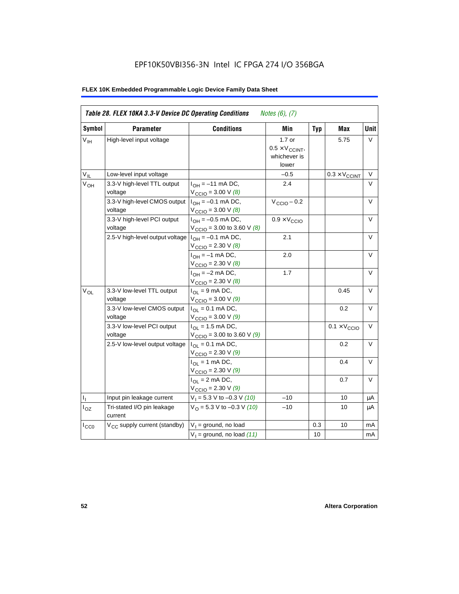## EPF10K50VBI356-3N Intel IC FPGA 274 I/O 356BGA

| Symbol          | <b>Parameter</b>                         | <b>Conditions</b>                                                 | Min                                                         | <b>Typ</b> | Max                          | <b>Unit</b> |
|-----------------|------------------------------------------|-------------------------------------------------------------------|-------------------------------------------------------------|------------|------------------------------|-------------|
| V <sub>IH</sub> | High-level input voltage                 |                                                                   | $1.7$ or<br>$0.5 \times V_{CCINT}$<br>whichever is<br>lower |            | 5.75                         | V           |
| $V_{IL}$        | Low-level input voltage                  |                                                                   | $-0.5$                                                      |            | $0.3 \times V_{CCINT}$       | V           |
| $V_{OH}$        | 3.3-V high-level TTL output<br>voltage   | $I_{OH} = -11$ mA DC,<br>$V_{\text{CCIO}} = 3.00 \text{ V} (8)$   | 2.4                                                         |            |                              | $\vee$      |
|                 | 3.3-V high-level CMOS output<br>voltage  | $I_{OH} = -0.1$ mA DC,<br>$V_{\text{CCIO}} = 3.00 \text{ V } (8)$ | $V_{\text{CCIO}} - 0.2$                                     |            |                              | V           |
|                 | 3.3-V high-level PCI output<br>voltage   | $I_{OH} = -0.5$ mA DC,<br>$V_{\text{CCIO}} = 3.00$ to 3.60 V (8)  | $0.9 \times V_{\text{CCIO}}$                                |            |                              | V           |
|                 | 2.5-V high-level output voltage          | $I_{OH} = -0.1$ mA DC,<br>$V_{\text{CCIO}} = 2.30 \text{ V } (8)$ | 2.1                                                         |            |                              | V           |
|                 |                                          | $I_{OH} = -1$ mA DC,<br>$V_{\text{CCIO}} = 2.30 \text{ V } (8)$   | 2.0                                                         |            |                              | V           |
|                 |                                          | $I_{OH} = -2$ mA DC,<br>$V_{\text{CCIO}} = 2.30 V (8)$            | 1.7                                                         |            |                              | V           |
| $V_{OL}$        | 3.3-V low-level TTL output<br>voltage    | $I_{OL}$ = 9 mA DC,<br>$V_{\text{CCIO}} = 3.00 \text{ V} (9)$     |                                                             |            | 0.45                         | $\vee$      |
|                 | 3.3-V low-level CMOS output<br>voltage   | $I_{OL} = 0.1$ mA DC,<br>$V_{\text{CCIO}} = 3.00 V (9)$           |                                                             |            | 0.2                          | $\vee$      |
|                 | 3.3-V low-level PCI output<br>voltage    | $I_{OL}$ = 1.5 mA DC,<br>$V_{\text{CCIO}} = 3.00$ to 3.60 V (9)   |                                                             |            | $0.1 \times V_{\text{CCIO}}$ | $\vee$      |
|                 | 2.5-V low-level output voltage           | $I_{OL} = 0.1$ mA DC,<br>$V_{\text{CCIO}} = 2.30 \text{ V} (9)$   |                                                             |            | 0.2                          | $\vee$      |
|                 |                                          | $I_{OL}$ = 1 mA DC,<br>$V_{\text{CCIO}} = 2.30 V (9)$             |                                                             |            | 0.4                          | V           |
|                 |                                          | $I_{OL} = 2$ mA DC,<br>$V_{\text{CCIO}} = 2.30 V (9)$             |                                                             |            | 0.7                          | V           |
| $I_{\rm L}$     | Input pin leakage current                | $V_1 = 5.3$ V to -0.3 V (10)                                      | $-10$                                                       |            | 10                           | μA          |
| $I_{OZ}$        | Tri-stated I/O pin leakage<br>current    | $VO = 5.3 V to -0.3 V (10)$                                       | $-10$                                                       |            | 10                           | μA          |
| $I_{CC0}$       | V <sub>CC</sub> supply current (standby) | $V_1$ = ground, no load                                           |                                                             | 0.3        | 10                           | mA          |
|                 |                                          | $V_1$ = ground, no load (11)                                      |                                                             | 10         |                              | mA          |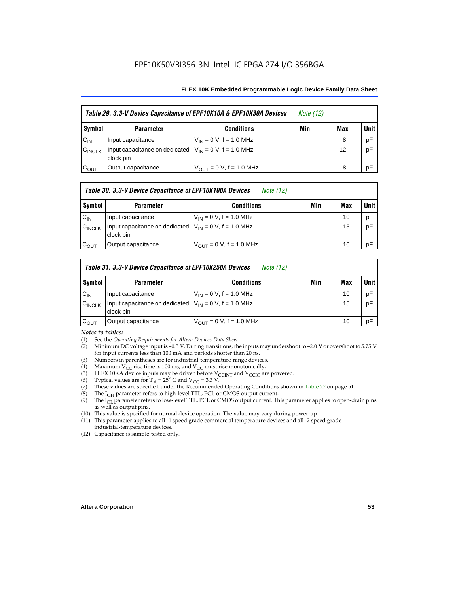### EPF10K50VBI356-3N Intel IC FPGA 274 I/O 356BGA

#### **FLEX 10K Embedded Programmable Logic Device Family Data Sheet**

|                    |                                                                           | Table 29. 3.3-V Device Capacitance of EPF10K10A & EPF10K30A Devices | <i>Note</i> (12) |     |        |
|--------------------|---------------------------------------------------------------------------|---------------------------------------------------------------------|------------------|-----|--------|
| Symbol             | <b>Parameter</b>                                                          | <b>Conditions</b>                                                   | Min              | Max | Unit I |
| $C_{IN}$           | Input capacitance                                                         | $V_{IN} = 0 V$ , f = 1.0 MHz                                        |                  | 8   | pF     |
| $C_{\text{INCLK}}$ | Input capacitance on dedicated $ V_{IN} = 0 V$ , f = 1.0 MHz<br>clock pin |                                                                     |                  | 12  | pF     |
| $C_{OUT}$          | Output capacitance                                                        | $V_{OUT} = 0 V$ , f = 1.0 MHz                                       |                  | 8   | pF     |

#### *Table 30. 3.3-V Device Capacitance of EPF10K100A Devices Note (12)*

| Symbol    | <b>Parameter</b>                                                          | <b>Conditions</b>                   | Min | Max | <b>Unit</b> |
|-----------|---------------------------------------------------------------------------|-------------------------------------|-----|-----|-------------|
| $C_{IN}$  | Input capacitance                                                         | $V_{IN} = 0 V$ , f = 1.0 MHz        |     | 10  | pF          |
| CINCLK    | Input capacitance on dedicated $ V_{1N}  = 0$ V, f = 1.0 MHz<br>clock pin |                                     |     | 15  | pF          |
| $C_{OUT}$ | Output capacitance                                                        | $V_{\text{OUT}} = 0$ V, f = 1.0 MHz |     | 10  | pF          |

#### *Table 31. 3.3-V Device Capacitance of EPF10K250A Devices Note (12)*

| Symbol             | <b>Parameter</b>                                                         | <b>Conditions</b>                   | Min | Max | <b>Unit</b> |
|--------------------|--------------------------------------------------------------------------|-------------------------------------|-----|-----|-------------|
| $C_{\text{IN}}$    | Input capacitance                                                        | $V_{IN} = 0$ V, f = 1.0 MHz         |     | 10  | pF          |
| $C_{\text{INCLK}}$ | Input capacitance on dedicated $V_{IN} = 0 V$ , f = 1.0 MHz<br>clock pin |                                     |     | 15  | pF          |
| $C_{\text{OUT}}$   | Output capacitance                                                       | $V_{\text{OUT}} = 0$ V, f = 1.0 MHz |     | 10  | pF          |

#### *Notes to tables:*

- (1) See the *Operating Requirements for Altera Devices Data Sheet*.
- (2) Minimum DC voltage input is –0.5 V. During transitions, the inputs may undershoot to –2.0 V or overshoot to 5.75 V for input currents less than 100 mA and periods shorter than 20 ns.
- (3) Numbers in parentheses are for industrial-temperature-range devices.
- (4) Maximum V<sub>CC</sub> rise time is 100 ms, and V<sub>CC</sub> must rise monotonically.<br>(5) ELEX 10KA device inputs may be driven before V<sub>CCINT</sub> and V<sub>CCIO</sub> ar
- (5) FLEX 10KA device inputs may be driven before  $V_{CCTN}$  and  $V_{CCIO}$  are powered.<br>(6) Typical values are for T<sub>A</sub> = 25° C and  $V_{CC}$  = 3.3 V.
- (6) Typical values are for  $T_A = 25^\circ$  C and  $V_{CC} = 3.3$  V.<br>(7) These values are specified under the Recommende
- These values are specified under the Recommended Operating Conditions shown in Table 27 on page 51.
- (8) The  $I_{OH}$  parameter refers to high-level TTL, PCI, or CMOS output current. The  $I_{OH}$  parameter refers to low-level TTL, PCI, or CMOS output current. The
- The I<sub>OL</sub> parameter refers to low-level TTL, PCI, or CMOS output current. This parameter applies to open-drain pins as well as output pins.
- (10) This value is specified for normal device operation. The value may vary during power-up.
- (11) This parameter applies to all -1 speed grade commercial temperature devices and all -2 speed grade industrial-temperature devices.
- (12) Capacitance is sample-tested only.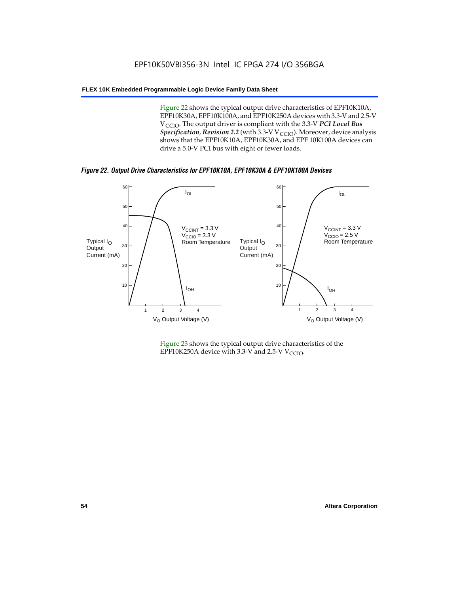Figure 22 shows the typical output drive characteristics of EPF10K10A, EPF10K30A, EPF10K100A, and EPF10K250A devices with 3.3-V and 2.5-V V<sub>CCIO</sub>. The output driver is compliant with the 3.3-V PCI Local Bus *Specification, Revision 2.2* (with 3.3-V V<sub>CCIO</sub>). Moreover, device analysis shows that the EPF10K10A, EPF10K30A, and EPF 10K100A devices can drive a 5.0-V PCI bus with eight or fewer loads.

*Figure 22. Output Drive Characteristics for EPF10K10A, EPF10K30A & EPF10K100A Devices*



Figure 23 shows the typical output drive characteristics of the EPF10K250A device with 3.3-V and 2.5-V  $V_{\text{CCIO}}$ .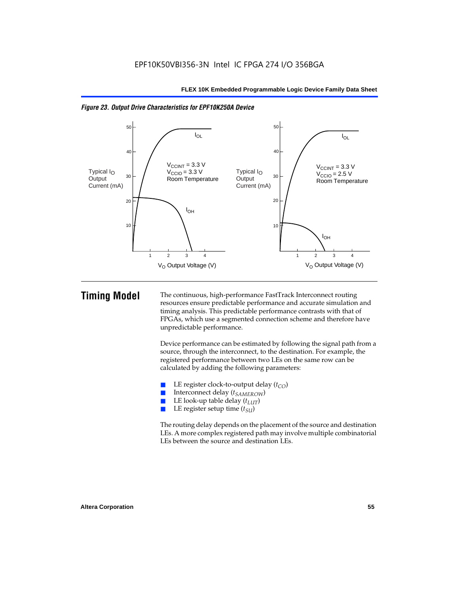

*Figure 23. Output Drive Characteristics for EPF10K250A Device*

**Timing Model** The continuous, high-performance FastTrack Interconnect routing resources ensure predictable performance and accurate simulation and timing analysis. This predictable performance contrasts with that of FPGAs, which use a segmented connection scheme and therefore have unpredictable performance.

> Device performance can be estimated by following the signal path from a source, through the interconnect, to the destination. For example, the registered performance between two LEs on the same row can be calculated by adding the following parameters:

- **E** LE register clock-to-output delay  $(t_{CO})$ <br> **E** Interconnect delay  $(t_{CMBOW})$
- Interconnect delay (*t<sub>SAMEROW</sub>*)
- LE look-up table delay  $(t_{LUT})$
- LE register setup time ( $t_{SI}$ )

The routing delay depends on the placement of the source and destination LEs. A more complex registered path may involve multiple combinatorial LEs between the source and destination LEs.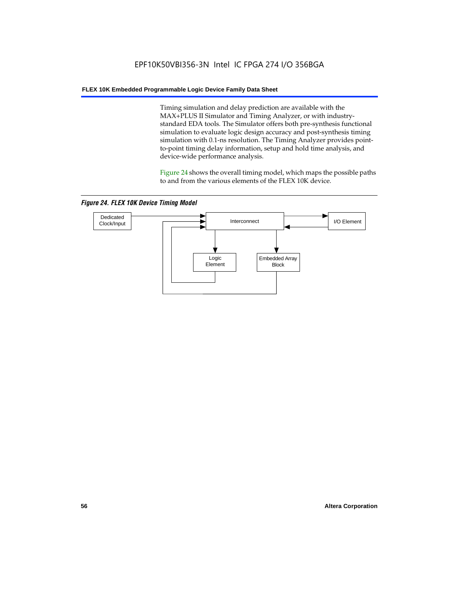Timing simulation and delay prediction are available with the MAX+PLUS II Simulator and Timing Analyzer, or with industrystandard EDA tools. The Simulator offers both pre-synthesis functional simulation to evaluate logic design accuracy and post-synthesis timing simulation with 0.1-ns resolution. The Timing Analyzer provides pointto-point timing delay information, setup and hold time analysis, and device-wide performance analysis.

Figure 24 shows the overall timing model, which maps the possible paths to and from the various elements of the FLEX 10K device.

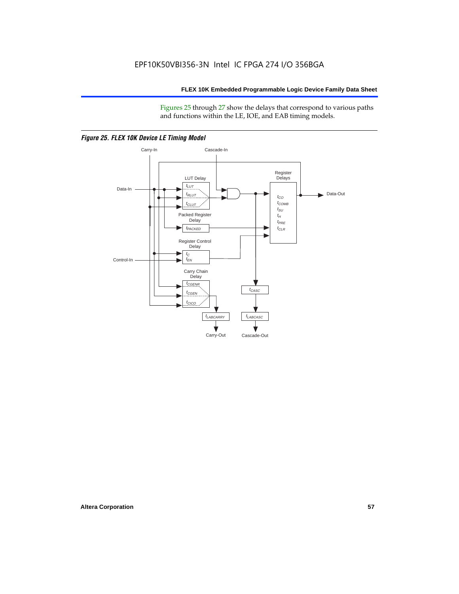Figures 25 through 27 show the delays that correspond to various paths and functions within the LE, IOE, and EAB timing models.



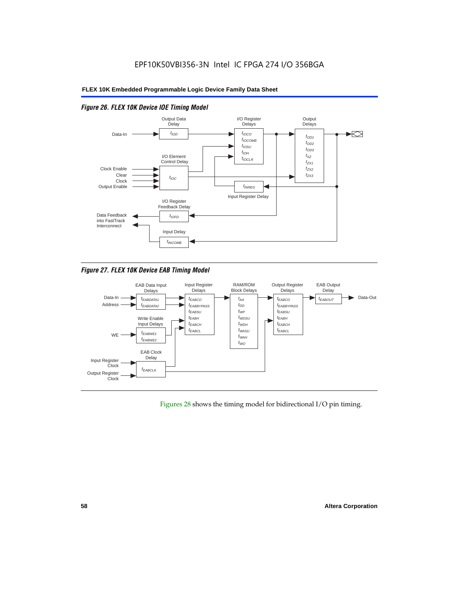

#### *Figure 26. FLEX 10K Device IOE Timing Model*

*Figure 27. FLEX 10K Device EAB Timing Model*



Figures 28 shows the timing model for bidirectional I/O pin timing.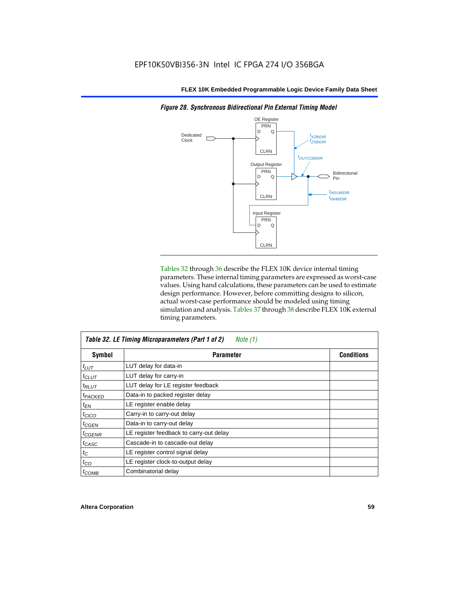

Tables 32 through 36 describe the FLEX 10K device internal timing parameters. These internal timing parameters are expressed as worst-case values. Using hand calculations, these parameters can be used to estimate design performance. However, before committing designs to silicon, actual worst-case performance should be modeled using timing simulation and analysis. Tables 37 through 38 describe FLEX 10K external timing parameters.

| Table 32. LE Timing Microparameters (Part 1 of 2)<br>Note (1) |                                         |                   |  |  |
|---------------------------------------------------------------|-----------------------------------------|-------------------|--|--|
| <b>Symbol</b>                                                 | <b>Parameter</b>                        | <b>Conditions</b> |  |  |
| $t_{LUT}$                                                     | LUT delay for data-in                   |                   |  |  |
| $t_{CLUT}$                                                    | LUT delay for carry-in                  |                   |  |  |
| $t_{RLUT}$                                                    | LUT delay for LE register feedback      |                   |  |  |
| <b><i>EPACKED</i></b>                                         | Data-in to packed register delay        |                   |  |  |
| $t_{EN}$                                                      | LE register enable delay                |                   |  |  |
| $t_{CICO}$                                                    | Carry-in to carry-out delay             |                   |  |  |
| $t_{CGEN}$                                                    | Data-in to carry-out delay              |                   |  |  |
| $t_{GENR}$                                                    | LE register feedback to carry-out delay |                   |  |  |
| t <sub>CASC</sub>                                             | Cascade-in to cascade-out delay         |                   |  |  |
| $t_C$                                                         | LE register control signal delay        |                   |  |  |
| $t_{CO}$                                                      | LE register clock-to-output delay       |                   |  |  |
| $t_{COMB}$                                                    | Combinatorial delay                     |                   |  |  |

*Figure 28. Synchronous Bidirectional Pin External Timing Model*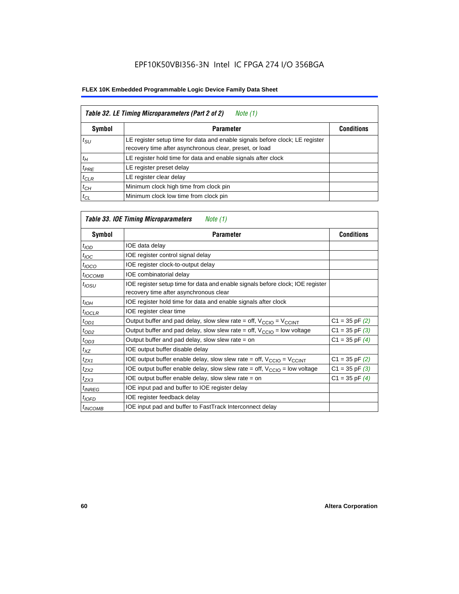| Table 32. LE Timing Microparameters (Part 2 of 2)<br>Note (1) |                                                                                                                                         |                   |  |  |
|---------------------------------------------------------------|-----------------------------------------------------------------------------------------------------------------------------------------|-------------------|--|--|
| <b>Symbol</b>                                                 | <b>Parameter</b>                                                                                                                        | <b>Conditions</b> |  |  |
| $t_{\rm SU}$                                                  | LE register setup time for data and enable signals before clock; LE register<br>recovery time after asynchronous clear, preset, or load |                   |  |  |
| $t_H$                                                         | LE register hold time for data and enable signals after clock                                                                           |                   |  |  |
| $t_{PRE}$                                                     | LE register preset delay                                                                                                                |                   |  |  |
| $t_{CLR}$                                                     | LE register clear delay                                                                                                                 |                   |  |  |
| $t_{CH}$                                                      | Minimum clock high time from clock pin                                                                                                  |                   |  |  |
| $t_{CL}$                                                      | Minimum clock low time from clock pin                                                                                                   |                   |  |  |

## *Table 33. IOE Timing Microparameters Note (1)*

| Symbol              | <b>Parameter</b>                                                                                                         | <b>Conditions</b>  |
|---------------------|--------------------------------------------------------------------------------------------------------------------------|--------------------|
| t <sub>IOD</sub>    | IOE data delay                                                                                                           |                    |
| $t_{\text{IOC}}$    | IOE register control signal delay                                                                                        |                    |
| $t_{IOCO}$          | IOE register clock-to-output delay                                                                                       |                    |
| $t_{IOCOMB}$        | IOE combinatorial delay                                                                                                  |                    |
| $t_{IOSU}$          | IOE register setup time for data and enable signals before clock; IOE register<br>recovery time after asynchronous clear |                    |
| $t_{IOH}$           | IOE register hold time for data and enable signals after clock                                                           |                    |
| $t_{IOCLR}$         | IOE register clear time                                                                                                  |                    |
| $t_{OD1}$           | Output buffer and pad delay, slow slew rate = off, $V_{\text{CCIO}} = V_{\text{CCINT}}$                                  | $C1 = 35$ pF $(2)$ |
| $t_{OD2}$           | Output buffer and pad delay, slow slew rate = off, $V_{CCIO}$ = low voltage                                              | $C1 = 35$ pF $(3)$ |
| $t_{OD3}$           | Output buffer and pad delay, slow slew rate $=$ on                                                                       | $C1 = 35$ pF $(4)$ |
| $t_{XZ}$            | IOE output buffer disable delay                                                                                          |                    |
| $t_{ZX1}$           | IOE output buffer enable delay, slow slew rate = off, $V_{\text{CCIO}} = V_{\text{CCINT}}$                               | $C1 = 35$ pF $(2)$ |
| $t_{ZX2}$           | IOE output buffer enable delay, slow slew rate = off, $V_{\text{CCIO}}$ = low voltage                                    | $C1 = 35$ pF $(3)$ |
| $t_{ZX3}$           | IOE output buffer enable delay, slow slew rate $=$ on                                                                    | $C1 = 35$ pF $(4)$ |
| <sup>t</sup> INREG  | IOE input pad and buffer to IOE register delay                                                                           |                    |
| $t_{IOFD}$          | IOE register feedback delay                                                                                              |                    |
| <sup>t</sup> INCOMB | IOE input pad and buffer to FastTrack Interconnect delay                                                                 |                    |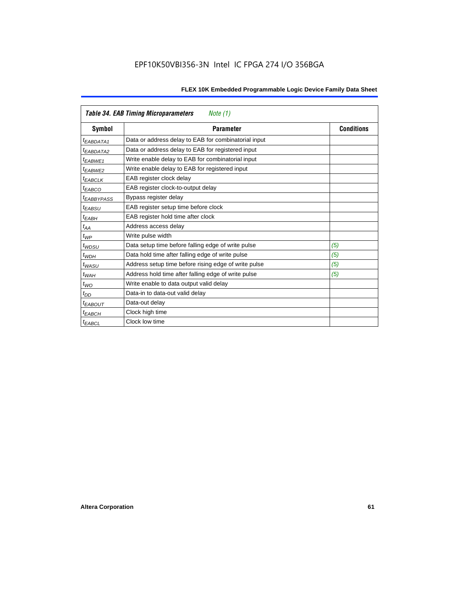| <b>Table 34. EAB Timing Microparameters</b><br>Note (1) |                                                      |                   |  |  |  |
|---------------------------------------------------------|------------------------------------------------------|-------------------|--|--|--|
| Symbol                                                  | <b>Parameter</b>                                     | <b>Conditions</b> |  |  |  |
| $t_{EABDATA1}$                                          | Data or address delay to EAB for combinatorial input |                   |  |  |  |
| <sup>t</sup> EABDATA2                                   | Data or address delay to EAB for registered input    |                   |  |  |  |
| $t_{EABWE1}$                                            | Write enable delay to EAB for combinatorial input    |                   |  |  |  |
| t <sub>EABWE2</sub>                                     | Write enable delay to EAB for registered input       |                   |  |  |  |
| $t_{EABCLK}$                                            | EAB register clock delay                             |                   |  |  |  |
| $t_{EABCO}$                                             | EAB register clock-to-output delay                   |                   |  |  |  |
| <sup>t</sup> EABBYPASS                                  | Bypass register delay                                |                   |  |  |  |
| t <sub>EABSU</sub>                                      | EAB register setup time before clock                 |                   |  |  |  |
| <sup>t</sup> EABH                                       | EAB register hold time after clock                   |                   |  |  |  |
| $t_{AA}$                                                | Address access delay                                 |                   |  |  |  |
| $t_{WP}$                                                | Write pulse width                                    |                   |  |  |  |
| $t_{WDSU}$                                              | Data setup time before falling edge of write pulse   | (5)               |  |  |  |
| $t_{WDH}$                                               | Data hold time after falling edge of write pulse     | (5)               |  |  |  |
| $t_{WASU}$                                              | Address setup time before rising edge of write pulse | (5)               |  |  |  |
| $t_{WAH}$                                               | Address hold time after falling edge of write pulse  | (5)               |  |  |  |
| $t_{WO}$                                                | Write enable to data output valid delay              |                   |  |  |  |
| $t_{DD}$                                                | Data-in to data-out valid delay                      |                   |  |  |  |
| <sup>t</sup> EABOUT                                     | Data-out delay                                       |                   |  |  |  |
| t <sub>EABCH</sub>                                      | Clock high time                                      |                   |  |  |  |
| <sup>t</sup> EABCL                                      | Clock low time                                       |                   |  |  |  |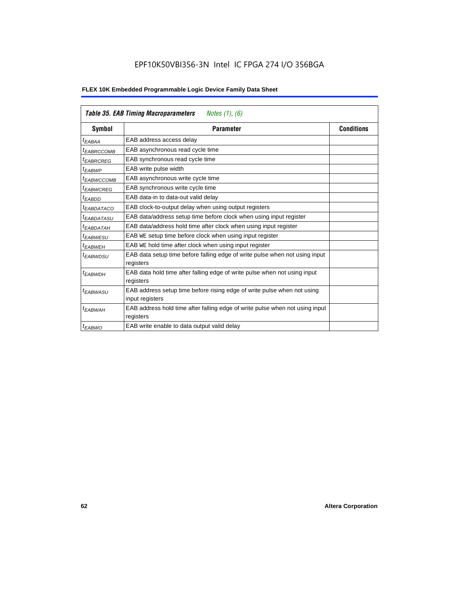|                        | <b>Table 35. EAB Timing Macroparameters</b><br>Notes $(1)$ , $(6)$                         |                   |
|------------------------|--------------------------------------------------------------------------------------------|-------------------|
| Symbol                 | <b>Parameter</b>                                                                           | <b>Conditions</b> |
| <sup>t</sup> EABAA     | EAB address access delay                                                                   |                   |
| <sup>t</sup> EABRCCOMB | EAB asynchronous read cycle time                                                           |                   |
| <sup>t</sup> EABRCREG  | EAB synchronous read cycle time                                                            |                   |
| <sup>t</sup> EABWP     | EAB write pulse width                                                                      |                   |
| <sup>t</sup> EABWCCOMB | EAB asynchronous write cycle time                                                          |                   |
| <sup>t</sup> EABWCREG  | EAB synchronous write cycle time                                                           |                   |
| <sup>t</sup> EABDD     | EAB data-in to data-out valid delay                                                        |                   |
| <sup>t</sup> EABDATACO | EAB clock-to-output delay when using output registers                                      |                   |
| <sup>t</sup> EABDATASU | EAB data/address setup time before clock when using input register                         |                   |
| <sup>t</sup> EABDATAH  | EAB data/address hold time after clock when using input register                           |                   |
| <sup>t</sup> EABWESU   | EAB WE setup time before clock when using input register                                   |                   |
| <sup>t</sup> EABWEH    | EAB WE hold time after clock when using input register                                     |                   |
| <sup>t</sup> EABWDSU   | EAB data setup time before falling edge of write pulse when not using input<br>registers   |                   |
| $t_{EABWDH}$           | EAB data hold time after falling edge of write pulse when not using input<br>registers     |                   |
| <sup>t</sup> EABWASU   | EAB address setup time before rising edge of write pulse when not using<br>input registers |                   |
| <sup>t</sup> EABWAH    | EAB address hold time after falling edge of write pulse when not using input<br>registers  |                   |
| <sup>t</sup> EABWO     | EAB write enable to data output valid delay                                                |                   |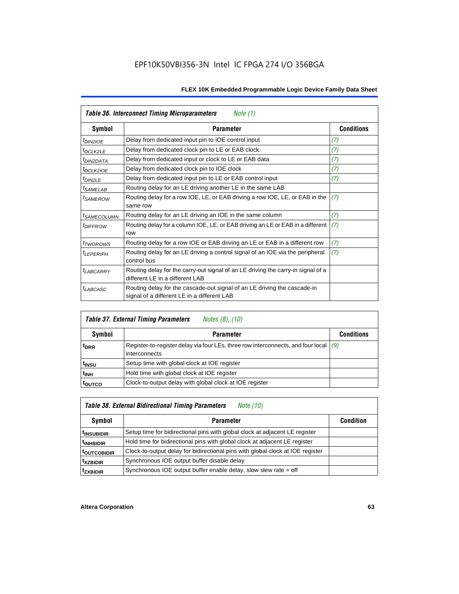| Table 36. Interconnect Timing Microparameters<br>Note (1) |                                                                                                                         |                   |  |  |  |
|-----------------------------------------------------------|-------------------------------------------------------------------------------------------------------------------------|-------------------|--|--|--|
| Symbol                                                    | <b>Parameter</b>                                                                                                        | <b>Conditions</b> |  |  |  |
| <sup>t</sup> DIN2IOE                                      | Delay from dedicated input pin to IOE control input                                                                     | (7)               |  |  |  |
| $t_{DCLK2LE}$                                             | Delay from dedicated clock pin to LE or EAB clock                                                                       | (7)               |  |  |  |
| <sup>t</sup> DIN2DATA                                     | Delay from dedicated input or clock to LE or EAB data                                                                   | (7)               |  |  |  |
| <sup>t</sup> DCLK2IOE                                     | Delay from dedicated clock pin to IOE clock                                                                             | (7)               |  |  |  |
| t <sub>DIN2LE</sub>                                       | Delay from dedicated input pin to LE or EAB control input                                                               | (7)               |  |  |  |
| <sup>t</sup> SAMELAB                                      | Routing delay for an LE driving another LE in the same LAB                                                              |                   |  |  |  |
| <sup>t</sup> SAMEROW                                      | Routing delay for a row IOE, LE, or EAB driving a row IOE, LE, or EAB in the<br>same row                                | (7)               |  |  |  |
| <sup>t</sup> SAMECOLUMN                                   | Routing delay for an LE driving an IOE in the same column                                                               | (7)               |  |  |  |
| <i><b>IDIFFROW</b></i>                                    | Routing delay for a column IOE, LE, or EAB driving an LE or EAB in a different<br>row                                   | (7)               |  |  |  |
| <i>t</i> TWOROWS                                          | Routing delay for a row IOE or EAB driving an LE or EAB in a different row                                              | (7)               |  |  |  |
| <sup>t</sup> LEPERIPH                                     | Routing delay for an LE driving a control signal of an IOE via the peripheral<br>control bus                            | (7)               |  |  |  |
| t <sub>LABCARRY</sub>                                     | Routing delay for the carry-out signal of an LE driving the carry-in signal of a<br>different LE in a different LAB     |                   |  |  |  |
| <i>t<sub>LABCASC</sub></i>                                | Routing delay for the cascade-out signal of an LE driving the cascade-in<br>signal of a different LE in a different LAB |                   |  |  |  |

| <b>Table 37. External Timing Parameters</b><br>Notes (8), (10) |                                                                                                         |                   |  |  |  |
|----------------------------------------------------------------|---------------------------------------------------------------------------------------------------------|-------------------|--|--|--|
| Symbol                                                         | <b>Parameter</b>                                                                                        | <b>Conditions</b> |  |  |  |
| <sup>t</sup> DRR                                               | Register-to-register delay via four LEs, three row interconnects, and four local $(9)$<br>interconnects |                   |  |  |  |
| t <sub>insu</sub>                                              | Setup time with global clock at IOE register                                                            |                   |  |  |  |
| t <sub>INH</sub>                                               | Hold time with global clock at IOE register                                                             |                   |  |  |  |
| <sup>I</sup> OUTCO                                             | Clock-to-output delay with global clock at IOE register                                                 |                   |  |  |  |

## *Table 38. External Bidirectional Timing Parameters Note (10)*

| Symbol                   | <b>Parameter</b>                                                               |  |  |  |
|--------------------------|--------------------------------------------------------------------------------|--|--|--|
| <sup>  t</sup> INSUBIDIR | Setup time for bidirectional pins with global clock at adjacent LE register    |  |  |  |
| <sup>t</sup> INHBIDIR    | Hold time for bidirectional pins with global clock at adjacent LE register     |  |  |  |
| <sup>t</sup> outcobidir  | Clock-to-output delay for bidirectional pins with global clock at IOE register |  |  |  |
| <sup>t</sup> xzbidir     | Synchronous IOE output buffer disable delay                                    |  |  |  |
| <sup>t</sup> zxbidir     | Synchronous IOE output buffer enable delay, slow slew rate = off               |  |  |  |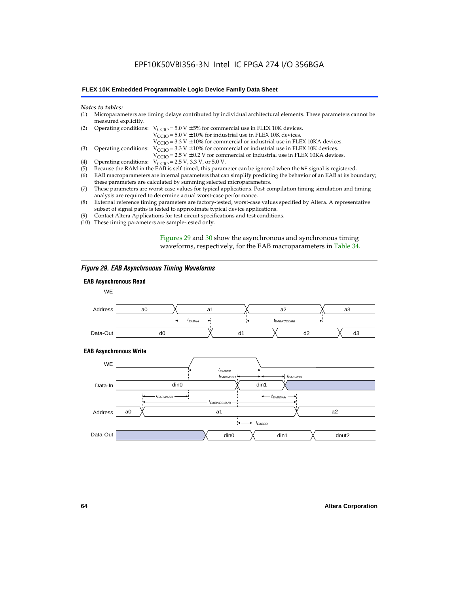### EPF10K50VBI356-3N Intel IC FPGA 274 I/O 356BGA

#### **FLEX 10K Embedded Programmable Logic Device Family Data Sheet**

#### *Notes to tables:*

| (1) Microparameters are timing delays contributed by individual architectural elements. These parameters cannot be |
|--------------------------------------------------------------------------------------------------------------------|
| measured explicitly.                                                                                               |

| (2) Operating conditions: $V_{CCIO} = 5.0 V \pm 5%$ for commercial use in FLEX 10K devices. |  |  |  |
|---------------------------------------------------------------------------------------------|--|--|--|
|                                                                                             |  |  |  |

 $V<sub>CCIO</sub>$  = 5.0 V  $\pm$  10% for industrial use in FLEX 10K devices.

 $V_{\text{CCIO}} = 3.3 \text{ V} \pm 10\%$  for commercial or industrial use in FLEX 10KA devices.

(3) Operating conditions:  $V_{\text{CCIO}} = 3.3 V \pm 10\%$  for commercial or industrial use in FLEX 10K devices.

 $V_{\text{CCIO}} = 2.5 \text{ V} \pm 0.2 \text{ V}$  for commercial or industrial use in FLEX 10KA devices.

- (4) Operating conditions:  $V_{\text{CCIO}} = 2.5 V$ , 3.3 V, or 5.0 V.<br>(5) Because the RAM in the EAB is self-timed, this param
- (5) Because the RAM in the EAB is self-timed, this parameter can be ignored when the WE signal is registered.<br>(6) EAB macroparameters are internal parameters that can simplify predicting the behavior of an EAB at its bou
- EAB macroparameters are internal parameters that can simplify predicting the behavior of an EAB at its boundary; these parameters are calculated by summing selected microparameters.
- (7) These parameters are worst-case values for typical applications. Post-compilation timing simulation and timing analysis are required to determine actual worst-case performance.
- (8) External reference timing parameters are factory-tested, worst-case values specified by Altera. A representative subset of signal paths is tested to approximate typical device applications.
- (9) Contact Altera Applications for test circuit specifications and test conditions.
- (10) These timing parameters are sample-tested only.

Figures 29 and 30 show the asynchronous and synchronous timing waveforms, respectively, for the EAB macroparameters in Table 34.

#### *Figure 29. EAB Asynchronous Timing Waveforms*

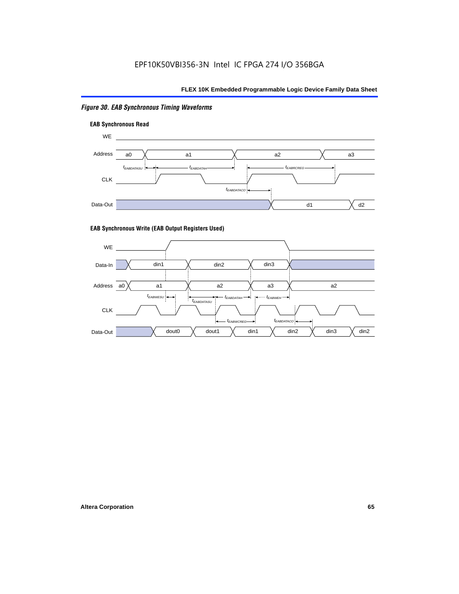#### *Figure 30. EAB Synchronous Timing Waveforms*





#### **EAB Synchronous Write (EAB Output Registers Used)**

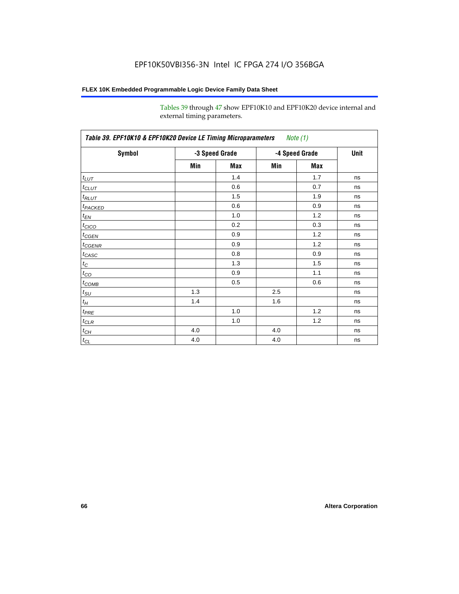Tables 39 through 47 show EPF10K10 and EPF10K20 device internal and external timing parameters.

| Symbol            | -3 Speed Grade |     | -4 Speed Grade |     | <b>Unit</b> |
|-------------------|----------------|-----|----------------|-----|-------------|
|                   | Min            | Max | Min            | Max |             |
| $t_{LUT}$         |                | 1.4 |                | 1.7 | ns          |
| $t_{CLUT}$        |                | 0.6 |                | 0.7 | ns          |
| $t_{RLUT}$        |                | 1.5 |                | 1.9 | ns          |
| <b>t</b> PACKED   |                | 0.6 |                | 0.9 | ns          |
| $t_{EN}$          |                | 1.0 |                | 1.2 | ns          |
| $t_{CICO}$        |                | 0.2 |                | 0.3 | ns          |
| $t_{\text{GEN}}$  |                | 0.9 |                | 1.2 | ns          |
| $t_{GENR}$        |                | 0.9 |                | 1.2 | ns          |
| $t_{CASC}$        |                | 0.8 |                | 0.9 | ns          |
| $t_C$             |                | 1.3 |                | 1.5 | ns          |
| $t_{CO}$          |                | 0.9 |                | 1.1 | ns          |
| $t_{\text{COMB}}$ |                | 0.5 |                | 0.6 | ns          |
| $t_{\text{SU}}$   | 1.3            |     | 2.5            |     | ns          |
| $t_H$             | 1.4            |     | 1.6            |     | ns          |
| $t_{PRE}$         |                | 1.0 |                | 1.2 | ns          |
| $t_{\text{CLR}}$  |                | 1.0 |                | 1.2 | ns          |
| $t_{CH}$          | 4.0            |     | 4.0            |     | ns          |
| $t_{CL}$          | 4.0            |     | 4.0            |     | ns          |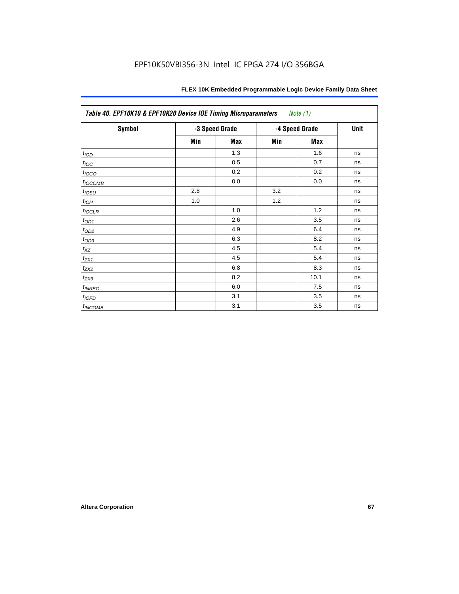| Table 40. EPF10K10 & EPF10K20 Device IOE Timing Microparameters<br>Note (1) |                |     |                |            |    |  |
|-----------------------------------------------------------------------------|----------------|-----|----------------|------------|----|--|
| Symbol                                                                      | -3 Speed Grade |     | -4 Speed Grade | Unit       |    |  |
|                                                                             | Min            | Max | Min            | <b>Max</b> |    |  |
| t <sub>IOD</sub>                                                            |                | 1.3 |                | 1.6        | ns |  |
| $t_{\text{IOC}}$                                                            |                | 0.5 |                | 0.7        | ns |  |
| $t_{IOCO}$                                                                  |                | 0.2 |                | 0.2        | ns |  |
| $t_{IOCOMB}$                                                                |                | 0.0 |                | 0.0        | ns |  |
| $t_{IOSU}$                                                                  | 2.8            |     | 3.2            |            | ns |  |
| $t_{IOH}$                                                                   | 1.0            |     | 1.2            |            | ns |  |
| $t_{IOCLR}$                                                                 |                | 1.0 |                | 1.2        | ns |  |
| $t_{OD1}$                                                                   |                | 2.6 |                | 3.5        | ns |  |
| $t_{OD2}$                                                                   |                | 4.9 |                | 6.4        | ns |  |
| $t_{OD3}$                                                                   |                | 6.3 |                | 8.2        | ns |  |
| $t_{\mathsf{XZ}}$                                                           |                | 4.5 |                | 5.4        | ns |  |
| $t_{ZX1}$                                                                   |                | 4.5 |                | 5.4        | ns |  |
| $t_{ZX2}$                                                                   |                | 6.8 |                | 8.3        | ns |  |
| $t_{ZX3}$                                                                   |                | 8.2 |                | 10.1       | ns |  |
| $t_{INREG}$                                                                 |                | 6.0 |                | 7.5        | ns |  |
| $t_{IOFD}$                                                                  |                | 3.1 |                | 3.5        | ns |  |
| $t_{INCOMB}$                                                                |                | 3.1 |                | 3.5        | ns |  |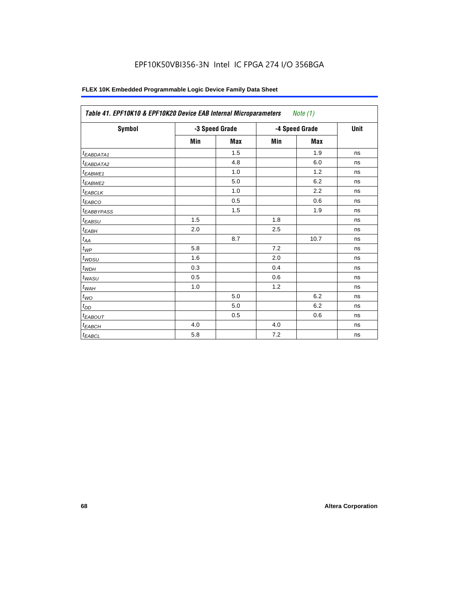## EPF10K50VBI356-3N Intel IC FPGA 274 I/O 356BGA

| Symbol                 | -3 Speed Grade |            | -4 Speed Grade |            | Unit |
|------------------------|----------------|------------|----------------|------------|------|
|                        | Min            | <b>Max</b> | Min            | <b>Max</b> |      |
| <sup>t</sup> EABDATA1  |                | 1.5        |                | 1.9        | ns   |
| <sup>t</sup> EABDATA2  |                | 4.8        |                | 6.0        | ns   |
| t <sub>EABWE1</sub>    |                | 1.0        |                | 1.2        | ns   |
| <sup>t</sup> EABWE2    |                | 5.0        |                | 6.2        | ns   |
| <sup>t</sup> EABCLK    |                | 1.0        |                | 2.2        | ns   |
| t <sub>EABCO</sub>     |                | 0.5        |                | 0.6        | ns   |
| <sup>t</sup> EABBYPASS |                | 1.5        |                | 1.9        | ns   |
| $t_{EABSU}$            | 1.5            |            | 1.8            |            | ns   |
| $t_{EABH}$             | 2.0            |            | 2.5            |            | ns   |
| $t_{AA}$               |                | 8.7        |                | 10.7       | ns   |
| $t_{\mathit{WP}}$      | 5.8            |            | 7.2            |            | ns   |
| $t_{WDSU}$             | 1.6            |            | 2.0            |            | ns   |
| $t_{WDH}$              | 0.3            |            | 0.4            |            | ns   |
| $t_{WASU}$             | 0.5            |            | 0.6            |            | ns   |
| $t_{W\underline{AH}}$  | 1.0            |            | 1.2            |            | ns   |
| $t_{WO}$               |                | 5.0        |                | 6.2        | ns   |
| $t_{DD}$               |                | 5.0        |                | 6.2        | ns   |
| <sup>t</sup> EABOUT    |                | 0.5        |                | 0.6        | ns   |
| $t_{EABCH}$            | 4.0            |            | 4.0            |            | ns   |
| $t_{EABCL}$            | 5.8            |            | 7.2            |            | ns   |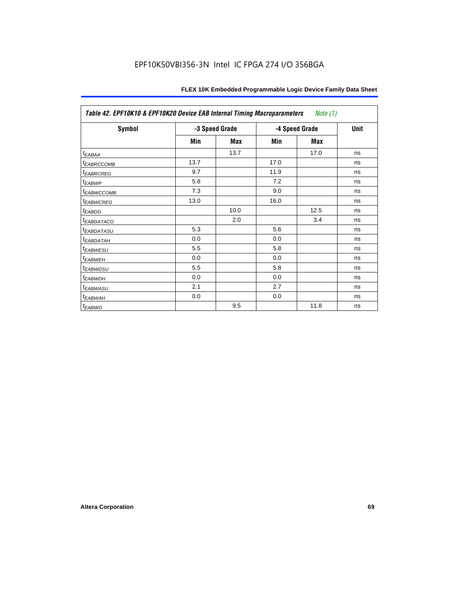| Table 42. EPF10K10 & EPF10K20 Device EAB Internal Timing Macroparameters<br>Note (1) |                |            |                |            |             |  |
|--------------------------------------------------------------------------------------|----------------|------------|----------------|------------|-------------|--|
| Symbol                                                                               | -3 Speed Grade |            | -4 Speed Grade |            | <b>Unit</b> |  |
|                                                                                      | Min            | <b>Max</b> | Min            | <b>Max</b> |             |  |
| $t_{EABA}$                                                                           |                | 13.7       |                | 17.0       | ns          |  |
| <sup>t</sup> EABRCCOMB                                                               | 13.7           |            | 17.0           |            | ns          |  |
| <sup>t</sup> EABRCREG                                                                | 9.7            |            | 11.9           |            | ns          |  |
| <sup>t</sup> EABWP                                                                   | 5.8            |            | 7.2            |            | ns          |  |
| <sup>t</sup> EABWCCOMB                                                               | 7.3            |            | 9.0            |            | ns          |  |
| <sup>t</sup> EABWCREG                                                                | 13.0           |            | 16.0           |            | ns          |  |
| t <sub>EABDD</sub>                                                                   |                | 10.0       |                | 12.5       | ns          |  |
| <b><i>EABDATACO</i></b>                                                              |                | 2.0        |                | 3.4        | ns          |  |
| <sup>t</sup> EABDATASU                                                               | 5.3            |            | 5.6            |            | ns          |  |
| <sup>t</sup> EABDATAH                                                                | 0.0            |            | 0.0            |            | ns          |  |
| <sup>t</sup> EABWESU                                                                 | 5.5            |            | 5.8            |            | ns          |  |
| <sup>t</sup> EABWEH                                                                  | 0.0            |            | 0.0            |            | ns          |  |
| <sup>t</sup> EABWDSU                                                                 | 5.5            |            | 5.8            |            | ns          |  |
| <sup>t</sup> EABWDH                                                                  | 0.0            |            | 0.0            |            | ns          |  |
| t <sub>EABWASU</sub>                                                                 | 2.1            |            | 2.7            |            | ns          |  |
| <sup>t</sup> EABWAH                                                                  | 0.0            |            | 0.0            |            | ns          |  |
| <sup>t</sup> EABWO                                                                   |                | 9.5        |                | 11.8       | ns          |  |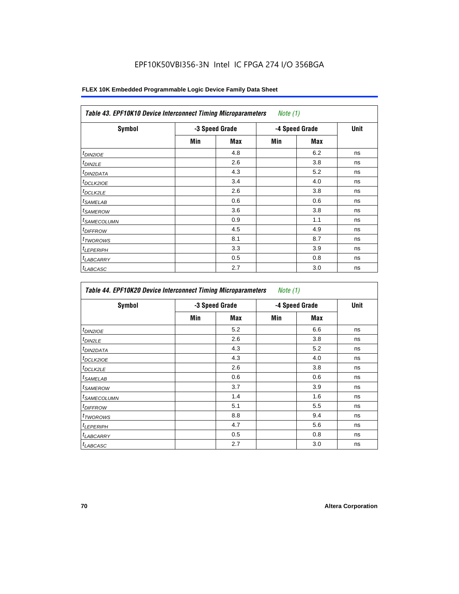## EPF10K50VBI356-3N Intel IC FPGA 274 I/O 356BGA

| <b>Symbol</b>              | -3 Speed Grade |     | -4 Speed Grade |            | <b>Unit</b> |
|----------------------------|----------------|-----|----------------|------------|-------------|
|                            | Min            | Max | Min            | <b>Max</b> |             |
| $t_{DIN2IOE}$              |                | 4.8 |                | 6.2        | ns          |
| <sup>t</sup> DIN2LE        |                | 2.6 |                | 3.8        | ns          |
| <sup>t</sup> DIN2DATA      |                | 4.3 |                | 5.2        | ns          |
| <sup>t</sup> DCLK2IOE      |                | 3.4 |                | 4.0        | ns          |
| ${}^t$ DCLK2LE             |                | 2.6 |                | 3.8        | ns          |
| <sup>t</sup> SAMELAB       |                | 0.6 |                | 0.6        | ns          |
| <sup>t</sup> SAMEROW       |                | 3.6 |                | 3.8        | ns          |
| <sup>t</sup> SAMECOLUMN    |                | 0.9 |                | 1.1        | ns          |
| <i>t<sub>DIFFROW</sub></i> |                | 4.5 |                | 4.9        | ns          |
| <sup>t</sup> TWOROWS       |                | 8.1 |                | 8.7        | ns          |
| <sup>t</sup> LEPERIPH      |                | 3.3 |                | 3.9        | ns          |
| <sup>t</sup> LABCARRY      |                | 0.5 |                | 0.8        | ns          |
| <sup>t</sup> LABCASC       |                | 2.7 |                | 3.0        | ns          |

| Symbol                  | -3 Speed Grade |     | -4 Speed Grade |     | Unit |
|-------------------------|----------------|-----|----------------|-----|------|
|                         | Min            | Max | Min            | Max |      |
| <sup>t</sup> DIN2IOE    |                | 5.2 |                | 6.6 | ns   |
| <sup>t</sup> DIN2LE     |                | 2.6 |                | 3.8 | ns   |
| <sup>I</sup> DIN2DATA   |                | 4.3 |                | 5.2 | ns   |
| <sup>t</sup> DCLK2IOE   |                | 4.3 |                | 4.0 | ns   |
| <sup>t</sup> DCLK2LE    |                | 2.6 |                | 3.8 | ns   |
| <sup>t</sup> SAMELAB    |                | 0.6 |                | 0.6 | ns   |
| <sup>t</sup> SAMEROW    |                | 3.7 |                | 3.9 | ns   |
| <sup>t</sup> SAMECOLUMN |                | 1.4 |                | 1.6 | ns   |
| <sup>t</sup> DIFFROW    |                | 5.1 |                | 5.5 | ns   |
| <sup>t</sup> TWOROWS    |                | 8.8 |                | 9.4 | ns   |
| <sup>t</sup> LEPERIPH   |                | 4.7 |                | 5.6 | ns   |
| <sup>t</sup> LABCARRY   |                | 0.5 |                | 0.8 | ns   |
| <sup>t</sup> LABCASC    |                | 2.7 |                | 3.0 | ns   |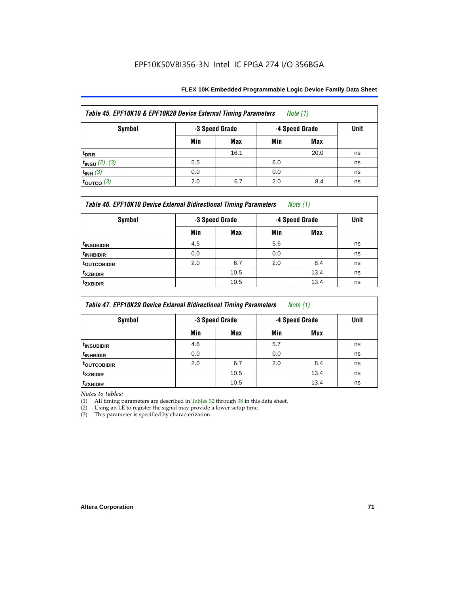| Table 45. EPF10K10 & EPF10K20 Device External Timing Parameters<br>Note $(1)$ |                |            |                |      |             |  |  |
|-------------------------------------------------------------------------------|----------------|------------|----------------|------|-------------|--|--|
| Symbol                                                                        | -3 Speed Grade |            | -4 Speed Grade |      | <b>Unit</b> |  |  |
|                                                                               | Min            | <b>Max</b> | Min            | Max  |             |  |  |
| t <sub>DRR</sub>                                                              |                | 16.1       |                | 20.0 | ns          |  |  |
| $t_{INSU}$ (2), (3)                                                           | 5.5            |            | 6.0            |      | ns          |  |  |
| $t_{INH}$ (3)                                                                 | 0.0            |            | 0.0            |      | ns          |  |  |
| $\tan 3$                                                                      | 2.0            | 6.7        | 2.0            | 8.4  | ns          |  |  |

| Table 46. EPF10K10 Device External Bidirectional Timing Parameters<br>Note $(1)$ |                |            |                |      |             |  |  |
|----------------------------------------------------------------------------------|----------------|------------|----------------|------|-------------|--|--|
| Symbol                                                                           | -3 Speed Grade |            | -4 Speed Grade |      | <b>Unit</b> |  |  |
|                                                                                  | Min            | <b>Max</b> | Min            | Max  |             |  |  |
| <sup>t</sup> INSUBIDIR                                                           | 4.5            |            | 5.6            |      | ns          |  |  |
| <sup>t</sup> INHBIDIR                                                            | 0.0            |            | 0.0            |      | ns          |  |  |
| <sup>t</sup> OUTCOBIDIR                                                          | 2.0            | 6.7        | 2.0            | 8.4  | ns          |  |  |
| <b>txzbidir</b>                                                                  |                | 10.5       |                | 13.4 | ns          |  |  |
| <sup>t</sup> zxbidir                                                             |                | 10.5       |                | 13.4 | ns          |  |  |

| Table 47. EPF10K20 Device External Bidirectional Timing Parameters<br>Note $(1)$ |                |      |                |      |             |  |  |
|----------------------------------------------------------------------------------|----------------|------|----------------|------|-------------|--|--|
| Symbol                                                                           | -3 Speed Grade |      | -4 Speed Grade |      | <b>Unit</b> |  |  |
|                                                                                  | Min            | Max  | Min            | Max  |             |  |  |
| <sup>t</sup> INSUBIDIR                                                           | 4.6            |      | 5.7            |      | ns          |  |  |
| <sup>t</sup> INHBIDIR                                                            | 0.0            |      | 0.0            |      | ns          |  |  |
| <b>TOUTCOBIDIR</b>                                                               | 2.0            | 6.7  | 2.0            | 8.4  | ns          |  |  |
| <sup>t</sup> xzbidir                                                             |                | 10.5 |                | 13.4 | ns          |  |  |
| <sup>T</sup> ZXBIDIR                                                             |                | 10.5 |                | 13.4 | ns          |  |  |

*Notes to tables:*

(1) All timing parameters are described in Tables 32 through 38 in this data sheet.

(2) Using an LE to register the signal may provide a lower setup time.

(3) This parameter is specified by characterization.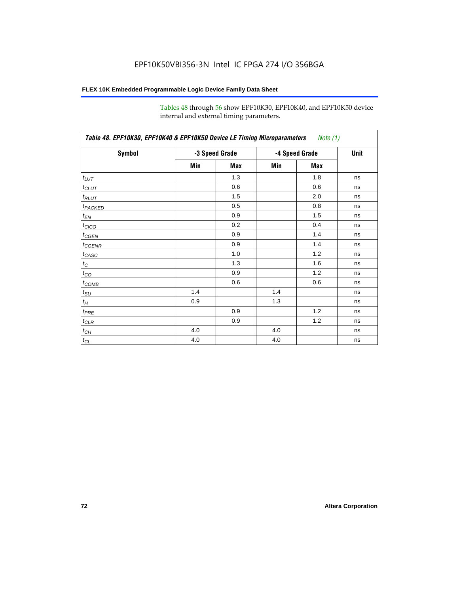Tables 48 through 56 show EPF10K30, EPF10K40, and EPF10K50 device internal and external timing parameters.

| Table 48. EPF10K30, EPF10K40 & EPF10K50 Device LE Timing Microparameters<br><i>Note</i> $(1)$ |                |     |                |      |    |  |  |
|-----------------------------------------------------------------------------------------------|----------------|-----|----------------|------|----|--|--|
| <b>Symbol</b>                                                                                 | -3 Speed Grade |     | -4 Speed Grade | Unit |    |  |  |
|                                                                                               | Min            | Max | Min            | Max  |    |  |  |
| $t_{LUT}$                                                                                     |                | 1.3 |                | 1.8  | ns |  |  |
| $t_{CLUT}$                                                                                    |                | 0.6 |                | 0.6  | ns |  |  |
| $t_{RLUT}$                                                                                    |                | 1.5 |                | 2.0  | ns |  |  |
| t <sub>PACKED</sub>                                                                           |                | 0.5 |                | 0.8  | ns |  |  |
| $t_{EN}$                                                                                      |                | 0.9 |                | 1.5  | ns |  |  |
| $t_{CICO}$                                                                                    |                | 0.2 |                | 0.4  | ns |  |  |
| $t_{CGEN}$                                                                                    |                | 0.9 |                | 1.4  | ns |  |  |
| $t_{\sf GENR}$                                                                                |                | 0.9 |                | 1.4  | ns |  |  |
| $t_{CASC}$                                                                                    |                | 1.0 |                | 1.2  | ns |  |  |
| $t_C$                                                                                         |                | 1.3 |                | 1.6  | ns |  |  |
| $t_{CO}$                                                                                      |                | 0.9 |                | 1.2  | ns |  |  |
| $t_{\text{COMB}}$                                                                             |                | 0.6 |                | 0.6  | ns |  |  |
| $t_{\sf SU}$                                                                                  | 1.4            |     | 1.4            |      | ns |  |  |
| $t_H$                                                                                         | 0.9            |     | 1.3            |      | ns |  |  |
| $t_{PRE}$                                                                                     |                | 0.9 |                | 1.2  | ns |  |  |
| $t_{\text{CLR}}$                                                                              |                | 0.9 |                | 1.2  | ns |  |  |
| $t_{CH}$                                                                                      | 4.0            |     | 4.0            |      | ns |  |  |
| $t_{CL}$                                                                                      | 4.0            |     | 4.0            |      | ns |  |  |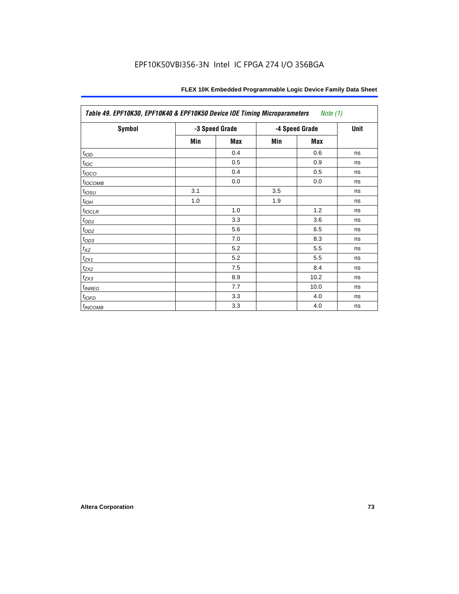| Table 49. EPF10K30, EPF10K40 & EPF10K50 Device IOE Timing Microparameters<br>Note (1) |     |                |                |      |    |  |  |  |
|---------------------------------------------------------------------------------------|-----|----------------|----------------|------|----|--|--|--|
| <b>Symbol</b>                                                                         |     | -3 Speed Grade | -4 Speed Grade | Unit |    |  |  |  |
|                                                                                       | Min | <b>Max</b>     | Min            | Max  |    |  |  |  |
| t <sub>IOD</sub>                                                                      |     | 0.4            |                | 0.6  | ns |  |  |  |
| $t_{\text{IOC}}$                                                                      |     | 0.5            |                | 0.9  | ns |  |  |  |
| $t_{IOCO}$                                                                            |     | 0.4            |                | 0.5  | ns |  |  |  |
| t <sub>IOCOMB</sub>                                                                   |     | 0.0            |                | 0.0  | ns |  |  |  |
| $t_{IOSU}$                                                                            | 3.1 |                | 3.5            |      | ns |  |  |  |
| $t_{IOH}$                                                                             | 1.0 |                | 1.9            |      | ns |  |  |  |
| $t_{IOCLR}$                                                                           |     | 1.0            |                | 1.2  | ns |  |  |  |
| $t_{OD1}$                                                                             |     | 3.3            |                | 3.6  | ns |  |  |  |
| $t_{OD2}$                                                                             |     | 5.6            |                | 6.5  | ns |  |  |  |
| $t_{OD3}$                                                                             |     | 7.0            |                | 8.3  | ns |  |  |  |
| $t_{\mathsf{XZ}}$                                                                     |     | 5.2            |                | 5.5  | ns |  |  |  |
| $t_{ZX1}$                                                                             |     | 5.2            |                | 5.5  | ns |  |  |  |
| $t_{ZX2}$                                                                             |     | 7.5            |                | 8.4  | ns |  |  |  |
| $t_{ZX3}$                                                                             |     | 8.9            |                | 10.2 | ns |  |  |  |
| $t_{INREG}$                                                                           |     | 7.7            |                | 10.0 | ns |  |  |  |
| $t_{IOFD}$                                                                            |     | 3.3            |                | 4.0  | ns |  |  |  |
| $t_{INCOMB}$                                                                          |     | 3.3            |                | 4.0  | ns |  |  |  |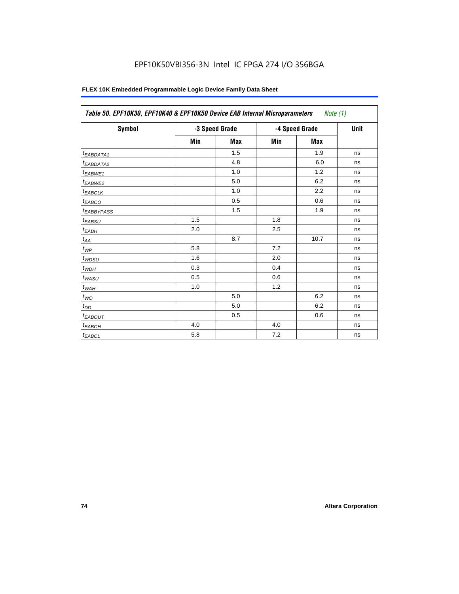| Symbol                          |     | -3 Speed Grade |     | -4 Speed Grade | <b>Unit</b> |
|---------------------------------|-----|----------------|-----|----------------|-------------|
|                                 | Min | <b>Max</b>     | Min | Max            |             |
| <sup>t</sup> EABDATA1           |     | 1.5            |     | 1.9            | ns          |
| t <sub>EABDATA2</sub>           |     | 4.8            |     | 6.0            | ns          |
| t <sub>EABWE1</sub>             |     | 1.0            |     | 1.2            | ns          |
| t <sub>EABWE2</sub>             |     | 5.0            |     | 6.2            | ns          |
| $t_{EABCLK}$                    |     | 1.0            |     | 2.2            | ns          |
| $t_{EABCO}$                     |     | 0.5            |     | 0.6            | ns          |
| <i><b><i>LEABBYPASS</i></b></i> |     | 1.5            |     | 1.9            | ns          |
| $t_{EABSU}$                     | 1.5 |                | 1.8 |                | ns          |
| $t_{EABH}$                      | 2.0 |                | 2.5 |                | ns          |
| $t_{AA}$                        |     | 8.7            |     | 10.7           | ns          |
| $t_{WP}$                        | 5.8 |                | 7.2 |                | ns          |
| $t_{WDSU}$                      | 1.6 |                | 2.0 |                | ns          |
| $t_{WDH}$                       | 0.3 |                | 0.4 |                | ns          |
| $t_{WASU}$                      | 0.5 |                | 0.6 |                | ns          |
| $t_{WAH}$                       | 1.0 |                | 1.2 |                | ns          |
| $t_{WO}$                        |     | 5.0            |     | 6.2            | ns          |
| $t_{DD}$                        |     | 5.0            |     | 6.2            | ns          |
| <sup>t</sup> EABOUT             |     | 0.5            |     | 0.6            | ns          |
| <sup>t</sup> ЕАВСН              | 4.0 |                | 4.0 |                | ns          |
| $t_{EABCL}$                     | 5.8 |                | 7.2 |                | ns          |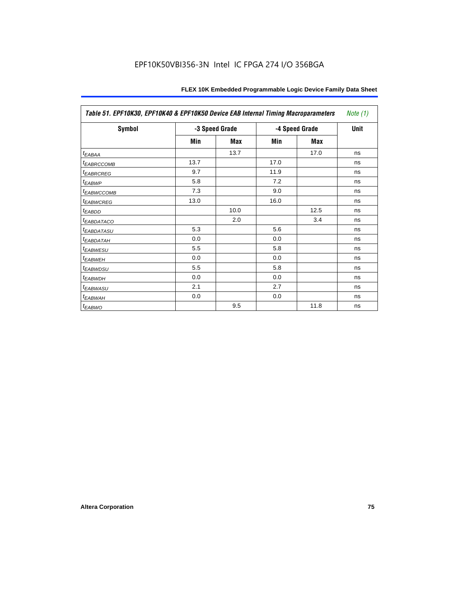| Table 51. EPF10K30, EPF10K40 & EPF10K50 Device EAB Internal Timing Macroparameters |      |                |      |                |             |  |  |
|------------------------------------------------------------------------------------|------|----------------|------|----------------|-------------|--|--|
| Symbol                                                                             |      | -3 Speed Grade |      | -4 Speed Grade | <b>Unit</b> |  |  |
|                                                                                    | Min  | Max            | Min  | Max            |             |  |  |
| $t_{EABA}$                                                                         |      | 13.7           |      | 17.0           | ns          |  |  |
| <b><i>EABRCCOMB</i></b>                                                            | 13.7 |                | 17.0 |                | ns          |  |  |
| <b><i>EABRCREG</i></b>                                                             | 9.7  |                | 11.9 |                | ns          |  |  |
| <sup>t</sup> EABWP                                                                 | 5.8  |                | 7.2  |                | ns          |  |  |
| <b><i>EABWCCOMB</i></b>                                                            | 7.3  |                | 9.0  |                | ns          |  |  |
| <b><i>EABWCREG</i></b>                                                             | 13.0 |                | 16.0 |                | ns          |  |  |
| <sup>t</sup> EABDD                                                                 |      | 10.0           |      | 12.5           | ns          |  |  |
| <i>EABDATACO</i>                                                                   |      | 2.0            |      | 3.4            | ns          |  |  |
| <sup>T</sup> EABDATASU                                                             | 5.3  |                | 5.6  |                | ns          |  |  |
| <sup>t</sup> EABDATAH                                                              | 0.0  |                | 0.0  |                | ns          |  |  |
| <b><i>EABWESU</i></b>                                                              | 5.5  |                | 5.8  |                | ns          |  |  |
| <sup>t</sup> EABWEH                                                                | 0.0  |                | 0.0  |                | ns          |  |  |
| <sup>t</sup> EABWDSU                                                               | 5.5  |                | 5.8  |                | ns          |  |  |
| <sup>t</sup> EABWDH                                                                | 0.0  |                | 0.0  |                | ns          |  |  |
| <sup>t</sup> EABWASU                                                               | 2.1  |                | 2.7  |                | ns          |  |  |
| <sup>t</sup> EABWAH                                                                | 0.0  |                | 0.0  |                | ns          |  |  |
| $t_{EABWO}$                                                                        |      | 9.5            |      | 11.8           | ns          |  |  |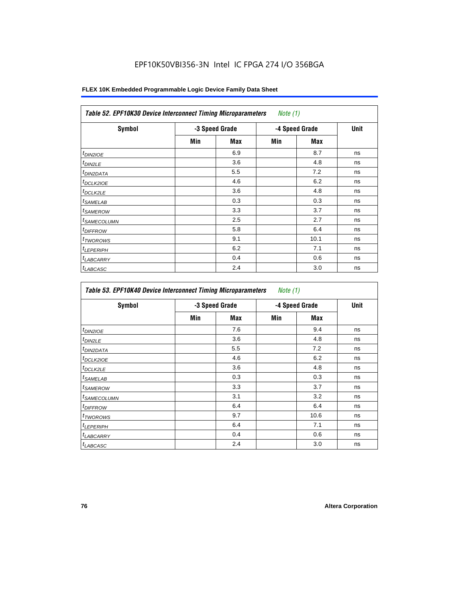| <b>Symbol</b>              |     | -3 Speed Grade |     | -4 Speed Grade | <b>Unit</b> |
|----------------------------|-----|----------------|-----|----------------|-------------|
|                            | Min | Max            | Min | <b>Max</b>     |             |
| $t_{DINZIOE}$              |     | 6.9            |     | 8.7            | ns          |
| <sup>t</sup> DIN2LE        |     | 3.6            |     | 4.8            | ns          |
| <sup>t</sup> DIN2DATA      |     | 5.5            |     | 7.2            | ns          |
| <sup>t</sup> DCLK2IOE      |     | 4.6            |     | 6.2            | ns          |
| ${}^t$ DCLK2LE             |     | 3.6            |     | 4.8            | ns          |
| <sup>t</sup> SAMELAB       |     | 0.3            |     | 0.3            | ns          |
| <sup>t</sup> SAMEROW       |     | 3.3            |     | 3.7            | ns          |
| <sup>t</sup> SAMECOLUMN    |     | 2.5            |     | 2.7            | ns          |
| <i>t<sub>DIFFROW</sub></i> |     | 5.8            |     | 6.4            | ns          |
| <sup>t</sup> TWOROWS       |     | 9.1            |     | 10.1           | ns          |
| <sup>t</sup> LEPERIPH      |     | 6.2            |     | 7.1            | ns          |
| <sup>t</sup> LABCARRY      |     | 0.4            |     | 0.6            | ns          |
| <sup>t</sup> LABCASC       |     | 2.4            |     | 3.0            | ns          |

| Symbol                  |     | -3 Speed Grade |     | -4 Speed Grade | Unit |
|-------------------------|-----|----------------|-----|----------------|------|
|                         | Min | Max            | Min | Max            |      |
| $t_{DINZIOE}$           |     | 7.6            |     | 9.4            | ns   |
| <sup>t</sup> DIN2LE     |     | 3.6            |     | 4.8            | ns   |
| <sup>I</sup> DIN2DATA   |     | 5.5            |     | 7.2            | ns   |
| <sup>I</sup> DCLK2IOE   |     | 4.6            |     | 6.2            | ns   |
| t <sub>DCLK2LE</sub>    |     | 3.6            |     | 4.8            | ns   |
| <sup>I</sup> SAMELAB    |     | 0.3            |     | 0.3            | ns   |
| <sup>I</sup> SAMEROW    |     | 3.3            |     | 3.7            | ns   |
| <sup>t</sup> SAMECOLUMN |     | 3.1            |     | 3.2            | ns   |
| <sup>I</sup> DIFFROW    |     | 6.4            |     | 6.4            | ns   |
| <sup>t</sup> TWOROWS    |     | 9.7            |     | 10.6           | ns   |
| <sup>t</sup> LEPERIPH   |     | 6.4            |     | 7.1            | ns   |
| <b>LABCARRY</b>         |     | 0.4            |     | 0.6            | ns   |
| <sup>t</sup> LABCASC    |     | 2.4            |     | 3.0            | ns   |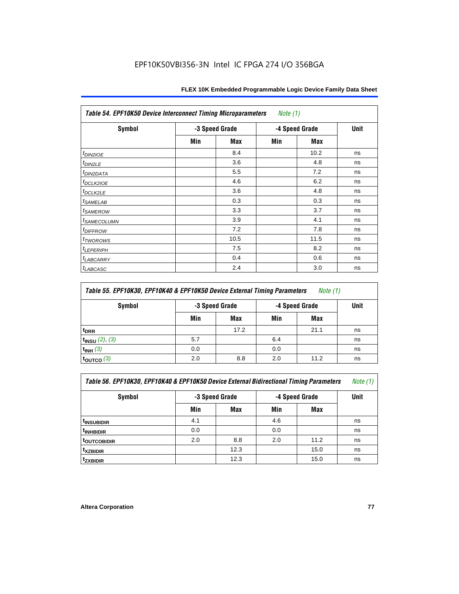| Table 54. EPF10K50 Device Interconnect Timing Microparameters<br>Note $(1)$ |                |      |     |                |             |  |  |  |
|-----------------------------------------------------------------------------|----------------|------|-----|----------------|-------------|--|--|--|
| <b>Symbol</b>                                                               | -3 Speed Grade |      |     | -4 Speed Grade | <b>Unit</b> |  |  |  |
|                                                                             | Min            | Max  | Min | Max            |             |  |  |  |
| $t_{DIN2IOE}$                                                               |                | 8.4  |     | 10.2           | ns          |  |  |  |
| t <sub>DIN2LE</sub>                                                         |                | 3.6  |     | 4.8            | ns          |  |  |  |
| <sup>t</sup> DIN2DATA                                                       |                | 5.5  |     | 7.2            | ns          |  |  |  |
| t <sub>DCLK2IOE</sub>                                                       |                | 4.6  |     | 6.2            | ns          |  |  |  |
| $t_{DCLK2LE}$                                                               |                | 3.6  |     | 4.8            | ns          |  |  |  |
| <i>t<sub>SAMELAB</sub></i>                                                  |                | 0.3  |     | 0.3            | ns          |  |  |  |
| <i>t</i> SAMEROW                                                            |                | 3.3  |     | 3.7            | ns          |  |  |  |
| <i>t<sub>SAMECOLUMN</sub></i>                                               |                | 3.9  |     | 4.1            | ns          |  |  |  |
| <i>t<sub>DIFFROW</sub></i>                                                  |                | 7.2  |     | 7.8            | ns          |  |  |  |
| $t_{TWOROWS}$                                                               |                | 10.5 |     | 11.5           | ns          |  |  |  |
| <b><i>ILEPERIPH</i></b>                                                     |                | 7.5  |     | 8.2            | ns          |  |  |  |
| $t_{LABCARRY}$                                                              |                | 0.4  |     | 0.6            | ns          |  |  |  |
| $t_{LABCASC}$                                                               |                | 2.4  |     | 3.0            | ns          |  |  |  |

| Table 55. EPF10K30, EPF10K40 & EPF10K50 Device External Timing Parameters<br>Note (1) |                |      |                |             |    |  |  |  |
|---------------------------------------------------------------------------------------|----------------|------|----------------|-------------|----|--|--|--|
| Symbol                                                                                | -3 Speed Grade |      | -4 Speed Grade | <b>Unit</b> |    |  |  |  |
|                                                                                       | Min            | Max  | Min            | Max         |    |  |  |  |
| <sup>t</sup> DRR                                                                      |                | 17.2 |                | 21.1        | ns |  |  |  |
| $t_{INSU}$ (2), (3)                                                                   | 5.7            |      | 6.4            |             | ns |  |  |  |
| $t_{INH}$ (3)                                                                         | 0.0            |      | 0.0            |             | ns |  |  |  |
| $t_{\text{OUTCO}}(3)$                                                                 | 2.0            | 8.8  | 2.0            | 11.2        | ns |  |  |  |

| Table 56. EPF10K30, EPF10K40 & EPF10K50 Device External Bidirectional Timing Parameters<br>Note (1) |                |      |     |                |             |  |  |  |
|-----------------------------------------------------------------------------------------------------|----------------|------|-----|----------------|-------------|--|--|--|
| Symbol                                                                                              | -3 Speed Grade |      |     | -4 Speed Grade | <b>Unit</b> |  |  |  |
|                                                                                                     | Min            | Max  | Min | Max            |             |  |  |  |
| <sup>t</sup> INSUBIDIR                                                                              | 4.1            |      | 4.6 |                | ns          |  |  |  |
| <sup>t</sup> INHBIDIR                                                                               | 0.0            |      | 0.0 |                | ns          |  |  |  |
| t <sub>outcobidir</sub>                                                                             | 2.0            | 8.8  | 2.0 | 11.2           | ns          |  |  |  |
| <sup>t</sup> xzbidir                                                                                |                | 12.3 |     | 15.0           | ns          |  |  |  |
| <sup>t</sup> zxbidir                                                                                |                | 12.3 |     | 15.0           | ns          |  |  |  |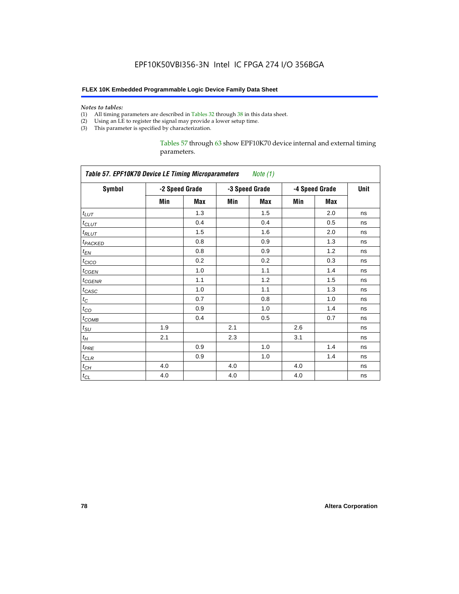#### *Notes to tables:*

- (1) All timing parameters are described in Tables 32 through 38 in this data sheet.
- (2) Using an LE to register the signal may provide a lower setup time.
- (3) This parameter is specified by characterization.

Tables 57 through 63 show EPF10K70 device internal and external timing parameters.

| <b>Table 57. EPF10K70 Device LE Timing Microparameters</b><br>Note (1) |     |                |     |                |     |                |    |  |
|------------------------------------------------------------------------|-----|----------------|-----|----------------|-----|----------------|----|--|
| <b>Symbol</b>                                                          |     | -2 Speed Grade |     | -3 Speed Grade |     | -4 Speed Grade |    |  |
|                                                                        | Min | Max            | Min | <b>Max</b>     | Min | <b>Max</b>     |    |  |
| $t_{LUT}$                                                              |     | 1.3            |     | 1.5            |     | 2.0            | ns |  |
| $t$ CLUT                                                               |     | 0.4            |     | 0.4            |     | 0.5            | ns |  |
| $t_{RLUT}$                                                             |     | 1.5            |     | 1.6            |     | 2.0            | ns |  |
| t <sub>PACKED</sub>                                                    |     | 0.8            |     | 0.9            |     | 1.3            | ns |  |
| $t_{EN}$                                                               |     | 0.8            |     | 0.9            |     | 1.2            | ns |  |
| $t_{CICO}$                                                             |     | 0.2            |     | 0.2            |     | 0.3            | ns |  |
| $t_{GEN}$                                                              |     | 1.0            |     | 1.1            |     | 1.4            | ns |  |
| $t_{\text{GENR}}$                                                      |     | 1.1            |     | 1.2            |     | 1.5            | ns |  |
| $t_{CASC}$                                                             |     | 1.0            |     | 1.1            |     | 1.3            | ns |  |
| $t_C$                                                                  |     | 0.7            |     | 0.8            |     | 1.0            | ns |  |
| $t_{CO}$                                                               |     | 0.9            |     | 1.0            |     | 1.4            | ns |  |
| $t_{COMB}$                                                             |     | 0.4            |     | 0.5            |     | 0.7            | ns |  |
| $t_{\text{SU}}$                                                        | 1.9 |                | 2.1 |                | 2.6 |                | ns |  |
| $t_H$                                                                  | 2.1 |                | 2.3 |                | 3.1 |                | ns |  |
| $t_{PRE}$                                                              |     | 0.9            |     | 1.0            |     | 1.4            | ns |  |
| $t_{CLR}$                                                              |     | 0.9            |     | 1.0            |     | 1.4            | ns |  |
| $t_{CH}$                                                               | 4.0 |                | 4.0 |                | 4.0 |                | ns |  |
| $t_{CL}$                                                               | 4.0 |                | 4.0 |                | 4.0 |                | ns |  |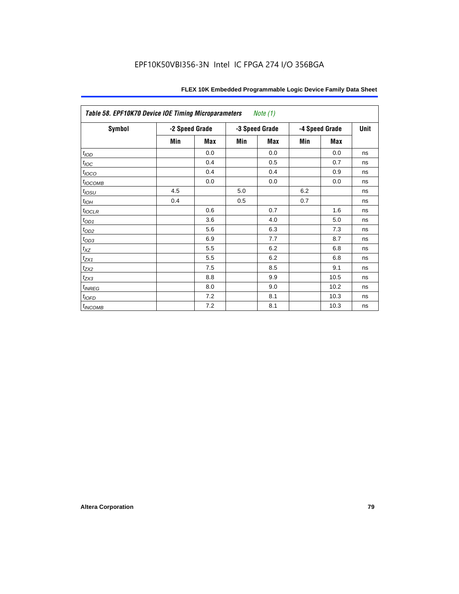| <b>Table 58. EPF10K70 Device IOE Timing Microparameters</b><br>Note (1) |                |            |     |                |     |                |    |  |  |
|-------------------------------------------------------------------------|----------------|------------|-----|----------------|-----|----------------|----|--|--|
| Symbol                                                                  | -2 Speed Grade |            |     | -3 Speed Grade |     | -4 Speed Grade |    |  |  |
|                                                                         | Min            | <b>Max</b> | Min | <b>Max</b>     | Min | <b>Max</b>     |    |  |  |
| t <sub>IOD</sub>                                                        |                | 0.0        |     | 0.0            |     | 0.0            | ns |  |  |
| $t_{\text{IOC}}$                                                        |                | 0.4        |     | 0.5            |     | 0.7            | ns |  |  |
| $t_{IOCO}$                                                              |                | 0.4        |     | 0.4            |     | 0.9            | ns |  |  |
| $t_{IOCOMB}$                                                            |                | 0.0        |     | 0.0            |     | 0.0            | ns |  |  |
| $t_{IOSU}$                                                              | 4.5            |            | 5.0 |                | 6.2 |                | ns |  |  |
| $t_{IOH}$                                                               | 0.4            |            | 0.5 |                | 0.7 |                | ns |  |  |
| $t_{IOCLR}$                                                             |                | 0.6        |     | 0.7            |     | 1.6            | ns |  |  |
| $t_{\text{OD1}}$                                                        |                | 3.6        |     | 4.0            |     | 5.0            | ns |  |  |
| $t_{\rm OD2}$                                                           |                | 5.6        |     | 6.3            |     | 7.3            | ns |  |  |
| $t_{\text{OD3}}$                                                        |                | 6.9        |     | 7.7            |     | 8.7            | ns |  |  |
| $t_{XZ}$                                                                |                | 5.5        |     | 6.2            |     | 6.8            | ns |  |  |
| $t_{ZX1}$                                                               |                | 5.5        |     | 6.2            |     | 6.8            | ns |  |  |
| $t_{ZX2}$                                                               |                | 7.5        |     | 8.5            |     | 9.1            | ns |  |  |
| $t_{\underline{ZX3}}$                                                   |                | 8.8        |     | 9.9            |     | 10.5           | ns |  |  |
| $t_{INREG}$                                                             |                | 8.0        |     | 9.0            |     | 10.2           | ns |  |  |
| $t_{IOFD}$                                                              |                | 7.2        |     | 8.1            |     | 10.3           | ns |  |  |
| $t_{INCOMB}$                                                            |                | 7.2        |     | 8.1            |     | 10.3           | ns |  |  |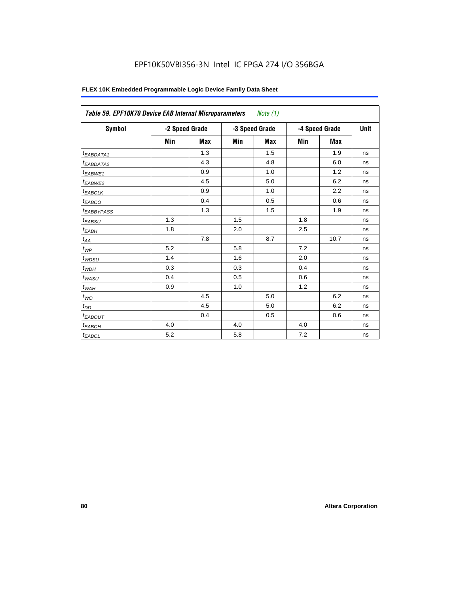|                        | Table 59. EPF10K70 Device EAB Internal Microparameters<br>Note $(1)$ |            |     |                |     |                |    |  |  |  |  |  |
|------------------------|----------------------------------------------------------------------|------------|-----|----------------|-----|----------------|----|--|--|--|--|--|
| Symbol                 | -2 Speed Grade                                                       |            |     | -3 Speed Grade |     | -4 Speed Grade |    |  |  |  |  |  |
|                        | Min                                                                  | <b>Max</b> | Min | <b>Max</b>     | Min | <b>Max</b>     |    |  |  |  |  |  |
| <sup>t</sup> EABDATA1  |                                                                      | 1.3        |     | 1.5            |     | 1.9            | ns |  |  |  |  |  |
| t <sub>EABDATA2</sub>  |                                                                      | 4.3        |     | 4.8            |     | 6.0            | ns |  |  |  |  |  |
| $t_{EABWE1}$           |                                                                      | 0.9        |     | 1.0            |     | 1.2            | ns |  |  |  |  |  |
| t <sub>EABWE2</sub>    |                                                                      | 4.5        |     | 5.0            |     | 6.2            | ns |  |  |  |  |  |
| <sup>t</sup> EABCLK    |                                                                      | 0.9        |     | 1.0            |     | 2.2            | ns |  |  |  |  |  |
| t <sub>EABCO</sub>     |                                                                      | 0.4        |     | 0.5            |     | 0.6            | ns |  |  |  |  |  |
| <sup>t</sup> EABBYPASS |                                                                      | 1.3        |     | 1.5            |     | 1.9            | ns |  |  |  |  |  |
| t <sub>EABSU</sub>     | 1.3                                                                  |            | 1.5 |                | 1.8 |                | ns |  |  |  |  |  |
| t <sub>ЕАВН</sub>      | 1.8                                                                  |            | 2.0 |                | 2.5 |                | ns |  |  |  |  |  |
| $t_{AA}$               |                                                                      | 7.8        |     | 8.7            |     | 10.7           | ns |  |  |  |  |  |
| $t_{WP}$               | 5.2                                                                  |            | 5.8 |                | 7.2 |                | ns |  |  |  |  |  |
| $t_{WDSU}$             | 1.4                                                                  |            | 1.6 |                | 2.0 |                | ns |  |  |  |  |  |
| $t_{WDH}$              | 0.3                                                                  |            | 0.3 |                | 0.4 |                | ns |  |  |  |  |  |
| $t_{WASU}$             | 0.4                                                                  |            | 0.5 |                | 0.6 |                | ns |  |  |  |  |  |
| $t_{WAH}$              | 0.9                                                                  |            | 1.0 |                | 1.2 |                | ns |  |  |  |  |  |
| $t_{WO}$               |                                                                      | 4.5        |     | 5.0            |     | 6.2            | ns |  |  |  |  |  |
| $t_{DD}$               |                                                                      | 4.5        |     | 5.0            |     | 6.2            | ns |  |  |  |  |  |
| <sup>t</sup> EABOUT    |                                                                      | 0.4        |     | 0.5            |     | 0.6            | ns |  |  |  |  |  |
| <sup>t</sup> ЕАВСН     | 4.0                                                                  |            | 4.0 |                | 4.0 |                | ns |  |  |  |  |  |
| $t_{EABCL}$            | 5.2                                                                  |            | 5.8 |                | 7.2 |                | ns |  |  |  |  |  |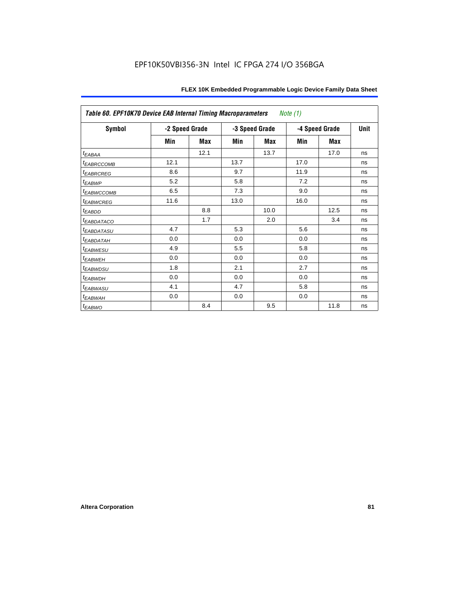|                         | Table 60. EPF10K70 Device EAB Internal Timing Macroparameters<br>Note $(1)$ |      |                |      |                |      |    |  |  |  |  |  |
|-------------------------|-----------------------------------------------------------------------------|------|----------------|------|----------------|------|----|--|--|--|--|--|
| Symbol                  | -2 Speed Grade                                                              |      | -3 Speed Grade |      | -4 Speed Grade | Unit |    |  |  |  |  |  |
|                         | Min                                                                         | Max  | Min            | Max  | Min            | Max  |    |  |  |  |  |  |
| $t_{EABA}$              |                                                                             | 12.1 |                | 13.7 |                | 17.0 | ns |  |  |  |  |  |
| <b><i>EABRCCOMB</i></b> | 12.1                                                                        |      | 13.7           |      | 17.0           |      | ns |  |  |  |  |  |
| <b><i>EABRCREG</i></b>  | 8.6                                                                         |      | 9.7            |      | 11.9           |      | ns |  |  |  |  |  |
| t <sub>EABWP</sub>      | 5.2                                                                         |      | 5.8            |      | 7.2            |      | ns |  |  |  |  |  |
| <sup>I</sup> EABWCCOMB  | 6.5                                                                         |      | 7.3            |      | 9.0            |      | ns |  |  |  |  |  |
| <b><i>EABWCREG</i></b>  | 11.6                                                                        |      | 13.0           |      | 16.0           |      | ns |  |  |  |  |  |
| <sup>t</sup> EABDD      |                                                                             | 8.8  |                | 10.0 |                | 12.5 | ns |  |  |  |  |  |
| <b><i>EABDATACO</i></b> |                                                                             | 1.7  |                | 2.0  |                | 3.4  | ns |  |  |  |  |  |
| <sup>t</sup> EABDATASU  | 4.7                                                                         |      | 5.3            |      | 5.6            |      | ns |  |  |  |  |  |
| <b>EABDATAH</b>         | 0.0                                                                         |      | 0.0            |      | 0.0            |      | ns |  |  |  |  |  |
| <i><b>EABWESU</b></i>   | 4.9                                                                         |      | 5.5            |      | 5.8            |      | ns |  |  |  |  |  |
| <sup>t</sup> EABWEH     | 0.0                                                                         |      | 0.0            |      | 0.0            |      | ns |  |  |  |  |  |
| <sup>t</sup> EABWDSU    | 1.8                                                                         |      | 2.1            |      | 2.7            |      | ns |  |  |  |  |  |
| <sup>t</sup> EABWDH     | 0.0                                                                         |      | 0.0            |      | 0.0            |      | ns |  |  |  |  |  |
| <sup>t</sup> EABWASU    | 4.1                                                                         |      | 4.7            |      | 5.8            |      | ns |  |  |  |  |  |
| <sup>t</sup> EABWAH     | 0.0                                                                         |      | 0.0            |      | 0.0            |      | ns |  |  |  |  |  |
| <sup>t</sup> EABWO      |                                                                             | 8.4  |                | 9.5  |                | 11.8 | ns |  |  |  |  |  |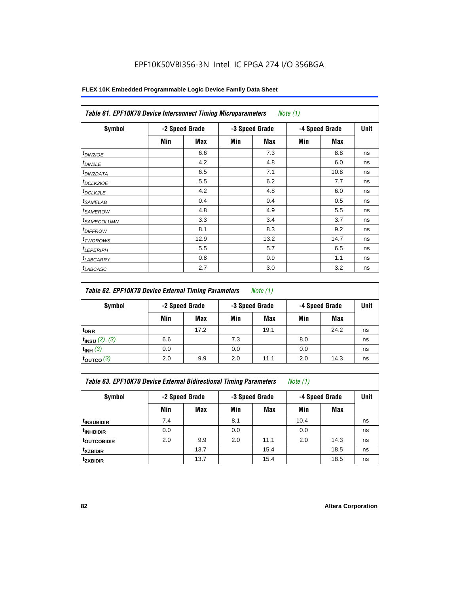| Table 61. EPF10K70 Device Interconnect Timing Microparameters<br>Note $(1)$ |                |      |     |                |                |      |    |  |  |  |  |
|-----------------------------------------------------------------------------|----------------|------|-----|----------------|----------------|------|----|--|--|--|--|
| Symbol                                                                      | -2 Speed Grade |      |     | -3 Speed Grade | -4 Speed Grade | Unit |    |  |  |  |  |
|                                                                             | Min            | Max  | Min | Max            | Min            | Max  |    |  |  |  |  |
| $t_{DINZIOE}$                                                               |                | 6.6  |     | 7.3            |                | 8.8  | ns |  |  |  |  |
| $t_{DIN2LE}$                                                                |                | 4.2  |     | 4.8            |                | 6.0  | ns |  |  |  |  |
| <sup>t</sup> DIN2DATA                                                       |                | 6.5  |     | 7.1            |                | 10.8 | ns |  |  |  |  |
| <sup>t</sup> DCLK2IOE                                                       |                | 5.5  |     | 6.2            |                | 7.7  | ns |  |  |  |  |
| $t$ DCLK2LE                                                                 |                | 4.2  |     | 4.8            |                | 6.0  | ns |  |  |  |  |
| <sup>t</sup> SAMELAB                                                        |                | 0.4  |     | 0.4            |                | 0.5  | ns |  |  |  |  |
| <sup>t</sup> SAMEROW                                                        |                | 4.8  |     | 4.9            |                | 5.5  | ns |  |  |  |  |
| <sup>t</sup> SAMECOLUMN                                                     |                | 3.3  |     | 3.4            |                | 3.7  | ns |  |  |  |  |
| <sup>t</sup> DIFFROW                                                        |                | 8.1  |     | 8.3            |                | 9.2  | ns |  |  |  |  |
| <sup>T</sup> TWOROWS                                                        |                | 12.9 |     | 13.2           |                | 14.7 | ns |  |  |  |  |
| <sup>t</sup> LEPERIPH                                                       |                | 5.5  |     | 5.7            |                | 6.5  | ns |  |  |  |  |
| <b>LABCARRY</b>                                                             |                | 0.8  |     | 0.9            |                | 1.1  | ns |  |  |  |  |
| <sup>t</sup> LABCASC                                                        |                | 2.7  |     | 3.0            |                | 3.2  | ns |  |  |  |  |

| Table 62. EPF10K70 Device External Timing Parameters<br>Note $(1)$ |     |                |     |                |                |      |             |  |  |  |
|--------------------------------------------------------------------|-----|----------------|-----|----------------|----------------|------|-------------|--|--|--|
| Symbol                                                             |     | -2 Speed Grade |     | -3 Speed Grade | -4 Speed Grade |      | <b>Unit</b> |  |  |  |
|                                                                    | Min | Max            | Min | Max            | Min            | Max  |             |  |  |  |
| <sup>t</sup> DRR                                                   |     | 17.2           |     | 19.1           |                | 24.2 | ns          |  |  |  |
| $t_{INSU}$ (2), (3)                                                | 6.6 |                | 7.3 |                | 8.0            |      | ns          |  |  |  |
| $t_{INH}$ (3)                                                      | 0.0 |                | 0.0 |                | 0.0            |      | ns          |  |  |  |
| $t_{\text{OUTCO}}(3)$                                              | 2.0 | 9.9            | 2.0 | 11.1           | 2.0            | 14.3 | ns          |  |  |  |

*Table 63. EPF10K70 Device External Bidirectional Timing Parameters Note (1)*

| <b>Symbol</b>           | -2 Speed Grade |            |     | -3 Speed Grade | -4 Speed Grade | <b>Unit</b> |    |
|-------------------------|----------------|------------|-----|----------------|----------------|-------------|----|
|                         | Min            | <b>Max</b> | Min | <b>Max</b>     | Min            | <b>Max</b>  |    |
| <sup>t</sup> INSUBIDIR  | 7.4            |            | 8.1 |                | 10.4           |             | ns |
| <sup>t</sup> INHBIDIR   | 0.0            |            | 0.0 |                | 0.0            |             | ns |
| <sup>t</sup> OUTCOBIDIR | 2.0            | 9.9        | 2.0 | 11.1           | 2.0            | 14.3        | ns |
| <sup>t</sup> xzbidir    |                | 13.7       |     | 15.4           |                | 18.5        | ns |
| <sup>t</sup> zxbidir    |                | 13.7       |     | 15.4           |                | 18.5        | ns |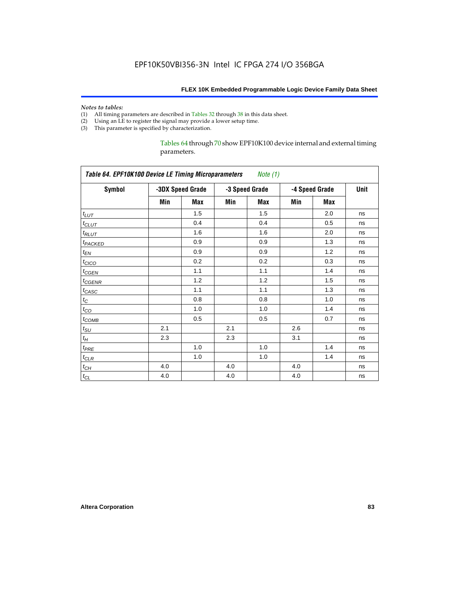#### *Notes to tables:*

- (1) All timing parameters are described in Tables 32 through 38 in this data sheet.
- (2) Using an LE to register the signal may provide a lower setup time.
- (3) This parameter is specified by characterization.

Tables 64 through 70 show EPF10K100 device internal and external timing parameters.

| <b>Symbol</b>       |     | -3DX Speed Grade |     | -3 Speed Grade | -4 Speed Grade | Unit       |    |
|---------------------|-----|------------------|-----|----------------|----------------|------------|----|
|                     | Min | Max              | Min | Max            | Min            | <b>Max</b> |    |
| $t_{LUT}$           |     | 1.5              |     | 1.5            |                | 2.0        | ns |
| $t_{CLUT}$          |     | 0.4              |     | 0.4            |                | 0.5        | ns |
| $t_{RLUT}$          |     | 1.6              |     | 1.6            |                | 2.0        | ns |
| t <sub>PACKED</sub> |     | 0.9              |     | 0.9            |                | 1.3        | ns |
| $t_{EN}$            |     | 0.9              |     | 0.9            |                | 1.2        | ns |
| $t_{CICO}$          |     | 0.2              |     | 0.2            |                | 0.3        | ns |
| $t_{CSEN}$          |     | 1.1              |     | 1.1            |                | 1.4        | ns |
| $t_{GENR}$          |     | 1.2              |     | 1.2            |                | 1.5        | ns |
| $t_{CASC}$          |     | 1.1              |     | 1.1            |                | 1.3        | ns |
| $t_C$               |     | 0.8              |     | 0.8            |                | 1.0        | ns |
| $t_{CO}$            |     | 1.0              |     | 1.0            |                | 1.4        | ns |
| $t_{COMB}$          |     | 0.5              |     | 0.5            |                | 0.7        | ns |
| $t_{\text{SU}}$     | 2.1 |                  | 2.1 |                | 2.6            |            | ns |
| $t_H$               | 2.3 |                  | 2.3 |                | 3.1            |            | ns |
| $t_{PRE}$           |     | 1.0              |     | 1.0            |                | 1.4        | ns |
| $t_{CLR}$           |     | 1.0              |     | 1.0            |                | 1.4        | ns |
| $t_{CH}$            | 4.0 |                  | 4.0 |                | 4.0            |            | ns |
| $t_{CL}$            | 4.0 |                  | 4.0 |                | 4.0            |            | ns |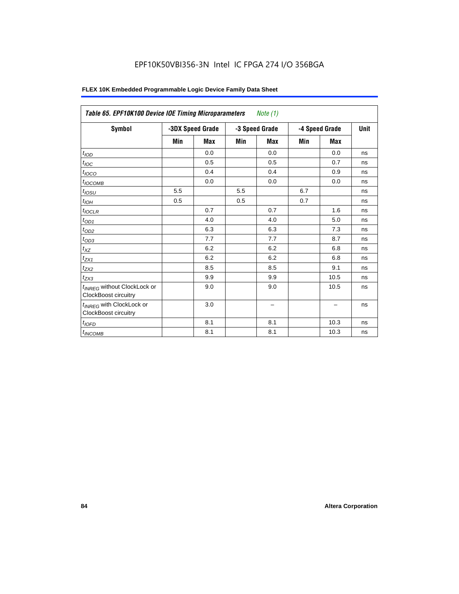| <b>Symbol</b>                                                          | -3DX Speed Grade |            | -3 Speed Grade |                          | -4 Speed Grade | Unit                     |    |
|------------------------------------------------------------------------|------------------|------------|----------------|--------------------------|----------------|--------------------------|----|
|                                                                        | Min              | <b>Max</b> | Min            | <b>Max</b>               | Min            | <b>Max</b>               |    |
| t <sub>IOD</sub>                                                       |                  | 0.0        |                | 0.0                      |                | 0.0                      | ns |
| $t_{\text{IOC}}$                                                       |                  | 0.5        |                | 0.5                      |                | 0.7                      | ns |
| $t_{IOCO}$                                                             |                  | 0.4        |                | 0.4                      |                | 0.9                      | ns |
| $t_{IOCOMB}$                                                           |                  | 0.0        |                | 0.0                      |                | 0.0                      | ns |
| $t_{IOSU}$                                                             | 5.5              |            | 5.5            |                          | 6.7            |                          | ns |
| $t_{IOH}$                                                              | 0.5              |            | 0.5            |                          | 0.7            |                          | ns |
| $t_{IOCLR}$                                                            |                  | 0.7        |                | 0.7                      |                | 1.6                      | ns |
| $t_{OD1}$                                                              |                  | 4.0        |                | 4.0                      |                | 5.0                      | ns |
| $t_{OD2}$                                                              |                  | 6.3        |                | 6.3                      |                | 7.3                      | ns |
| $t_{OD3}$                                                              |                  | 7.7        |                | 7.7                      |                | 8.7                      | ns |
| $t_{XZ}$                                                               |                  | 6.2        |                | 6.2                      |                | 6.8                      | ns |
| $t_{ZX1}$                                                              |                  | 6.2        |                | 6.2                      |                | 6.8                      | ns |
| $t_{ZX2}$                                                              |                  | 8.5        |                | 8.5                      |                | 9.1                      | ns |
| $t_{ZX3}$                                                              |                  | 9.9        |                | 9.9                      |                | 10.5                     | ns |
| t <sub>INREG</sub> without ClockLock or<br><b>ClockBoost circuitry</b> |                  | 9.0        |                | 9.0                      |                | 10.5                     | ns |
| t <sub>INREG</sub> with ClockLock or<br>ClockBoost circuitry           |                  | 3.0        |                | $\overline{\phantom{0}}$ |                | $\overline{\phantom{0}}$ | ns |
| $t_{IOFD}$                                                             |                  | 8.1        |                | 8.1                      |                | 10.3                     | ns |
| $t_{INCOMB}$                                                           |                  | 8.1        |                | 8.1                      |                | 10.3                     | ns |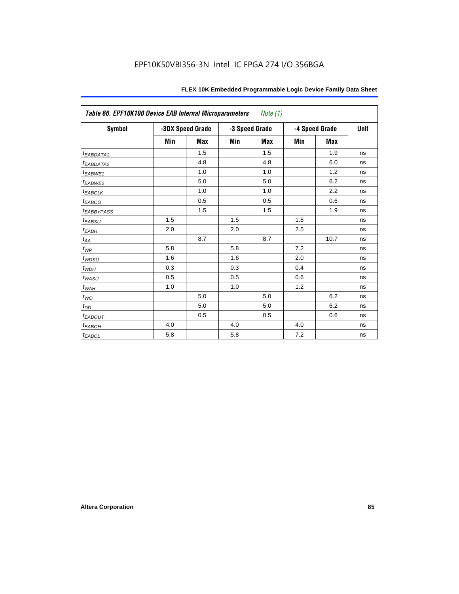|                         | Table 66. EPF10K100 Device EAB Internal Microparameters<br>Note (1) |                  |     |                |     |                |      |  |  |  |  |  |
|-------------------------|---------------------------------------------------------------------|------------------|-----|----------------|-----|----------------|------|--|--|--|--|--|
| Symbol                  |                                                                     | -3DX Speed Grade |     | -3 Speed Grade |     | -4 Speed Grade | Unit |  |  |  |  |  |
|                         | Min                                                                 | Max              | Min | Max            | Min | Max            |      |  |  |  |  |  |
| <i>EABDATA1</i>         |                                                                     | 1.5              |     | 1.5            |     | 1.9            | ns   |  |  |  |  |  |
| t <sub>EABDATA2</sub>   |                                                                     | 4.8              |     | 4.8            |     | 6.0            | ns   |  |  |  |  |  |
| $t_{EABWE1}$            |                                                                     | 1.0              |     | 1.0            |     | 1.2            | ns   |  |  |  |  |  |
| $t_{EABWE2}$            |                                                                     | 5.0              |     | 5.0            |     | 6.2            | ns   |  |  |  |  |  |
| $t_{EABCLK}$            |                                                                     | 1.0              |     | 1.0            |     | 2.2            | ns   |  |  |  |  |  |
| $t_{EABCO}$             |                                                                     | 0.5              |     | 0.5            |     | 0.6            | ns   |  |  |  |  |  |
| <i><b>EABBYPASS</b></i> |                                                                     | 1.5              |     | 1.5            |     | 1.9            | ns   |  |  |  |  |  |
| $t_{EABSU}$             | 1.5                                                                 |                  | 1.5 |                | 1.8 |                | ns   |  |  |  |  |  |
| $t_{EABH}$              | 2.0                                                                 |                  | 2.0 |                | 2.5 |                | ns   |  |  |  |  |  |
| $t_{\rm AA}$            |                                                                     | 8.7              |     | 8.7            |     | 10.7           | ns   |  |  |  |  |  |
| $t_{WP}$                | 5.8                                                                 |                  | 5.8 |                | 7.2 |                | ns   |  |  |  |  |  |
| $t_{WDSU}$              | 1.6                                                                 |                  | 1.6 |                | 2.0 |                | ns   |  |  |  |  |  |
| $t_{WDH}$               | 0.3                                                                 |                  | 0.3 |                | 0.4 |                | ns   |  |  |  |  |  |
| $t_{WASU}$              | 0.5                                                                 |                  | 0.5 |                | 0.6 |                | ns   |  |  |  |  |  |
| $t_{WAH}$               | 1.0                                                                 |                  | 1.0 |                | 1.2 |                | ns   |  |  |  |  |  |
| $t_{WO}$                |                                                                     | 5.0              |     | 5.0            |     | 6.2            | ns   |  |  |  |  |  |
| $t_{DD}$                |                                                                     | 5.0              |     | 5.0            |     | 6.2            | ns   |  |  |  |  |  |
| $t_{EABOUT}$            |                                                                     | 0.5              |     | 0.5            |     | 0.6            | ns   |  |  |  |  |  |
| $t_{EABCH}$             | 4.0                                                                 |                  | 4.0 |                | 4.0 |                | ns   |  |  |  |  |  |
| $t_{EABCL}$             | 5.8                                                                 |                  | 5.8 |                | 7.2 |                | ns   |  |  |  |  |  |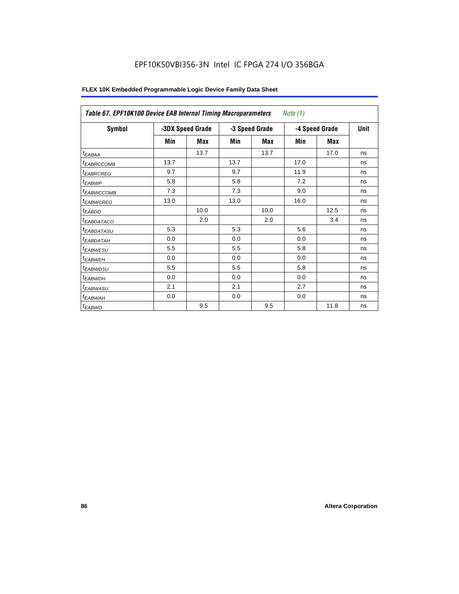| Table 67. EPF10K100 Device EAB Internal Timing Macroparameters |                  |      |      |                | Note (1) |                |             |
|----------------------------------------------------------------|------------------|------|------|----------------|----------|----------------|-------------|
| Symbol                                                         | -3DX Speed Grade |      |      | -3 Speed Grade |          | -4 Speed Grade | <b>Unit</b> |
|                                                                | Min              | Max  | Min  | Max            | Min      | Max            |             |
| t <sub>EABAA</sub>                                             |                  | 13.7 |      | 13.7           |          | 17.0           | ns          |
| <sup>t</sup> EABRCCOMB                                         | 13.7             |      | 13.7 |                | 17.0     |                | ns          |
| <sup>t</sup> EABRCREG                                          | 9.7              |      | 9.7  |                | 11.9     |                | ns          |
| <sup>t</sup> EABWP                                             | 5.8              |      | 5.8  |                | 7.2      |                | ns          |
| <sup>t</sup> EABWCCOMB                                         | 7.3              |      | 7.3  |                | 9.0      |                | ns          |
| <sup>t</sup> EABWCREG                                          | 13.0             |      | 13.0 |                | 16.0     |                | ns          |
| <sup>t</sup> EABDD                                             |                  | 10.0 |      | 10.0           |          | 12.5           | ns          |
| <sup>t</sup> EABDATACO                                         |                  | 2.0  |      | 2.0            |          | 3.4            | ns          |
| <sup>t</sup> EABDATASU                                         | 5.3              |      | 5.3  |                | 5.6      |                | ns          |
| <sup>t</sup> EABDATAH                                          | 0.0              |      | 0.0  |                | 0.0      |                | ns          |
| <sup>t</sup> EABWESU                                           | 5.5              |      | 5.5  |                | 5.8      |                | ns          |
| <sup>t</sup> EABWEH                                            | 0.0              |      | 0.0  |                | 0.0      |                | ns          |
| <sup>t</sup> EABWDSU                                           | 5.5              |      | 5.5  |                | 5.8      |                | ns          |
| <sup>t</sup> EABWDH                                            | 0.0              |      | 0.0  |                | 0.0      |                | ns          |
| <sup>t</sup> EABWASU                                           | 2.1              |      | 2.1  |                | 2.7      |                | ns          |
| <sup>t</sup> EABWAH                                            | 0.0              |      | 0.0  |                | 0.0      |                | ns          |
| <sup>t</sup> EABWO                                             |                  | 9.5  |      | 9.5            |          | 11.8           | ns          |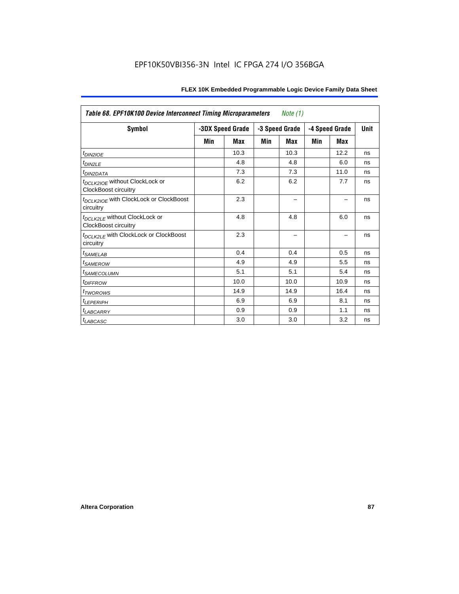| Table 68. EPF10K100 Device Interconnect Timing Microparameters<br>Note (1) |     |                  |     |                |     |                |             |  |  |  |  |
|----------------------------------------------------------------------------|-----|------------------|-----|----------------|-----|----------------|-------------|--|--|--|--|
| <b>Symbol</b>                                                              |     | -3DX Speed Grade |     | -3 Speed Grade |     | -4 Speed Grade | <b>Unit</b> |  |  |  |  |
|                                                                            | Min | Max              | Min | <b>Max</b>     | Min | <b>Max</b>     |             |  |  |  |  |
| $t_{DINZIOE}$                                                              |     | 10.3             |     | 10.3           |     | 12.2           | ns          |  |  |  |  |
| t <sub>DIN2LE</sub>                                                        |     | 4.8              |     | 4.8            |     | 6.0            | ns          |  |  |  |  |
| <sup>t</sup> DIN2DATA                                                      |     | 7.3              |     | 7.3            |     | 11.0           | ns          |  |  |  |  |
| t <sub>DCLK2IOE</sub> without ClockLock or<br><b>ClockBoost circuitry</b>  |     | 6.2              |     | 6.2            |     | 7.7            | ns          |  |  |  |  |
| t <sub>DCLK2IOE</sub> with ClockLock or ClockBoost<br>circuitry            |     | 2.3              |     |                |     |                | ns          |  |  |  |  |
| t <sub>DCLK2LE</sub> without ClockLock or<br><b>ClockBoost circuitry</b>   |     | 4.8              |     | 4.8            |     | 6.0            | ns          |  |  |  |  |
| t <sub>DCLK2LE</sub> with ClockLock or ClockBoost<br>circuitry             |     | 2.3              |     |                |     |                | ns          |  |  |  |  |
| <i>t</i> SAMELAB                                                           |     | 0.4              |     | 0.4            |     | 0.5            | ns          |  |  |  |  |
| <sup>t</sup> SAMEROW                                                       |     | 4.9              |     | 4.9            |     | 5.5            | ns          |  |  |  |  |
| <sup>t</sup> SAMECOLUMN                                                    |     | 5.1              |     | 5.1            |     | 5.4            | ns          |  |  |  |  |
| <i>t<sub>DIFFROW</sub></i>                                                 |     | 10.0             |     | 10.0           |     | 10.9           | ns          |  |  |  |  |
| <sup>t</sup> TWOROWS                                                       |     | 14.9             |     | 14.9           |     | 16.4           | ns          |  |  |  |  |
| <sup>t</sup> LEPERIPH                                                      |     | 6.9              |     | 6.9            |     | 8.1            | ns          |  |  |  |  |
| <b>LABCARRY</b>                                                            |     | 0.9              |     | 0.9            |     | 1.1            | ns          |  |  |  |  |
| <sup>t</sup> LABCASC                                                       |     | 3.0              |     | 3.0            |     | 3.2            | ns          |  |  |  |  |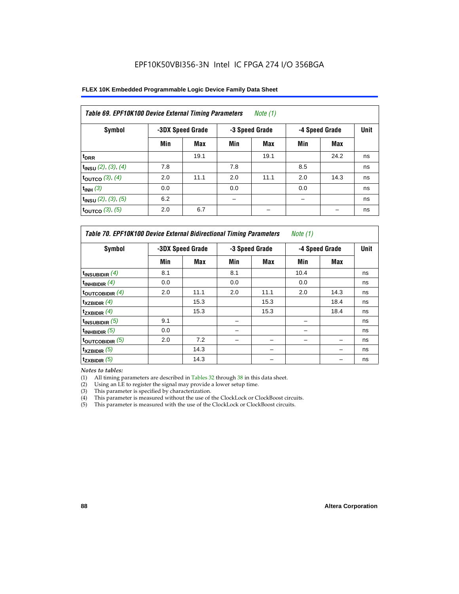| Table 69. EPF10K100 Device External Timing Parameters |     |                  |     | Note $(1)$     |     |                |      |
|-------------------------------------------------------|-----|------------------|-----|----------------|-----|----------------|------|
| Symbol                                                |     | -3DX Speed Grade |     | -3 Speed Grade |     | -4 Speed Grade | Unit |
|                                                       | Min | Max              | Min | Max            | Min | Max            |      |
| $t_{\text{DRR}}$                                      |     | 19.1             |     | 19.1           |     | 24.2           | ns   |
| $t_{INSU}$ (2), (3), (4)                              | 7.8 |                  | 7.8 |                | 8.5 |                | ns   |
| toutco $(3)$ , $(4)$                                  | 2.0 | 11.1             | 2.0 | 11.1           | 2.0 | 14.3           | ns   |
| $t_{INH}$ (3)                                         | 0.0 |                  | 0.0 |                | 0.0 |                | ns   |
| $t_{INSU}$ (2), (3), (5)                              | 6.2 |                  |     |                |     |                | ns   |
| toutco $(3)$ , $(5)$                                  | 2.0 | 6.7              |     |                |     |                | ns   |

| Table 70. EPF10K100 Device External Bidirectional Timing Parameters |     |                  |     |                | <i>Note</i> $(1)$ |      |    |
|---------------------------------------------------------------------|-----|------------------|-----|----------------|-------------------|------|----|
| Symbol                                                              |     | -3DX Speed Grade |     | -3 Speed Grade | -4 Speed Grade    | Unit |    |
|                                                                     | Min | Max              | Min | Max            | Min               | Max  |    |
| $t_{INSUBIDIR}$ (4)                                                 | 8.1 |                  | 8.1 |                | 10.4              |      | ns |
| $t_{INHBIDIR}$ (4)                                                  | 0.0 |                  | 0.0 |                | 0.0               |      | ns |
| toutcobidir $(4)$                                                   | 2.0 | 11.1             | 2.0 | 11.1           | 2.0               | 14.3 | ns |
| $t_{XZBIDIR}$ (4)                                                   |     | 15.3             |     | 15.3           |                   | 18.4 | ns |
| $t_{ZXBIDIR}$ $(4)$                                                 |     | 15.3             |     | 15.3           |                   | 18.4 | ns |
| $t_{INSUBIDIR}$ (5)                                                 | 9.1 |                  |     |                |                   |      | ns |
| $t_{INHBIDIR}$ (5)                                                  | 0.0 |                  |     |                |                   |      | ns |
| toutcobidir $(5)$                                                   | 2.0 | 7.2              |     |                |                   |      | ns |
| $t_{XZBIDIR}$ (5)                                                   |     | 14.3             |     |                |                   |      | ns |
| $t_{ZXBIDIR}$ (5)                                                   |     | 14.3             |     |                |                   |      | ns |

*Notes to tables:*

(1) All timing parameters are described in Tables 32 through 38 in this data sheet.

(2) Using an LE to register the signal may provide a lower setup time.

(3) This parameter is specified by characterization.

(4) This parameter is measured without the use of the ClockLock or ClockBoost circuits.

(5) This parameter is measured with the use of the ClockLock or ClockBoost circuits.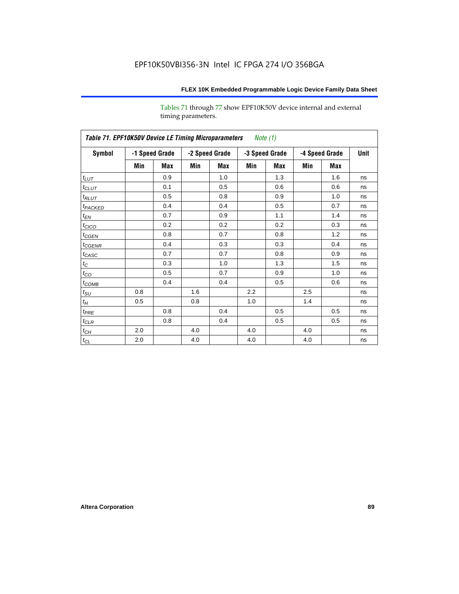Tables 71 through 77 show EPF10K50V device internal and external timing parameters.

| Table 71. EPF10K50V Device LE Timing Microparameters Note (1) |     |                |     |                |     |                |     |                |             |
|---------------------------------------------------------------|-----|----------------|-----|----------------|-----|----------------|-----|----------------|-------------|
| Symbol                                                        |     | -1 Speed Grade |     | -2 Speed Grade |     | -3 Speed Grade |     | -4 Speed Grade | <b>Unit</b> |
|                                                               | Min | Max            | Min | Max            | Min | Max            | Min | Max            |             |
| $t_{LUT}$                                                     |     | 0.9            |     | 1.0            |     | 1.3            |     | 1.6            | ns          |
| $t_{CLUT}$                                                    |     | 0.1            |     | 0.5            |     | 0.6            |     | 0.6            | ns          |
| $t_{RLUT}$                                                    |     | 0.5            |     | 0.8            |     | 0.9            |     | 1.0            | ns          |
| t <sub>PACKED</sub>                                           |     | 0.4            |     | 0.4            |     | 0.5            |     | 0.7            | ns          |
| $t_{EN}$                                                      |     | 0.7            |     | 0.9            |     | 1.1            |     | 1.4            | ns          |
| $t_{CICO}$                                                    |     | 0.2            |     | 0.2            |     | 0.2            |     | 0.3            | ns          |
| $t_{CGEN}$                                                    |     | 0.8            |     | 0.7            |     | 0.8            |     | 1.2            | ns          |
| $t_{\text{GENR}}$                                             |     | 0.4            |     | 0.3            |     | 0.3            |     | 0.4            | ns          |
| $t_{CASC}$                                                    |     | 0.7            |     | 0.7            |     | 0.8            |     | 0.9            | ns          |
| $t_C$                                                         |     | 0.3            |     | 1.0            |     | 1.3            |     | 1.5            | ns          |
| $t_{CO}$                                                      |     | 0.5            |     | 0.7            |     | 0.9            |     | 1.0            | ns          |
| $t_{COMB}$                                                    |     | 0.4            |     | 0.4            |     | 0.5            |     | 0.6            | ns          |
| $t_{\rm SU}$                                                  | 0.8 |                | 1.6 |                | 2.2 |                | 2.5 |                | ns          |
| $t_{\!H}$                                                     | 0.5 |                | 0.8 |                | 1.0 |                | 1.4 |                | ns          |
| $t_{PRE}$                                                     |     | 0.8            |     | 0.4            |     | 0.5            |     | 0.5            | ns          |
| $t_{CLR}$                                                     |     | 0.8            |     | 0.4            |     | 0.5            |     | 0.5            | ns          |
| $t_{\mathit{CH}}$                                             | 2.0 |                | 4.0 |                | 4.0 |                | 4.0 |                | ns          |
| $t_{\rm CL}$                                                  | 2.0 |                | 4.0 |                | 4.0 |                | 4.0 |                | ns          |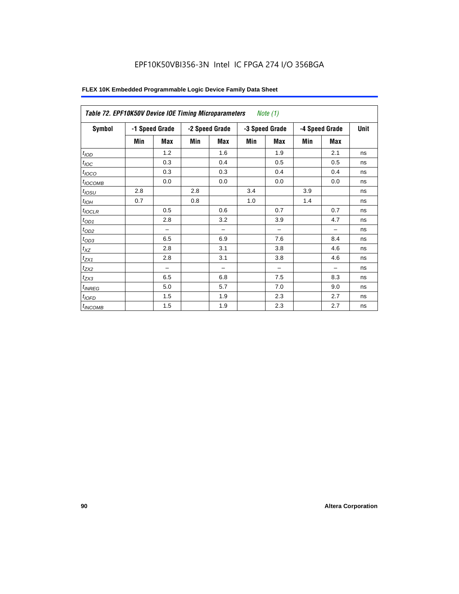| Symbol           |     | -1 Speed Grade |     | -2 Speed Grade           |     | -3 Speed Grade           |     | -4 Speed Grade | <b>Unit</b> |
|------------------|-----|----------------|-----|--------------------------|-----|--------------------------|-----|----------------|-------------|
|                  | Min | Max            | Min | <b>Max</b>               | Min | <b>Max</b>               | Min | <b>Max</b>     |             |
| t <sub>IOD</sub> |     | 1.2            |     | 1.6                      |     | 1.9                      |     | 2.1            | ns          |
| $t_{\text{IOC}}$ |     | 0.3            |     | 0.4                      |     | 0.5                      |     | 0.5            | ns          |
| $t_{IOCO}$       |     | 0.3            |     | 0.3                      |     | 0.4                      |     | 0.4            | ns          |
| $t_{IOCOMB}$     |     | 0.0            |     | 0.0                      |     | 0.0                      |     | 0.0            | ns          |
| $t_{IOSU}$       | 2.8 |                | 2.8 |                          | 3.4 |                          | 3.9 |                | ns          |
| $t_{IOH}$        | 0.7 |                | 0.8 |                          | 1.0 |                          | 1.4 |                | ns          |
| $t_{IOCLR}$      |     | 0.5            |     | 0.6                      |     | 0.7                      |     | 0.7            | ns          |
| $t_{OD1}$        |     | 2.8            |     | 3.2                      |     | 3.9                      |     | 4.7            | ns          |
| $t_{OD2}$        |     |                |     | $\overline{\phantom{0}}$ |     | $\overline{\phantom{0}}$ |     | -              | ns          |
| $t_{OD3}$        |     | 6.5            |     | 6.9                      |     | 7.6                      |     | 8.4            | ns          |
| $t_{XZ}$         |     | 2.8            |     | 3.1                      |     | 3.8                      |     | 4.6            | ns          |
| $t_{ZX1}$        |     | 2.8            |     | 3.1                      |     | 3.8                      |     | 4.6            | ns          |
| $t_{ZX2}$        |     |                |     |                          |     | -                        |     |                | ns          |
| $t_{ZX3}$        |     | 6.5            |     | 6.8                      |     | 7.5                      |     | 8.3            | ns          |
| $t_{INREG}$      |     | 5.0            |     | 5.7                      |     | 7.0                      |     | 9.0            | ns          |
| $t_{IOFD}$       |     | 1.5            |     | 1.9                      |     | 2.3                      |     | 2.7            | ns          |
| $t_{INCOMB}$     |     | 1.5            |     | 1.9                      |     | 2.3                      |     | 2.7            | ns          |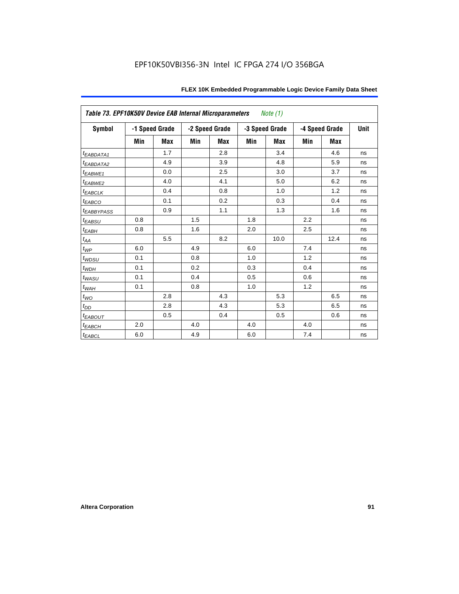| Table 73. EPF10K50V Device EAB Internal Microparameters |     |                |     |                |     | <i>Note</i> $(1)$ |     |                |             |
|---------------------------------------------------------|-----|----------------|-----|----------------|-----|-------------------|-----|----------------|-------------|
| <b>Symbol</b>                                           |     | -1 Speed Grade |     | -2 Speed Grade |     | -3 Speed Grade    |     | -4 Speed Grade | <b>Unit</b> |
|                                                         | Min | Max            | Min | <b>Max</b>     | Min | <b>Max</b>        | Min | Max            |             |
| <i>EABDATA1</i>                                         |     | 1.7            |     | 2.8            |     | 3.4               |     | 4.6            | ns          |
| <sup>t</sup> EABDATA2                                   |     | 4.9            |     | 3.9            |     | 4.8               |     | 5.9            | ns          |
| t <sub>EABWE1</sub>                                     |     | 0.0            |     | 2.5            |     | 3.0               |     | 3.7            | ns          |
| t <sub>EABWE2</sub>                                     |     | 4.0            |     | 4.1            |     | 5.0               |     | 6.2            | ns          |
| <sup>t</sup> EABCLK                                     |     | 0.4            |     | 0.8            |     | 1.0               |     | 1.2            | ns          |
| $t_{EABCO}$                                             |     | 0.1            |     | 0.2            |     | 0.3               |     | 0.4            | ns          |
| <i><b>EABBYPASS</b></i>                                 |     | 0.9            |     | 1.1            |     | 1.3               |     | 1.6            | ns          |
| $t_{EABSU}$                                             | 0.8 |                | 1.5 |                | 1.8 |                   | 2.2 |                | ns          |
| $t_{EABH}$                                              | 0.8 |                | 1.6 |                | 2.0 |                   | 2.5 |                | ns          |
| $t_{AA}$                                                |     | 5.5            |     | 8.2            |     | 10.0              |     | 12.4           | ns          |
| $t_{WP}$                                                | 6.0 |                | 4.9 |                | 6.0 |                   | 7.4 |                | ns          |
| $t_{WDSU}$                                              | 0.1 |                | 0.8 |                | 1.0 |                   | 1.2 |                | ns          |
| $t_{WDH}$                                               | 0.1 |                | 0.2 |                | 0.3 |                   | 0.4 |                | ns          |
| $t_{WASU}$                                              | 0.1 |                | 0.4 |                | 0.5 |                   | 0.6 |                | ns          |
| $t_{W\!A\!H}$                                           | 0.1 |                | 0.8 |                | 1.0 |                   | 1.2 |                | ns          |
| $t_{WO}$                                                |     | 2.8            |     | 4.3            |     | 5.3               |     | 6.5            | ns          |
| $t_{DD}$                                                |     | 2.8            |     | 4.3            |     | 5.3               |     | 6.5            | ns          |
| <b><i>EABOUT</i></b>                                    |     | 0.5            |     | 0.4            |     | 0.5               |     | 0.6            | ns          |
| $t_{EABCH}$                                             | 2.0 |                | 4.0 |                | 4.0 |                   | 4.0 |                | ns          |
| $t_{EABCL}$                                             | 6.0 |                | 4.9 |                | 6.0 |                   | 7.4 |                | ns          |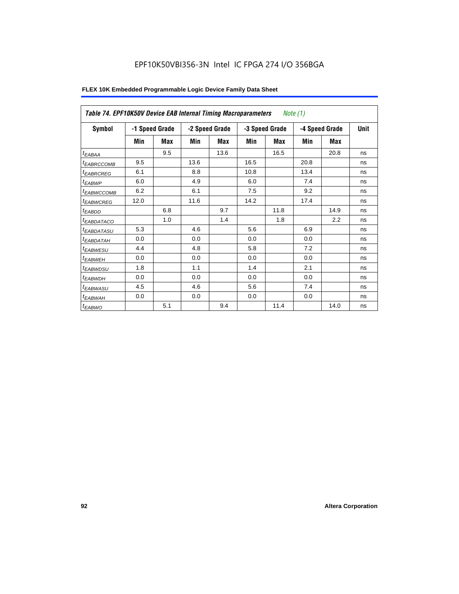| Table 74. EPF10K50V Device EAB Internal Timing Macroparameters |      |                |      |                |      | Note (1)       |      |                |             |
|----------------------------------------------------------------|------|----------------|------|----------------|------|----------------|------|----------------|-------------|
| <b>Symbol</b>                                                  |      | -1 Speed Grade |      | -2 Speed Grade |      | -3 Speed Grade |      | -4 Speed Grade | <b>Unit</b> |
|                                                                | Min  | Max            | Min  | Max            | Min  | Max            | Min  | Max            |             |
| t <sub>EABAA</sub>                                             |      | 9.5            |      | 13.6           |      | 16.5           |      | 20.8           | ns          |
| <sup>t</sup> EABRCCOMB                                         | 9.5  |                | 13.6 |                | 16.5 |                | 20.8 |                | ns          |
| <b><i>EABRCREG</i></b>                                         | 6.1  |                | 8.8  |                | 10.8 |                | 13.4 |                | ns          |
| t <sub>EABWP</sub>                                             | 6.0  |                | 4.9  |                | 6.0  |                | 7.4  |                | ns          |
| <sup>t</sup> EABWCCOMB                                         | 6.2  |                | 6.1  |                | 7.5  |                | 9.2  |                | ns          |
| <sup>t</sup> EABWCREG                                          | 12.0 |                | 11.6 |                | 14.2 |                | 17.4 |                | ns          |
| <sup>t</sup> EABDD                                             |      | 6.8            |      | 9.7            |      | 11.8           |      | 14.9           | ns          |
| <b><i>EABDATACO</i></b>                                        |      | 1.0            |      | 1.4            |      | 1.8            |      | 2.2            | ns          |
| <sup>t</sup> EABDATASU                                         | 5.3  |                | 4.6  |                | 5.6  |                | 6.9  |                | ns          |
| <sup>t</sup> EABDATAH                                          | 0.0  |                | 0.0  |                | 0.0  |                | 0.0  |                | ns          |
| <sup>t</sup> EABWESU                                           | 4.4  |                | 4.8  |                | 5.8  |                | 7.2  |                | ns          |
| <sup>t</sup> EABWEH                                            | 0.0  |                | 0.0  |                | 0.0  |                | 0.0  |                | ns          |
| <sup>t</sup> EABWDSU                                           | 1.8  |                | 1.1  |                | 1.4  |                | 2.1  |                | ns          |
| <sup>t</sup> EABWDH                                            | 0.0  |                | 0.0  |                | 0.0  |                | 0.0  |                | ns          |
| t <sub>EABWASU</sub>                                           | 4.5  |                | 4.6  |                | 5.6  |                | 7.4  |                | ns          |
| <sup>t</sup> EABWAH                                            | 0.0  |                | 0.0  |                | 0.0  |                | 0.0  |                | ns          |
| $t_{EABWO}$                                                    |      | 5.1            |      | 9.4            |      | 11.4           |      | 14.0           | ns          |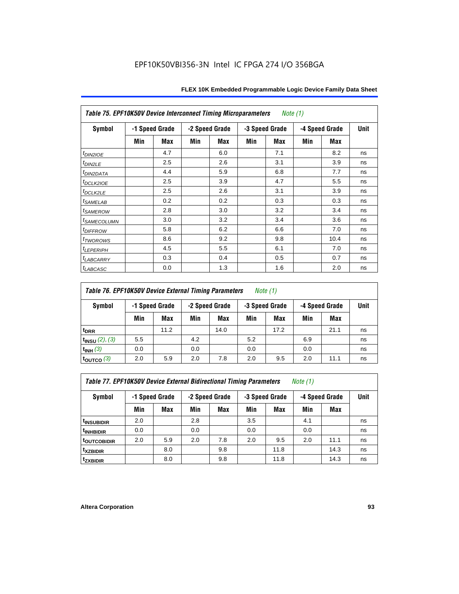| <b>Table 75. EPF10K50V Device Interconnect Timing Microparameters</b> |     |                |     |                |     | Note (1)       |     |                |             |
|-----------------------------------------------------------------------|-----|----------------|-----|----------------|-----|----------------|-----|----------------|-------------|
| Symbol                                                                |     | -1 Speed Grade |     | -2 Speed Grade |     | -3 Speed Grade |     | -4 Speed Grade | <b>Unit</b> |
|                                                                       | Min | Max            | Min | Max            | Min | <b>Max</b>     | Min | Max            |             |
| $t_{DIN2IOE}$                                                         |     | 4.7            |     | 6.0            |     | 7.1            |     | 8.2            | ns          |
| t <sub>DIN2LE</sub>                                                   |     | 2.5            |     | 2.6            |     | 3.1            |     | 3.9            | ns          |
| <sup>t</sup> DIN2DATA                                                 |     | 4.4            |     | 5.9            |     | 6.8            |     | 7.7            | ns          |
| <sup>t</sup> DCLK2IOE                                                 |     | 2.5            |     | 3.9            |     | 4.7            |     | 5.5            | ns          |
| <sup>t</sup> DCLK2LE                                                  |     | 2.5            |     | 2.6            |     | 3.1            |     | 3.9            | ns          |
| <i>t</i> SAMELAB                                                      |     | 0.2            |     | 0.2            |     | 0.3            |     | 0.3            | ns          |
| <i>t</i> SAMEROW                                                      |     | 2.8            |     | 3.0            |     | 3.2            |     | 3.4            | ns          |
| <sup>t</sup> SAMECOLUMN                                               |     | 3.0            |     | 3.2            |     | 3.4            |     | 3.6            | ns          |
| <i>t<sub>DIFFROW</sub></i>                                            |     | 5.8            |     | 6.2            |     | 6.6            |     | 7.0            | ns          |
| t <sub>TWOROWS</sub>                                                  |     | 8.6            |     | 9.2            |     | 9.8            |     | 10.4           | ns          |
| <b><i>ILEPERIPH</i></b>                                               |     | 4.5            |     | 5.5            |     | 6.1            |     | 7.0            | ns          |
| <sup>t</sup> LABCARRY                                                 |     | 0.3            |     | 0.4            |     | 0.5            |     | 0.7            | ns          |
| <sup>t</sup> LABCASC                                                  |     | 0.0            |     | 1.3            |     | 1.6            |     | 2.0            | ns          |

### *Table 76. EPF10K50V Device External Timing Parameters Note (1)*

| Symbol                   |     | -1 Speed Grade |     | -2 Speed Grade |     | -3 Speed Grade |     | -4 Speed Grade |    |
|--------------------------|-----|----------------|-----|----------------|-----|----------------|-----|----------------|----|
|                          | Min | Max            | Min | Max            | Min | Max            | Min | Max            |    |
| t <sub>DRR</sub>         |     | 11.2           |     | 14.0           |     | 17.2           |     | 21.1           | ns |
| $t_{INSU}$ (2), (3)      | 5.5 |                | 4.2 |                | 5.2 |                | 6.9 |                | ns |
| $t_{INH}$ (3)            | 0.0 |                | 0.0 |                | 0.0 |                | 0.0 |                | ns |
| $\tt_{\text{OUTCO}}$ (3) | 2.0 | 5.9            | 2.0 | 7.8            | 2.0 | 9.5            | 2.0 | 11.1           | ns |

*Table 77. EPF10K50V Device External Bidirectional Timing Parameters Note (1)*

| Symbol                 |     | -1 Speed Grade | -2 Speed Grade |     | <b>Unit</b><br>-3 Speed Grade<br>-4 Speed Grade |      |     |      |    |
|------------------------|-----|----------------|----------------|-----|-------------------------------------------------|------|-----|------|----|
|                        | Min | Max            | Min            | Max | Min                                             | Max  | Min | Max  |    |
| <sup>t</sup> INSUBIDIR | 2.0 |                | 2.8            |     | 3.5                                             |      | 4.1 |      | ns |
| <sup>t</sup> INHBIDIR  | 0.0 |                | 0.0            |     | 0.0                                             |      | 0.0 |      | ns |
| <b>toutcobidir</b>     | 2.0 | 5.9            | 2.0            | 7.8 | 2.0                                             | 9.5  | 2.0 | 11.1 | ns |
| <sup>t</sup> xzbidir   |     | 8.0            |                | 9.8 |                                                 | 11.8 |     | 14.3 | ns |
| <sup>t</sup> zxbidir   |     | 8.0            |                | 9.8 |                                                 | 11.8 |     | 14.3 | ns |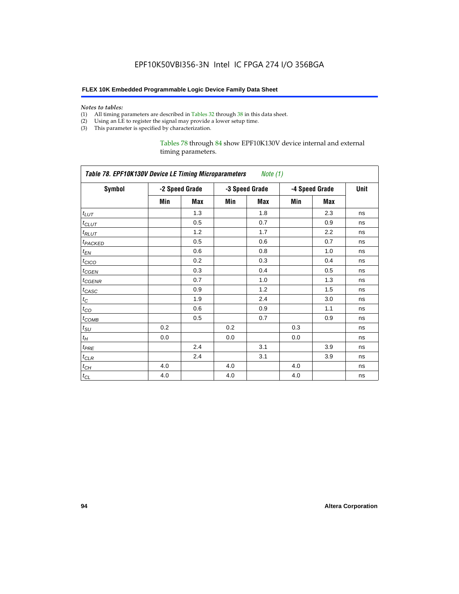#### *Notes to tables:*

- (1) All timing parameters are described in Tables 32 through 38 in this data sheet.
- (2) Using an LE to register the signal may provide a lower setup time.
- (3) This parameter is specified by characterization.

#### Tables 78 through 84 show EPF10K130V device internal and external timing parameters.

|                     | Table 78. EPF10K130V Device LE Timing Microparameters Note (1) |                |     |                |     |                |      |  |  |  |  |  |
|---------------------|----------------------------------------------------------------|----------------|-----|----------------|-----|----------------|------|--|--|--|--|--|
| <b>Symbol</b>       |                                                                | -2 Speed Grade |     | -3 Speed Grade |     | -4 Speed Grade | Unit |  |  |  |  |  |
|                     | Min                                                            | Max            | Min | Max            | Min | Max            |      |  |  |  |  |  |
| $t_{LUT}$           |                                                                | 1.3            |     | 1.8            |     | 2.3            | ns   |  |  |  |  |  |
| $t_{CLUT}$          |                                                                | 0.5            |     | 0.7            |     | 0.9            | ns   |  |  |  |  |  |
| $t_{RLUT}$          |                                                                | 1.2            |     | 1.7            |     | 2.2            | ns   |  |  |  |  |  |
| t <sub>PACKED</sub> |                                                                | 0.5            |     | 0.6            |     | 0.7            | ns   |  |  |  |  |  |
| $t_{EN}$            |                                                                | 0.6            |     | 0.8            |     | 1.0            | ns   |  |  |  |  |  |
| $t_{CICO}$          |                                                                | 0.2            |     | 0.3            |     | 0.4            | ns   |  |  |  |  |  |
| $t_{GEN}$           |                                                                | 0.3            |     | 0.4            |     | 0.5            | ns   |  |  |  |  |  |
| t <sub>CGENR</sub>  |                                                                | 0.7            |     | 1.0            |     | 1.3            | ns   |  |  |  |  |  |
| $t_{CASC}$          |                                                                | 0.9            |     | 1.2            |     | 1.5            | ns   |  |  |  |  |  |
| $t_C$               |                                                                | 1.9            |     | 2.4            |     | 3.0            | ns   |  |  |  |  |  |
| $t_{CO}$            |                                                                | 0.6            |     | 0.9            |     | 1.1            | ns   |  |  |  |  |  |
| $t_{COMB}$          |                                                                | 0.5            |     | 0.7            |     | 0.9            | ns   |  |  |  |  |  |
| $t_{\rm SU}$        | 0.2                                                            |                | 0.2 |                | 0.3 |                | ns   |  |  |  |  |  |
| $t_H$               | 0.0                                                            |                | 0.0 |                | 0.0 |                | ns   |  |  |  |  |  |
| $t_{PRE}$           |                                                                | 2.4            |     | 3.1            |     | 3.9            | ns   |  |  |  |  |  |
| $t_{CLR}$           |                                                                | 2.4            |     | 3.1            |     | 3.9            | ns   |  |  |  |  |  |
| $t_{CH}$            | 4.0                                                            |                | 4.0 |                | 4.0 |                | ns   |  |  |  |  |  |
| $t_{CL}$            | 4.0                                                            |                | 4.0 |                | 4.0 |                | ns   |  |  |  |  |  |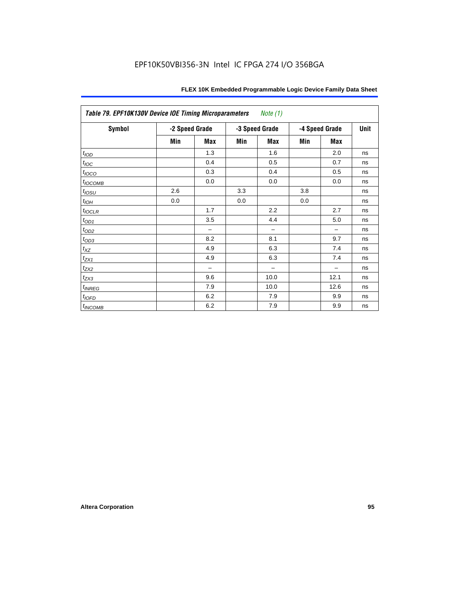| Table 79. EPF10K130V Device IOE Timing Microparameters Note (1) |                |            |     |                |     |                |      |
|-----------------------------------------------------------------|----------------|------------|-----|----------------|-----|----------------|------|
| <b>Symbol</b>                                                   | -2 Speed Grade |            |     | -3 Speed Grade |     | -4 Speed Grade | Unit |
|                                                                 | Min            | <b>Max</b> | Min | <b>Max</b>     | Min | Max            |      |
| $t_{\textit{IOD}}$                                              |                | 1.3        |     | 1.6            |     | 2.0            | ns   |
| $t_{\text{loc}}$                                                |                | 0.4        |     | 0.5            |     | 0.7            | ns   |
| $t_{IOCO}$                                                      |                | 0.3        |     | 0.4            |     | 0.5            | ns   |
| $t_{IOCOMB}$                                                    |                | 0.0        |     | 0.0            |     | 0.0            | ns   |
| $t_{IOSU}$                                                      | 2.6            |            | 3.3 |                | 3.8 |                | ns   |
| $t_{IOH}$                                                       | 0.0            |            | 0.0 |                | 0.0 |                | ns   |
| $t_{IOCLR}$                                                     |                | 1.7        |     | 2.2            |     | 2.7            | ns   |
| $t_{OD1}$                                                       |                | 3.5        |     | 4.4            |     | 5.0            | ns   |
| $t_{\underline{OD2}}$                                           |                | -          |     |                |     |                | ns   |
| $t_{\underline{OD3}}$                                           |                | 8.2        |     | 8.1            |     | 9.7            | ns   |
| $t_{XZ}$                                                        |                | 4.9        |     | 6.3            |     | 7.4            | ns   |
| $t_{ZX1}$                                                       |                | 4.9        |     | 6.3            |     | 7.4            | ns   |
| $t_{ZX2}$                                                       |                | —          |     |                |     |                | ns   |
| $t_{ZX3}$                                                       |                | 9.6        |     | 10.0           |     | 12.1           | ns   |
| $t_{INREG}$                                                     |                | 7.9        |     | 10.0           |     | 12.6           | ns   |
| t <sub>IOFD</sub>                                               |                | 6.2        |     | 7.9            |     | 9.9            | ns   |
| $t_{INCOMB}$                                                    |                | 6.2        |     | 7.9            |     | 9.9            | ns   |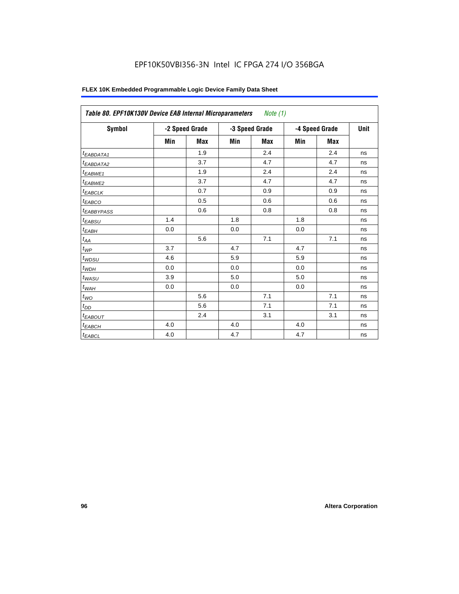| FLEX 10K Embedded Programmable Logic Device Family Data Sheet |  |
|---------------------------------------------------------------|--|
|---------------------------------------------------------------|--|

| <b>Symbol</b>           |     | -2 Speed Grade |     | -3 Speed Grade |     | -4 Speed Grade | Unit |
|-------------------------|-----|----------------|-----|----------------|-----|----------------|------|
|                         | Min | Max            | Min | Max            | Min | Max            |      |
| $t_{EABDATA1}$          |     | 1.9            |     | 2.4            |     | 2.4            | ns   |
| $t_{EABDATA2}$          |     | 3.7            |     | 4.7            |     | 4.7            | ns   |
| t <sub>EABWE1</sub>     |     | 1.9            |     | 2.4            |     | 2.4            | ns   |
| t <sub>EABWE2</sub>     |     | 3.7            |     | 4.7            |     | 4.7            | ns   |
| $t_{EABCLK}$            |     | 0.7            |     | 0.9            |     | 0.9            | ns   |
| $t_{EABCO}$             |     | 0.5            |     | 0.6            |     | 0.6            | ns   |
| <b><i>EABBYPASS</i></b> |     | 0.6            |     | 0.8            |     | 0.8            | ns   |
| $t_{EABSU}$             | 1.4 |                | 1.8 |                | 1.8 |                | ns   |
| $t_{EABH}$              | 0.0 |                | 0.0 |                | 0.0 |                | ns   |
| $t_{AA}$                |     | 5.6            |     | 7.1            |     | 7.1            | ns   |
| $t_{\mathit{WP}}$       | 3.7 |                | 4.7 |                | 4.7 |                | ns   |
| $t_{WDSU}$              | 4.6 |                | 5.9 |                | 5.9 |                | ns   |
| $t_{WDH}$               | 0.0 |                | 0.0 |                | 0.0 |                | ns   |
| $t_{WASU}$              | 3.9 |                | 5.0 |                | 5.0 |                | ns   |
| $t_{W\!A H}$            | 0.0 |                | 0.0 |                | 0.0 |                | ns   |
| $t_{WO}$                |     | 5.6            |     | 7.1            |     | 7.1            | ns   |
| $t_{DD}$                |     | 5.6            |     | 7.1            |     | 7.1            | ns   |
| $t_{EABOUT}$            |     | 2.4            |     | 3.1            |     | 3.1            | ns   |
| $t_{EABCH}$             | 4.0 |                | 4.0 |                | 4.0 |                | ns   |
| $t_{EABCL}$             | 4.0 |                | 4.7 |                | 4.7 |                | ns   |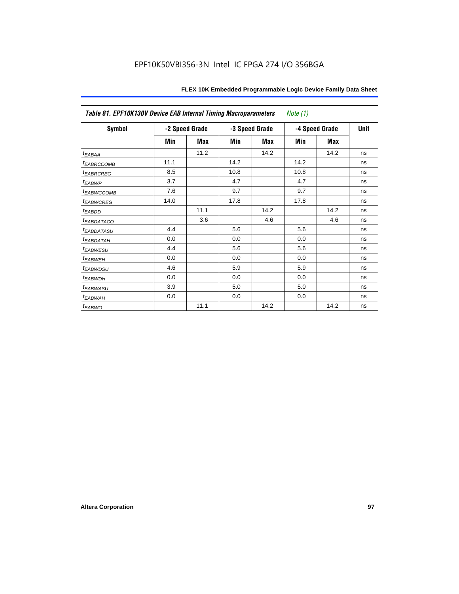|                         | Table 81. EPF10K130V Device EAB Internal Timing Macroparameters<br>Note $(1)$ |                |      |                |      |                |    |  |  |
|-------------------------|-------------------------------------------------------------------------------|----------------|------|----------------|------|----------------|----|--|--|
| <b>Symbol</b>           |                                                                               | -2 Speed Grade |      | -3 Speed Grade |      | -4 Speed Grade |    |  |  |
|                         | Min                                                                           | Max            | Min  | Max            | Min  | Max            |    |  |  |
| <sup>t</sup> EABAA      |                                                                               | 11.2           |      | 14.2           |      | 14.2           | ns |  |  |
| <b><i>EABRCCOMB</i></b> | 11.1                                                                          |                | 14.2 |                | 14.2 |                | ns |  |  |
| <b><i>EABRCREG</i></b>  | 8.5                                                                           |                | 10.8 |                | 10.8 |                | ns |  |  |
| <i>EABWP</i>            | 3.7                                                                           |                | 4.7  |                | 4.7  |                | ns |  |  |
| <sup>I</sup> EABWCCOMB  | 7.6                                                                           |                | 9.7  |                | 9.7  |                | ns |  |  |
| <b><i>EABWCREG</i></b>  | 14.0                                                                          |                | 17.8 |                | 17.8 |                | ns |  |  |
| <sup>t</sup> EABDD      |                                                                               | 11.1           |      | 14.2           |      | 14.2           | ns |  |  |
| <b><i>EABDATACO</i></b> |                                                                               | 3.6            |      | 4.6            |      | 4.6            | ns |  |  |
| <b><i>EABDATASU</i></b> | 4.4                                                                           |                | 5.6  |                | 5.6  |                | ns |  |  |
| <sup>I</sup> EABDATAH   | 0.0                                                                           |                | 0.0  |                | 0.0  |                | ns |  |  |
| <sup>t</sup> EABWESU    | 4.4                                                                           |                | 5.6  |                | 5.6  |                | ns |  |  |
| <sup>t</sup> EABWEH     | 0.0                                                                           |                | 0.0  |                | 0.0  |                | ns |  |  |
| <sup>t</sup> EABWDSU    | 4.6                                                                           |                | 5.9  |                | 5.9  |                | ns |  |  |
| <sup>t</sup> EABWDH     | 0.0                                                                           |                | 0.0  |                | 0.0  |                | ns |  |  |
| <sup>I</sup> EABWASU    | 3.9                                                                           |                | 5.0  |                | 5.0  |                | ns |  |  |
| <sup>t</sup> EABWAH     | 0.0                                                                           |                | 0.0  |                | 0.0  |                | ns |  |  |
| <sup>t</sup> EABWO      |                                                                               | 11.1           |      | 14.2           |      | 14.2           | ns |  |  |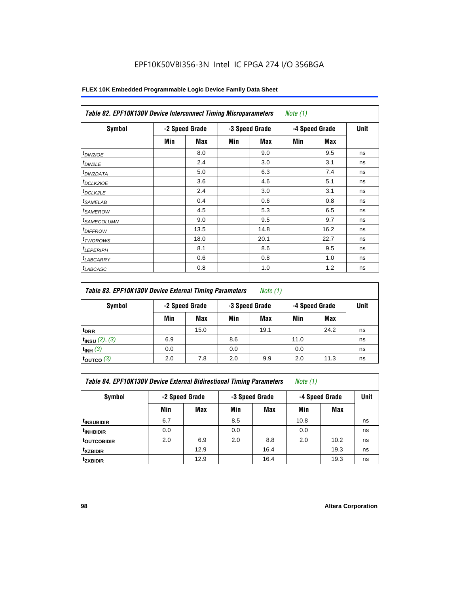| Symbol                  |     | -2 Speed Grade |     | -3 Speed Grade |     | -4 Speed Grade | Unit |  |
|-------------------------|-----|----------------|-----|----------------|-----|----------------|------|--|
|                         | Min | Max            | Min | Max            | Min | Max            |      |  |
| $t_{DINZIOE}$           |     | 8.0            |     | 9.0            |     | 9.5            | ns   |  |
| t <sub>DIN2LE</sub>     |     | 2.4            |     | 3.0            |     | 3.1            | ns   |  |
| <sup>t</sup> DIN2DATA   |     | 5.0            |     | 6.3            |     | 7.4            | ns   |  |
| t <sub>DCLK2IOE</sub>   |     | 3.6            |     | 4.6            |     | 5.1            | ns   |  |
| ${}^t$ DCLK2LE          |     | 2.4            |     | 3.0            |     | 3.1            | ns   |  |
| <sup>t</sup> SAMELAB    |     | 0.4            |     | 0.6            |     | 0.8            | ns   |  |
| <sup>t</sup> SAMEROW    |     | 4.5            |     | 5.3            |     | 6.5            | ns   |  |
| <sup>t</sup> SAMECOLUMN |     | 9.0            |     | 9.5            |     | 9.7            | ns   |  |
| <sup>t</sup> DIFFROW    |     | 13.5           |     | 14.8           |     | 16.2           | ns   |  |
| <sup>T</sup> TWOROWS    |     | 18.0           |     | 20.1           |     | 22.7           | ns   |  |
| <sup>t</sup> LEPERIPH   |     | 8.1            |     | 8.6            |     | 9.5            | ns   |  |
| <sup>I</sup> LABCARRY   |     | 0.6            |     | 0.8            |     | 1.0            | ns   |  |
| <sup>t</sup> LABCASC    |     | 0.8            |     | 1.0            |     | 1.2            | ns   |  |

### **FLEX 10K Embedded Programmable Logic Device Family Data Sheet**

| Table 83. EPF10K130V Device External Timing Parameters | Note (1) |
|--------------------------------------------------------|----------|
|--------------------------------------------------------|----------|

| Symbol                 | -2 Speed Grade |      | -3 Speed Grade |      | -4 Speed Grade |      | Unit |
|------------------------|----------------|------|----------------|------|----------------|------|------|
|                        | Min            | Max  | Min            | Max  | Min            | Max  |      |
| t <sub>DRR</sub>       |                | 15.0 |                | 19.1 |                | 24.2 | ns   |
| $t_{INSU}$ (2), (3)    | 6.9            |      | 8.6            |      | 11.0           |      | ns   |
| $t_{INH}$ (3)          | 0.0            |      | 0.0            |      | 0.0            |      | ns   |
| $t_{\text{OUTCO}}$ (3) | 2.0            | 7.8  | 2.0            | 9.9  | 2.0            | 11.3 | ns   |

| Table 84. EPF10K130V Device External Bidirectional Timing Parameters | Note (1) |  |  |
|----------------------------------------------------------------------|----------|--|--|
|----------------------------------------------------------------------|----------|--|--|

**Symbol -2 Speed Grade -3 Speed Grade -4 Speed Grade Unit**

|                           | Min | Max  | Min | <b>Max</b> | Min  | Max  |    |
|---------------------------|-----|------|-----|------------|------|------|----|
| <sup>t</sup> INSUBIDIR    | 6.7 |      | 8.5 |            | 10.8 |      | ns |
| <sup>t</sup> INHBIDIR     | 0.0 |      | 0.0 |            | 0.0  |      | ns |
| <b><i>LOUTCOBIDIR</i></b> | 2.0 | 6.9  | 2.0 | 8.8        | 2.0  | 10.2 | ns |
| <sup>t</sup> xzbidir      |     | 12.9 |     | 16.4       |      | 19.3 | ns |
| tzxbidir                  |     | 12.9 |     | 16.4       |      | 19.3 | ns |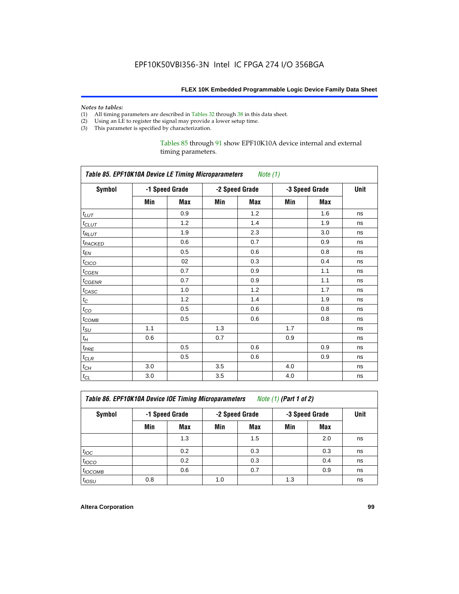# *Notes to tables:*<br>(1) All timing p

- All timing parameters are described in Tables 32 through 38 in this data sheet.
- (2) Using an LE to register the signal may provide a lower setup time.
- (3) This parameter is specified by characterization.

#### Tables 85 through 91 show EPF10K10A device internal and external timing parameters.

|                            | <b>Table 85. EPF10K10A Device LE Timing Microparameters</b> Note (1) |     |     |                |                |      |    |  |  |  |
|----------------------------|----------------------------------------------------------------------|-----|-----|----------------|----------------|------|----|--|--|--|
| <b>Symbol</b>              | -1 Speed Grade                                                       |     |     | -2 Speed Grade | -3 Speed Grade | Unit |    |  |  |  |
|                            | Min                                                                  | Max | Min | Max            | Min            | Max  |    |  |  |  |
| $t_{LUT}$                  |                                                                      | 0.9 |     | 1.2            |                | 1.6  | ns |  |  |  |
| $t_{CLUT}$                 |                                                                      | 1.2 |     | 1.4            |                | 1.9  | ns |  |  |  |
| $t_{RLUT}$                 |                                                                      | 1.9 |     | 2.3            |                | 3.0  | ns |  |  |  |
| <b>t</b> <sub>PACKED</sub> |                                                                      | 0.6 |     | 0.7            |                | 0.9  | ns |  |  |  |
| $t_{EN}$                   |                                                                      | 0.5 |     | 0.6            |                | 0.8  | ns |  |  |  |
| $t_{CICO}$                 |                                                                      | 02  |     | 0.3            |                | 0.4  | ns |  |  |  |
| $t_{GEN}$                  |                                                                      | 0.7 |     | 0.9            |                | 1.1  | ns |  |  |  |
| $t_{GENR}$                 |                                                                      | 0.7 |     | 0.9            |                | 1.1  | ns |  |  |  |
| $t_{CASC}$                 |                                                                      | 1.0 |     | 1.2            |                | 1.7  | ns |  |  |  |
| $t_{\rm C}$                |                                                                      | 1.2 |     | 1.4            |                | 1.9  | ns |  |  |  |
| $t_{\rm CO}$               |                                                                      | 0.5 |     | 0.6            |                | 0.8  | ns |  |  |  |
| $t_{\text{COMB}}$          |                                                                      | 0.5 |     | 0.6            |                | 0.8  | ns |  |  |  |
| $t_{\rm SU}$               | 1.1                                                                  |     | 1.3 |                | 1.7            |      | ns |  |  |  |
| $t_{\!H}$                  | 0.6                                                                  |     | 0.7 |                | 0.9            |      | ns |  |  |  |
| $t_{PRE}$                  |                                                                      | 0.5 |     | 0.6            |                | 0.9  | ns |  |  |  |
| $t_{CLR}$                  |                                                                      | 0.5 |     | 0.6            |                | 0.9  | ns |  |  |  |
| $t_{\mathit{CH}}$          | 3.0                                                                  |     | 3.5 |                | 4.0            |      | ns |  |  |  |
| $t_{CL}$                   | 3.0                                                                  |     | 3.5 |                | 4.0            |      | ns |  |  |  |

| <b>Table 86. EPF10K10A Device IOE Timing Microparameters</b> | Note (1) (Part 1 of 2) |
|--------------------------------------------------------------|------------------------|
|--------------------------------------------------------------|------------------------|

| Symbol            |     | -1 Speed Grade |     | -2 Speed Grade | -3 Speed Grade | Unit       |    |
|-------------------|-----|----------------|-----|----------------|----------------|------------|----|
|                   | Min | Max            | Min | Max            | Min            | <b>Max</b> |    |
|                   |     | 1.3            |     | 1.5            |                | 2.0        | ns |
| $t_{\text{IOC}}$  |     | 0.2            |     | 0.3            |                | 0.3        | ns |
| $t_{IOCO}$        |     | 0.2            |     | 0.3            |                | 0.4        | ns |
| $t_{IOCOMB}$      |     | 0.6            |     | 0.7            |                | 0.9        | ns |
| t <sub>IOSU</sub> | 0.8 |                | 1.0 |                | 1.3            |            | ns |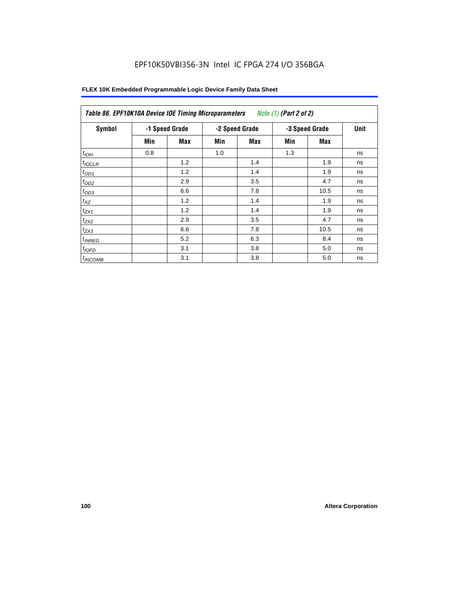| Symbol       |     | -1 Speed Grade |     | -2 Speed Grade |     | -3 Speed Grade<br><b>Unit</b> |    |  |
|--------------|-----|----------------|-----|----------------|-----|-------------------------------|----|--|
|              | Min | Max            | Min | <b>Max</b>     | Min | Max                           |    |  |
| $t_{IOH}$    | 0.8 |                | 1.0 |                | 1.3 |                               | ns |  |
| $t_{IOCLR}$  |     | 1.2            |     | 1.4            |     | 1.9                           | ns |  |
| $t_{OD1}$    |     | 1.2            |     | 1.4            |     | 1.9                           | ns |  |
| $t_{OD2}$    |     | 2.9            |     | 3.5            |     | 4.7                           | ns |  |
| $t_{OD3}$    |     | 6.6            |     | 7.8            |     | 10.5                          | ns |  |
| $t_{XZ}$     |     | 1.2            |     | 1.4            |     | 1.9                           | ns |  |
| $t_{ZX1}$    |     | 1.2            |     | 1.4            |     | 1.9                           | ns |  |
| $t_{ZX2}$    |     | 2.9            |     | 3.5            |     | 4.7                           | ns |  |
| $t_{ZX3}$    |     | 6.6            |     | 7.8            |     | 10.5                          | ns |  |
| $t_{INREG}$  |     | 5.2            |     | 6.3            |     | 8.4                           | ns |  |
| $t_{IOFD}$   |     | 3.1            |     | 3.8            |     | 5.0                           | ns |  |
| $t_{INCOMB}$ |     | 3.1            |     | 3.8            |     | 5.0                           | ns |  |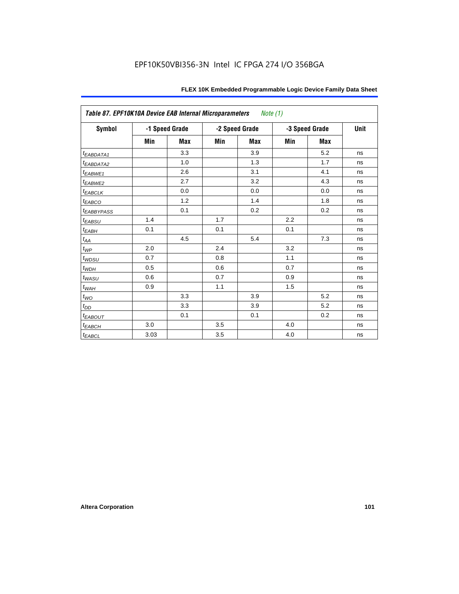| Table 87. EPF10K10A Device EAB Internal Microparameters |      |                |     | Note (1)       |     |                |      |
|---------------------------------------------------------|------|----------------|-----|----------------|-----|----------------|------|
| <b>Symbol</b>                                           |      | -1 Speed Grade |     | -2 Speed Grade |     | -3 Speed Grade | Unit |
|                                                         | Min  | <b>Max</b>     | Min | <b>Max</b>     | Min | <b>Max</b>     |      |
| t <sub>EABDATA1</sub>                                   |      | 3.3            |     | 3.9            |     | 5.2            | ns   |
| t <sub>EABDATA2</sub>                                   |      | 1.0            |     | 1.3            |     | 1.7            | ns   |
| $t_{EABWE1}$                                            |      | 2.6            |     | 3.1            |     | 4.1            | ns   |
| $t_{EABWE2}$                                            |      | 2.7            |     | 3.2            |     | 4.3            | ns   |
| $t_{EABCLK}$                                            |      | 0.0            |     | 0.0            |     | 0.0            | ns   |
| $t_{EABCO}$                                             |      | 1.2            |     | 1.4            |     | 1.8            | ns   |
| <b><i>EABBYPASS</i></b>                                 |      | 0.1            |     | 0.2            |     | 0.2            | ns   |
| $t_{EABSU}$                                             | 1.4  |                | 1.7 |                | 2.2 |                | ns   |
| $t_{EABH}$                                              | 0.1  |                | 0.1 |                | 0.1 |                | ns   |
| $t_{AA}$                                                |      | 4.5            |     | 5.4            |     | 7.3            | ns   |
| $t_{\mathit{WP}}$                                       | 2.0  |                | 2.4 |                | 3.2 |                | ns   |
| $t_{WDSU}$                                              | 0.7  |                | 0.8 |                | 1.1 |                | ns   |
| $t_{WDH}$                                               | 0.5  |                | 0.6 |                | 0.7 |                | ns   |
| $t_{WASU}$                                              | 0.6  |                | 0.7 |                | 0.9 |                | ns   |
| $t_{WAH}$                                               | 0.9  |                | 1.1 |                | 1.5 |                | ns   |
| $t_{WO}$                                                |      | 3.3            |     | 3.9            |     | 5.2            | ns   |
| $t_{DD}$                                                |      | 3.3            |     | 3.9            |     | 5.2            | ns   |
| $t_{EABOUT}$                                            |      | 0.1            |     | 0.1            |     | 0.2            | ns   |
| $t_{EABCH}$                                             | 3.0  |                | 3.5 |                | 4.0 |                | ns   |
| $t_{EABCL}$                                             | 3.03 |                | 3.5 |                | 4.0 |                | ns   |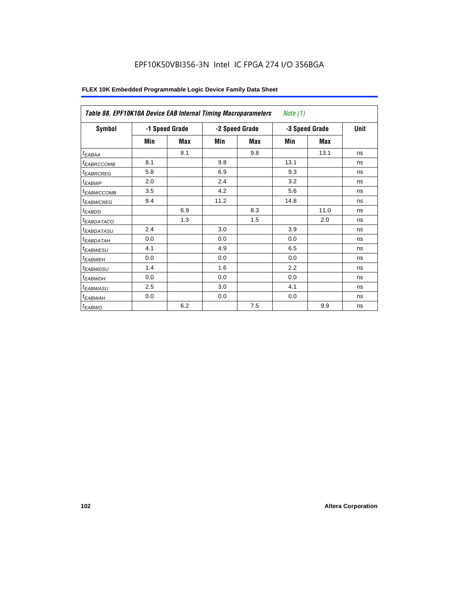| Table 88. EPF10K10A Device EAB Internal Timing Macroparameters |                |            |      |                | <i>Note</i> $(1)$ |                |      |  |
|----------------------------------------------------------------|----------------|------------|------|----------------|-------------------|----------------|------|--|
| Symbol                                                         | -1 Speed Grade |            |      | -2 Speed Grade |                   | -3 Speed Grade | Unit |  |
|                                                                | Min            | <b>Max</b> | Min  | Max            | Min               | Max            |      |  |
| $t_{EABA}$                                                     |                | 8.1        |      | 9.8            |                   | 13.1           | ns   |  |
| <sup>t</sup> EABRCCOMB                                         | 8.1            |            | 9.8  |                | 13.1              |                | ns   |  |
| <sup>t</sup> EABRCREG                                          | 5.8            |            | 6.9  |                | 9.3               |                | ns   |  |
| <sup>t</sup> EABWP                                             | 2.0            |            | 2.4  |                | 3.2               |                | ns   |  |
| <sup>t</sup> EABWCCOMB                                         | 3.5            |            | 4.2  |                | 5.6               |                | ns   |  |
| <sup>t</sup> EABWCREG                                          | 9.4            |            | 11.2 |                | 14.8              |                | ns   |  |
| <sup>t</sup> EABDD                                             |                | 6.9        |      | 8.3            |                   | 11.0           | ns   |  |
| <sup>t</sup> EABDATACO                                         |                | 1.3        |      | 1.5            |                   | 2.0            | ns   |  |
| <sup>t</sup> EABDATASU                                         | 2.4            |            | 3.0  |                | 3.9               |                | ns   |  |
| <sup>I</sup> EABDATAH                                          | 0.0            |            | 0.0  |                | 0.0               |                | ns   |  |
| <b><i>EABWESU</i></b>                                          | 4.1            |            | 4.9  |                | 6.5               |                | ns   |  |
| <sup>t</sup> EABWEH                                            | 0.0            |            | 0.0  |                | 0.0               |                | ns   |  |
| <sup>t</sup> EABWDSU                                           | 1.4            |            | 1.6  |                | 2.2               |                | ns   |  |
| <sup>t</sup> EABWDH                                            | 0.0            |            | 0.0  |                | 0.0               |                | ns   |  |
| <sup>t</sup> EABWASU                                           | 2.5            |            | 3.0  |                | 4.1               |                | ns   |  |
| <sup>t</sup> EABWAH                                            | 0.0            |            | 0.0  |                | 0.0               |                | ns   |  |
| t <sub>EABWO</sub>                                             |                | 6.2        |      | 7.5            |                   | 9.9            | ns   |  |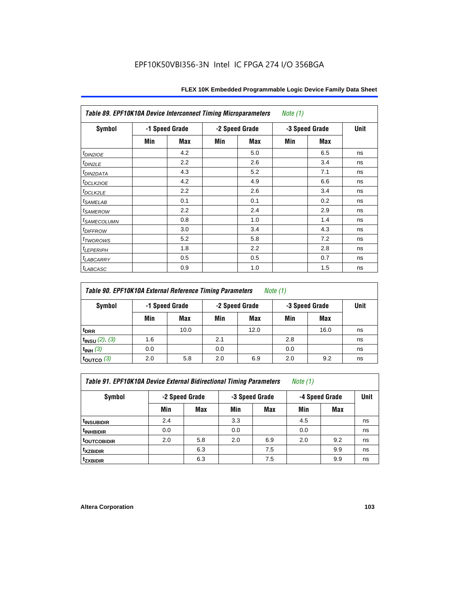| Table 89. EPF10K10A Device Interconnect Timing Microparameters<br>Note $(1)$ |     |                |                |     |                |            |      |  |  |
|------------------------------------------------------------------------------|-----|----------------|----------------|-----|----------------|------------|------|--|--|
| Symbol                                                                       |     | -1 Speed Grade | -2 Speed Grade |     | -3 Speed Grade |            | Unit |  |  |
|                                                                              | Min | Max            | Min            | Max | Min            | <b>Max</b> |      |  |  |
| $t_{DINZIOE}$                                                                |     | 4.2            |                | 5.0 |                | 6.5        | ns   |  |  |
| t <sub>DIN2LE</sub>                                                          |     | 2.2            |                | 2.6 |                | 3.4        | ns   |  |  |
| <sup>t</sup> DIN2DATA                                                        |     | 4.3            |                | 5.2 |                | 7.1        | ns   |  |  |
| t <sub>DCLK2IOE</sub>                                                        |     | 4.2            |                | 4.9 |                | 6.6        | ns   |  |  |
| t <sub>DCLK2LE</sub>                                                         |     | 2.2            |                | 2.6 |                | 3.4        | ns   |  |  |
| <i>t<sub>SAMELAB</sub></i>                                                   |     | 0.1            |                | 0.1 |                | 0.2        | ns   |  |  |
| <i>t</i> SAMEROW                                                             |     | 2.2            |                | 2.4 |                | 2.9        | ns   |  |  |
| <i>t<sub>SAMECOLUMN</sub></i>                                                |     | 0.8            |                | 1.0 |                | 1.4        | ns   |  |  |
| <i>t<sub>DIFFROW</sub></i>                                                   |     | 3.0            |                | 3.4 |                | 4.3        | ns   |  |  |
| <i>t</i> <sub>TWOROWS</sub>                                                  |     | 5.2            |                | 5.8 |                | 7.2        | ns   |  |  |
| <b><i>LEPERIPH</i></b>                                                       |     | 1.8            |                | 2.2 |                | 2.8        | ns   |  |  |
| <sup>t</sup> LABCARRY                                                        |     | 0.5            |                | 0.5 |                | 0.7        | ns   |  |  |
| t <sub>LABCASC</sub>                                                         |     | 0.9            |                | 1.0 |                | 1.5        | ns   |  |  |

| Table 90. EPF10K10A External Reference Timing Parameters | Note (1) |
|----------------------------------------------------------|----------|
|----------------------------------------------------------|----------|

| Symbol              | -1 Speed Grade |      | -2 Speed Grade |      | -3 Speed Grade | Unit       |    |
|---------------------|----------------|------|----------------|------|----------------|------------|----|
|                     | Min            | Max  | Min            | Max  | Min            | <b>Max</b> |    |
| t <sub>DRR</sub>    |                | 10.0 |                | 12.0 |                | 16.0       | ns |
| $t_{INSU}$ (2), (3) | 1.6            |      | 2.1            |      | 2.8            |            | ns |
| $t_{INH}$ (3)       | 0.0            |      | 0.0            |      | 0.0            |            | ns |
| toutco $(3)$        | 2.0            | 5.8  | 2.0            | 6.9  | 2.0            | 9.2        | ns |

*Table 91. EPF10K10A Device External Bidirectional Timing Parameters Note (1)*

| Symbol                  | -2 Speed Grade |     |     | -3 Speed Grade | -4 Speed Grade | Unit       |    |
|-------------------------|----------------|-----|-----|----------------|----------------|------------|----|
|                         | Min            | Max | Min | <b>Max</b>     | Min            | <b>Max</b> |    |
| <sup>t</sup> insubidir  | 2.4            |     | 3.3 |                | 4.5            |            | ns |
| <sup>T</sup> INHBIDIR   | 0.0            |     | 0.0 |                | 0.0            |            | ns |
| <sup>t</sup> OUTCOBIDIR | 2.0            | 5.8 | 2.0 | 6.9            | 2.0            | 9.2        | ns |
| <sup>t</sup> xzbidir    |                | 6.3 |     | 7.5            |                | 9.9        | ns |
| <sup>t</sup> zxbidir    |                | 6.3 |     | 7.5            |                | 9.9        | ns |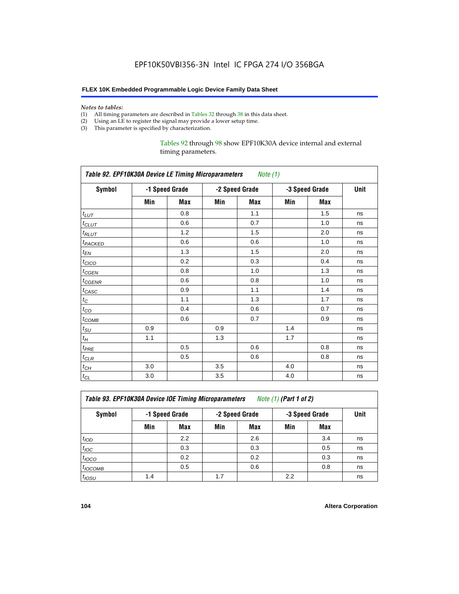#### *Notes to tables:*

- (1) All timing parameters are described in Tables 32 through 38 in this data sheet.
- (2) Using an LE to register the signal may provide a lower setup time.
- (3) This parameter is specified by characterization.

Tables 92 through 98 show EPF10K30A device internal and external timing parameters.

| Table 92. EPF10K30A Device LE Timing Microparameters Note (1) |                |     |                |     |                |     |      |  |  |
|---------------------------------------------------------------|----------------|-----|----------------|-----|----------------|-----|------|--|--|
| <b>Symbol</b>                                                 | -1 Speed Grade |     | -2 Speed Grade |     | -3 Speed Grade |     | Unit |  |  |
|                                                               | Min            | Max | Min            | Max | Min            | Max |      |  |  |
| $t_{LUT}$                                                     |                | 0.8 |                | 1.1 |                | 1.5 | ns   |  |  |
| $t_{CLUT}$                                                    |                | 0.6 |                | 0.7 |                | 1.0 | ns   |  |  |
| $t_{RLUT}$                                                    |                | 1.2 |                | 1.5 |                | 2.0 | ns   |  |  |
| <b><i>t<sub>PACKED</sub></i></b>                              |                | 0.6 |                | 0.6 |                | 1.0 | ns   |  |  |
| $t_{EN}$                                                      |                | 1.3 |                | 1.5 |                | 2.0 | ns   |  |  |
| $t_{CICO}$                                                    |                | 0.2 |                | 0.3 |                | 0.4 | ns   |  |  |
| $t_{\text{GEN}}$                                              |                | 0.8 |                | 1.0 |                | 1.3 | ns   |  |  |
| t <sub>CGENR</sub>                                            |                | 0.6 |                | 0.8 |                | 1.0 | ns   |  |  |
| $t_{CASC}$                                                    |                | 0.9 |                | 1.1 |                | 1.4 | ns   |  |  |
| $t_C$                                                         |                | 1.1 |                | 1.3 |                | 1.7 | ns   |  |  |
| $t_{CO}$                                                      |                | 0.4 |                | 0.6 |                | 0.7 | ns   |  |  |
| $t_{\text{COMB}}$                                             |                | 0.6 |                | 0.7 |                | 0.9 | ns   |  |  |
| $t_{\rm SU}$                                                  | 0.9            |     | 0.9            |     | 1.4            |     | ns   |  |  |
| $t_H$                                                         | 1.1            |     | 1.3            |     | 1.7            |     | ns   |  |  |
| $t_{PRE}$                                                     |                | 0.5 |                | 0.6 |                | 0.8 | ns   |  |  |
| $t_{CLR}$                                                     |                | 0.5 |                | 0.6 |                | 0.8 | ns   |  |  |
| $t_{CH}$                                                      | 3.0            |     | 3.5            |     | 4.0            |     | ns   |  |  |
| $t_{CL}$                                                      | 3.0            |     | 3.5            |     | 4.0            |     | ns   |  |  |

*Table 93. EPF10K30A Device IOE Timing Microparameters Note (1) (Part 1 of 2)*

| Symbol           |     | -1 Speed Grade |     | -2 Speed Grade |     | -3 Speed Grade |    |  |  |  |
|------------------|-----|----------------|-----|----------------|-----|----------------|----|--|--|--|
|                  | Min | Max            | Min | <b>Max</b>     | Min | <b>Max</b>     |    |  |  |  |
| t <sub>IOD</sub> |     | 2.2            |     | 2.6            |     | 3.4            | ns |  |  |  |
| $t_{\text{IOC}}$ |     | 0.3            |     | 0.3            |     | 0.5            | ns |  |  |  |
| $t_{IOCO}$       |     | 0.2            |     | 0.2            |     | 0.3            | ns |  |  |  |
| $t_{IOCOMB}$     |     | 0.5            |     | 0.6            |     | 0.8            | ns |  |  |  |
| $t_{IOSU}$       | 1.4 |                | 1.7 |                | 2.2 |                | ns |  |  |  |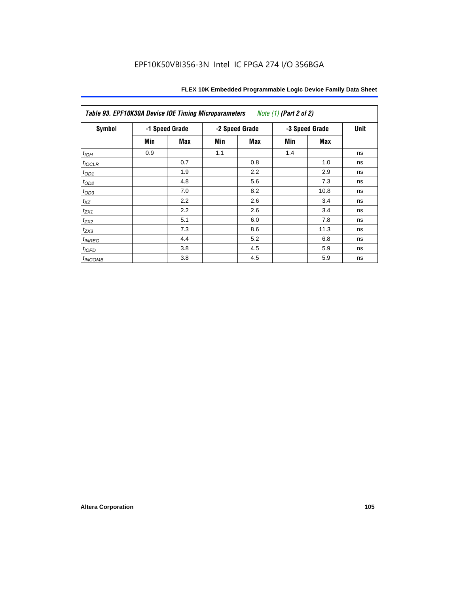| Table 93. EPF10K30A Device IOE Timing Microparameters<br>Note (1) (Part 2 of 2) |     |                |     |                |     |                |    |  |  |
|---------------------------------------------------------------------------------|-----|----------------|-----|----------------|-----|----------------|----|--|--|
| <b>Symbol</b>                                                                   |     | -1 Speed Grade |     | -2 Speed Grade |     | -3 Speed Grade |    |  |  |
|                                                                                 | Min | Max            | Min | Max            | Min | <b>Max</b>     |    |  |  |
| $t_{IOH}$                                                                       | 0.9 |                | 1.1 |                | 1.4 |                | ns |  |  |
| $t_{IOCLR}$                                                                     |     | 0.7            |     | 0.8            |     | 1.0            | ns |  |  |
| $t_{OD1}$                                                                       |     | 1.9            |     | 2.2            |     | 2.9            | ns |  |  |
| $t_{OD2}$                                                                       |     | 4.8            |     | 5.6            |     | 7.3            | ns |  |  |
| $t_{OD3}$                                                                       |     | 7.0            |     | 8.2            |     | 10.8           | ns |  |  |
| $t_{XZ}$                                                                        |     | 2.2            |     | 2.6            |     | 3.4            | ns |  |  |
| $t_{ZX1}$                                                                       |     | 2.2            |     | 2.6            |     | 3.4            | ns |  |  |
| $t_{ZX2}$                                                                       |     | 5.1            |     | 6.0            |     | 7.8            | ns |  |  |
| $t_{ZX3}$                                                                       |     | 7.3            |     | 8.6            |     | 11.3           | ns |  |  |
| $t_{INREG}$                                                                     |     | 4.4            |     | 5.2            |     | 6.8            | ns |  |  |
| $t_{IOFD}$                                                                      |     | 3.8            |     | 4.5            |     | 5.9            | ns |  |  |
| $t_{INCOMB}$                                                                    |     | 3.8            |     | 4.5            |     | 5.9            | ns |  |  |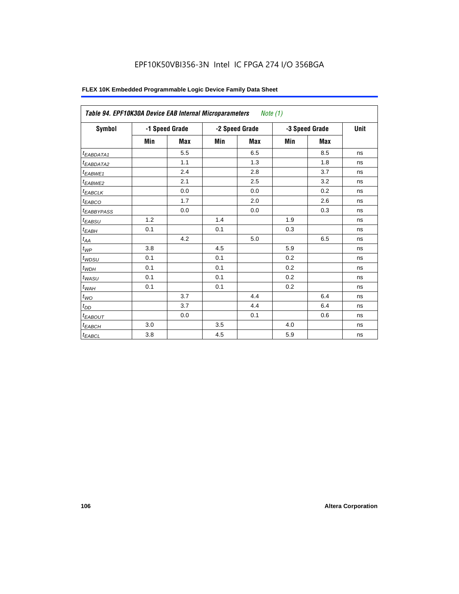| Symbol                 | -1 Speed Grade |            | -2 Speed Grade |            | -3 Speed Grade |            | Unit |
|------------------------|----------------|------------|----------------|------------|----------------|------------|------|
|                        | Min            | <b>Max</b> | Min            | <b>Max</b> | Min            | <b>Max</b> |      |
| <sup>t</sup> EABDATA1  |                | 5.5        |                | 6.5        |                | 8.5        | ns   |
| <sup>t</sup> EABDATA2  |                | 1.1        |                | 1.3        |                | 1.8        | ns   |
| <sup>t</sup> EABWE1    |                | 2.4        |                | 2.8        |                | 3.7        | ns   |
| <sup>t</sup> EABWE2    |                | 2.1        |                | 2.5        |                | 3.2        | ns   |
| <sup>t</sup> EABCLK    |                | 0.0        |                | 0.0        |                | 0.2        | ns   |
| <sup>t</sup> EABCO     |                | 1.7        |                | 2.0        |                | 2.6        | ns   |
| <sup>t</sup> EABBYPASS |                | 0.0        |                | 0.0        |                | 0.3        | ns   |
| <sup>t</sup> EABSU     | 1.2            |            | 1.4            |            | 1.9            |            | ns   |
| t <sub>EABH</sub>      | 0.1            |            | 0.1            |            | 0.3            |            | ns   |
| $t_{AA}$               |                | 4.2        |                | 5.0        |                | 6.5        | ns   |
| $t_{\mathcal{WP}}$     | 3.8            |            | 4.5            |            | 5.9            |            | ns   |
| t <sub>WDSU</sub>      | 0.1            |            | 0.1            |            | 0.2            |            | ns   |
| $t_{WDH}$              | 0.1            |            | 0.1            |            | 0.2            |            | ns   |
| t <sub>WASU</sub>      | 0.1            |            | 0.1            |            | 0.2            |            | ns   |
| $t_{\underline{W AH}}$ | 0.1            |            | 0.1            |            | 0.2            |            | ns   |
| $t_{WO}$               |                | 3.7        |                | 4.4        |                | 6.4        | ns   |
| $t_{\underline{OD}}$   |                | 3.7        |                | 4.4        |                | 6.4        | ns   |
| <sup>t</sup> EABOUT    |                | 0.0        |                | 0.1        |                | 0.6        | ns   |
| t <sub>EABCH</sub>     | 3.0            |            | 3.5            |            | 4.0            |            | ns   |
| $t_{EABCL}$            | 3.8            |            | 4.5            |            | 5.9            |            | ns   |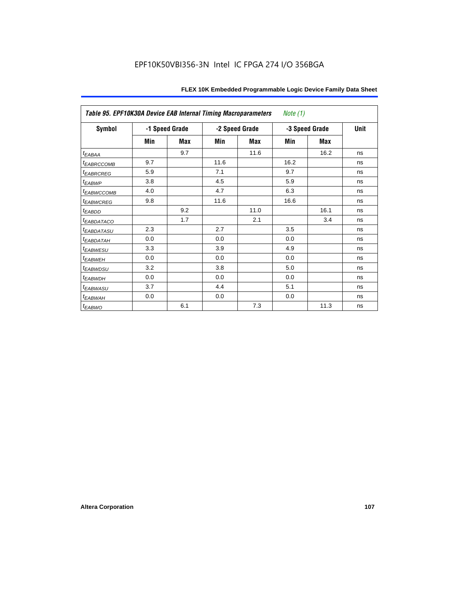| Table 95. EPF10K30A Device EAB Internal Timing Macroparameters<br>Note $(1)$ |                |     |                |      |                |      |      |  |  |
|------------------------------------------------------------------------------|----------------|-----|----------------|------|----------------|------|------|--|--|
| <b>Symbol</b>                                                                | -1 Speed Grade |     | -2 Speed Grade |      | -3 Speed Grade |      | Unit |  |  |
|                                                                              | Min            | Max | Min            | Max  | Min            | Max  |      |  |  |
| $t_{EABAA}$                                                                  |                | 9.7 |                | 11.6 |                | 16.2 | ns   |  |  |
| <i><b>EABRCCOMB</b></i>                                                      | 9.7            |     | 11.6           |      | 16.2           |      | ns   |  |  |
| <b><i>EABRCREG</i></b>                                                       | 5.9            |     | 7.1            |      | 9.7            |      | ns   |  |  |
| t <sub>EABWP</sub>                                                           | 3.8            |     | 4.5            |      | 5.9            |      | ns   |  |  |
| <sup>t</sup> EABWCCOMB                                                       | 4.0            |     | 4.7            |      | 6.3            |      | ns   |  |  |
| <sup>t</sup> EABWCREG                                                        | 9.8            |     | 11.6           |      | 16.6           |      | ns   |  |  |
| <sup>t</sup> EABDD                                                           |                | 9.2 |                | 11.0 |                | 16.1 | ns   |  |  |
| <i>EABDATACO</i>                                                             |                | 1.7 |                | 2.1  |                | 3.4  | ns   |  |  |
| <sup>t</sup> EABDATASU                                                       | 2.3            |     | 2.7            |      | 3.5            |      | ns   |  |  |
| <sup>t</sup> EABDATAH                                                        | 0.0            |     | 0.0            |      | 0.0            |      | ns   |  |  |
| <sup>t</sup> EABWESU                                                         | 3.3            |     | 3.9            |      | 4.9            |      | ns   |  |  |
| t <sub>EABWEH</sub>                                                          | 0.0            |     | 0.0            |      | 0.0            |      | ns   |  |  |
| <i>t<sub>EABWDSU</sub></i>                                                   | 3.2            |     | 3.8            |      | 5.0            |      | ns   |  |  |
| t <sub>EABWDH</sub>                                                          | 0.0            |     | 0.0            |      | 0.0            |      | ns   |  |  |
| t <sub>EABWASU</sub>                                                         | 3.7            |     | 4.4            |      | 5.1            |      | ns   |  |  |
| <sup>t</sup> EABWAH                                                          | 0.0            |     | 0.0            |      | 0.0            |      | ns   |  |  |
| t <sub>EABWO</sub>                                                           |                | 6.1 |                | 7.3  |                | 11.3 | ns   |  |  |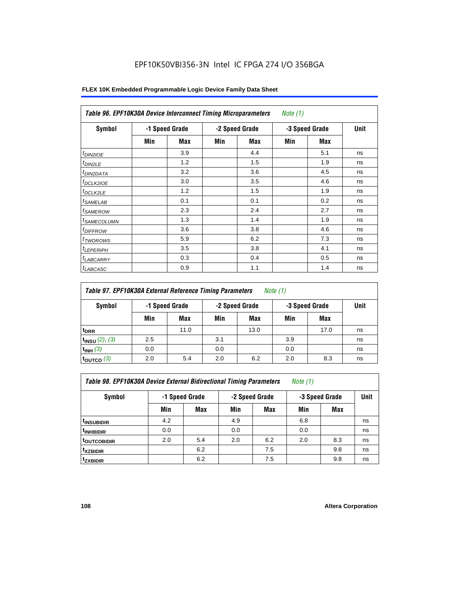| <b>Symbol</b>              |     | -1 Speed Grade |     | -2 Speed Grade | -3 Speed Grade | <b>Unit</b> |    |
|----------------------------|-----|----------------|-----|----------------|----------------|-------------|----|
|                            | Min | <b>Max</b>     | Min | Max            | Min            | Max         |    |
| $t_{DINZIOE}$              |     | 3.9            |     | 4.4            |                | 5.1         | ns |
| t <sub>DIN2LE</sub>        |     | 1.2            |     | 1.5            |                | 1.9         | ns |
| <sup>t</sup> DIN2DATA      |     | 3.2            |     | 3.6            |                | 4.5         | ns |
| t <sub>DCLK2IOE</sub>      |     | 3.0            |     | 3.5            |                | 4.6         | ns |
| <sup>t</sup> DCLK2LE       |     | 1.2            |     | 1.5            |                | 1.9         | ns |
| <sup>t</sup> SAMELAB       |     | 0.1            |     | 0.1            |                | 0.2         | ns |
| <sup>t</sup> SAMEROW       |     | 2.3            |     | 2.4            |                | 2.7         | ns |
| <sup>t</sup> SAMECOLUMN    |     | 1.3            |     | 1.4            |                | 1.9         | ns |
| <i>t<sub>DIFFROW</sub></i> |     | 3.6            |     | 3.8            |                | 4.6         | ns |
| <sup>t</sup> TWOROWS       |     | 5.9            |     | 6.2            |                | 7.3         | ns |
| <sup>t</sup> LEPERIPH      |     | 3.5            |     | 3.8            |                | 4.1         | ns |
| <b>LABCARRY</b>            |     | 0.3            |     | 0.4            |                | 0.5         | ns |
| <sup>t</sup> LABCASC       |     | 0.9            |     | 1.1            |                | 1.4         | ns |

## **FLEX 10K Embedded Programmable Logic Device Family Data Sheet**

| Table 97. EPF10K30A External Reference Timing Parameters<br>Note (1) |     |                                  |     |                |     |      |    |  |  |
|----------------------------------------------------------------------|-----|----------------------------------|-----|----------------|-----|------|----|--|--|
| Symbol                                                               |     | -2 Speed Grade<br>-1 Speed Grade |     | -3 Speed Grade |     | Unit |    |  |  |
|                                                                      | Min | Max                              | Min | Max            | Min | Max  |    |  |  |
| t <sub>DRR</sub>                                                     |     | 11.0                             |     | 13.0           |     | 17.0 | ns |  |  |
| $t_{INSU}$ (2), (3)                                                  | 2.5 |                                  | 3.1 |                | 3.9 |      | ns |  |  |
| $t_{INH}$ (3)                                                        | 0.0 |                                  | 0.0 |                | 0.0 |      | ns |  |  |
| $t_{\text{OUTCO}}$ (3)                                               | 2.0 | 5.4                              | 2.0 | 6.2            | 2.0 | 8.3  | ns |  |  |

*Table 98. EPF10K30A Device External Bidirectional Timing Parameters Note (1)*

| Symbol                 |     | -1 Speed Grade |     | -2 Speed Grade |     | -3 Speed Grade |    |  |
|------------------------|-----|----------------|-----|----------------|-----|----------------|----|--|
|                        | Min | <b>Max</b>     | Min | <b>Max</b>     | Min | <b>Max</b>     |    |  |
| <sup>t</sup> insubidir | 4.2 |                | 4.9 |                | 6.8 |                | ns |  |
| <sup>t</sup> INHBIDIR  | 0.0 |                | 0.0 |                | 0.0 |                | ns |  |
| <b>toutcobidir</b>     | 2.0 | 5.4            | 2.0 | 6.2            | 2.0 | 8.3            | ns |  |
| <sup>t</sup> xzbidir   |     | 6.2            |     | 7.5            |     | 9.8            | ns |  |
| <i>t</i> zxbidir       |     | 6.2            |     | 7.5            |     | 9.8            | ns |  |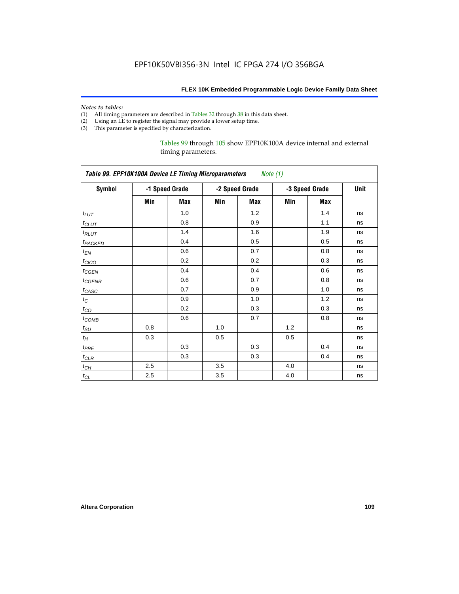#### *Notes to tables:*

- (1) All timing parameters are described in Tables 32 through 38 in this data sheet.
- (2) Using an LE to register the signal may provide a lower setup time.
- (3) This parameter is specified by characterization.

Tables 99 through 105 show EPF10K100A device internal and external timing parameters.

| Table 99. EPF10K100A Device LE Timing Microparameters Note (1) |     |                |     |                                  |     |     |      |  |
|----------------------------------------------------------------|-----|----------------|-----|----------------------------------|-----|-----|------|--|
| <b>Symbol</b>                                                  |     | -1 Speed Grade |     | -2 Speed Grade<br>-3 Speed Grade |     |     | Unit |  |
|                                                                | Min | <b>Max</b>     | Min | Max                              | Min | Max |      |  |
| $t_{LUT}$                                                      |     | 1.0            |     | 1.2                              |     | 1.4 | ns   |  |
| $t_{CLUT}$                                                     |     | 0.8            |     | 0.9                              |     | 1.1 | ns   |  |
| $t_{RLUT}$                                                     |     | 1.4            |     | 1.6                              |     | 1.9 | ns   |  |
| t <sub>PACKED</sub>                                            |     | 0.4            |     | 0.5                              |     | 0.5 | ns   |  |
| $t_{EN}$                                                       |     | 0.6            |     | 0.7                              |     | 0.8 | ns   |  |
| $t_{CICO}$                                                     |     | 0.2            |     | 0.2                              |     | 0.3 | ns   |  |
| $t_{\text{CGEN}}$                                              |     | 0.4            |     | 0.4                              |     | 0.6 | ns   |  |
| $t_{GENR}$                                                     |     | 0.6            |     | 0.7                              |     | 0.8 | ns   |  |
| $t_{CASC}$                                                     |     | 0.7            |     | 0.9                              |     | 1.0 | ns   |  |
| $t_{\rm C}$                                                    |     | 0.9            |     | 1.0                              |     | 1.2 | ns   |  |
| $t_{CO}$                                                       |     | 0.2            |     | 0.3                              |     | 0.3 | ns   |  |
| $t_{COMB}$                                                     |     | 0.6            |     | 0.7                              |     | 0.8 | ns   |  |
| $t_{\rm SU}$                                                   | 0.8 |                | 1.0 |                                  | 1.2 |     | ns   |  |
| $t_H\,$                                                        | 0.3 |                | 0.5 |                                  | 0.5 |     | ns   |  |
| $t_{PRE}$                                                      |     | 0.3            |     | 0.3                              |     | 0.4 | ns   |  |
| $t_{CLR}$                                                      |     | 0.3            |     | 0.3                              |     | 0.4 | ns   |  |
| $t_{CH}$                                                       | 2.5 |                | 3.5 |                                  | 4.0 |     | ns   |  |
| $t_{CL}$                                                       | 2.5 |                | 3.5 |                                  | 4.0 |     | ns   |  |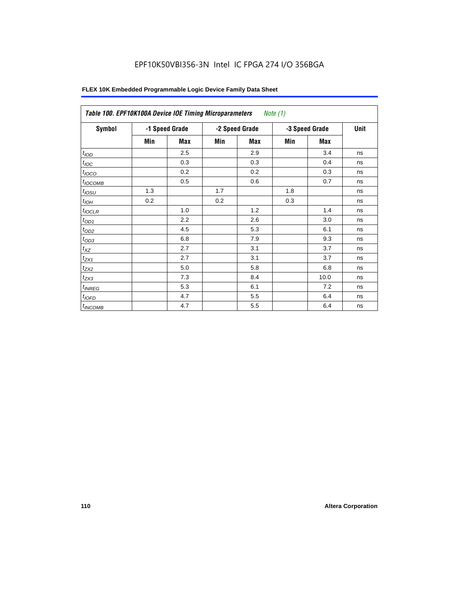| Table 100. EPF10K100A Device IOE Timing Microparameters |                |            |     |                | Note $(1)$     |      |    |
|---------------------------------------------------------|----------------|------------|-----|----------------|----------------|------|----|
| Symbol                                                  | -1 Speed Grade |            |     | -2 Speed Grade | -3 Speed Grade | Unit |    |
|                                                         | Min            | <b>Max</b> | Min | <b>Max</b>     | Min            | Max  |    |
| t <sub>IOD</sub>                                        |                | 2.5        |     | 2.9            |                | 3.4  | ns |
| $t_{\text{IOC}}$                                        |                | 0.3        |     | 0.3            |                | 0.4  | ns |
| $t_{IOCO}$                                              |                | 0.2        |     | 0.2            |                | 0.3  | ns |
| $t_{IOCOMB}$                                            |                | 0.5        |     | 0.6            |                | 0.7  | ns |
| $t_{IOSU}$                                              | 1.3            |            | 1.7 |                | 1.8            |      | ns |
| $t_{IOM}$                                               | 0.2            |            | 0.2 |                | 0.3            |      | ns |
| $t_{IOCLR}$                                             |                | 1.0        |     | 1.2            |                | 1.4  | ns |
| $t_{OD1}$                                               |                | 2.2        |     | 2.6            |                | 3.0  | ns |
| $t_{OD2}$                                               |                | 4.5        |     | 5.3            |                | 6.1  | ns |
| $t_{OD3}$                                               |                | 6.8        |     | 7.9            |                | 9.3  | ns |
| $t_{\mathsf{XZ}}$                                       |                | 2.7        |     | 3.1            |                | 3.7  | ns |
| $t_{ZX1}$                                               |                | 2.7        |     | 3.1            |                | 3.7  | ns |
| $t_{ZX2}$                                               |                | 5.0        |     | 5.8            |                | 6.8  | ns |
| $t_{ZX3}$                                               |                | 7.3        |     | 8.4            |                | 10.0 | ns |
| $t_{INREG}$                                             |                | 5.3        |     | 6.1            |                | 7.2  | ns |
| $t_{IOFD}$                                              |                | 4.7        |     | 5.5            |                | 6.4  | ns |
| $t_{INCOMB}$                                            |                | 4.7        |     | 5.5            |                | 6.4  | ns |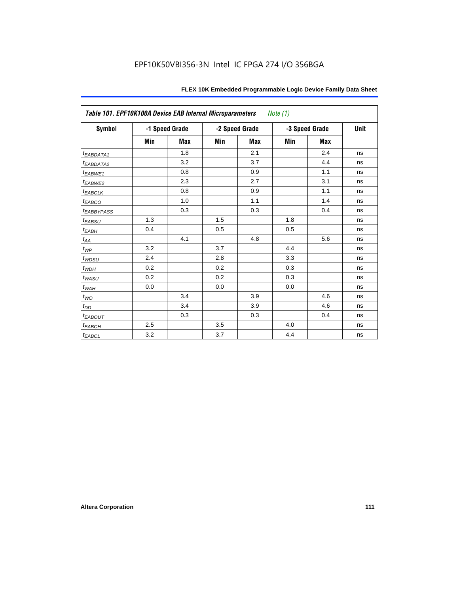| Table 101. EPF10K100A Device EAB Internal Microparameters |     |                |     |                | Note (1) |                |      |
|-----------------------------------------------------------|-----|----------------|-----|----------------|----------|----------------|------|
| Symbol                                                    |     | -1 Speed Grade |     | -2 Speed Grade |          | -3 Speed Grade | Unit |
|                                                           | Min | <b>Max</b>     | Min | <b>Max</b>     | Min      | <b>Max</b>     |      |
| t <sub>EABDATA1</sub>                                     |     | 1.8            |     | 2.1            |          | 2.4            | ns   |
| t <sub>EABDATA2</sub>                                     |     | 3.2            |     | 3.7            |          | 4.4            | ns   |
| t <sub>EABWE1</sub>                                       |     | 0.8            |     | 0.9            |          | 1.1            | ns   |
| t <sub>EABWE2</sub>                                       |     | 2.3            |     | 2.7            |          | 3.1            | ns   |
| $t_{EABCLK}$                                              |     | 0.8            |     | 0.9            |          | 1.1            | ns   |
| $t_{EABCO}$                                               |     | 1.0            |     | 1.1            |          | 1.4            | ns   |
| <b><i>EABBYPASS</i></b>                                   |     | 0.3            |     | 0.3            |          | 0.4            | ns   |
| $t_{EABSU}$                                               | 1.3 |                | 1.5 |                | 1.8      |                | ns   |
| $t_{EABH}$                                                | 0.4 |                | 0.5 |                | 0.5      |                | ns   |
| $t_{\mathit{AA}}$                                         |     | 4.1            |     | 4.8            |          | 5.6            | ns   |
| $t_{\mathit{WP}}$                                         | 3.2 |                | 3.7 |                | 4.4      |                | ns   |
| $t_{WDSU}$                                                | 2.4 |                | 2.8 |                | 3.3      |                | ns   |
| $t_{WDH}$                                                 | 0.2 |                | 0.2 |                | 0.3      |                | ns   |
| $t_{\textit{WASU}}$                                       | 0.2 |                | 0.2 |                | 0.3      |                | ns   |
| $t_{\underline{W AH}}$                                    | 0.0 |                | 0.0 |                | 0.0      |                | ns   |
| $t_{WO}$                                                  |     | 3.4            |     | 3.9            |          | 4.6            | ns   |
| $t_{DD}$                                                  |     | 3.4            |     | 3.9            |          | 4.6            | ns   |
| $t_{EABOUT}$                                              |     | 0.3            |     | 0.3            |          | 0.4            | ns   |
| $t_{EABCH}$                                               | 2.5 |                | 3.5 |                | 4.0      |                | ns   |
| $t_{EABCL}$                                               | 3.2 |                | 3.7 |                | 4.4      |                | ns   |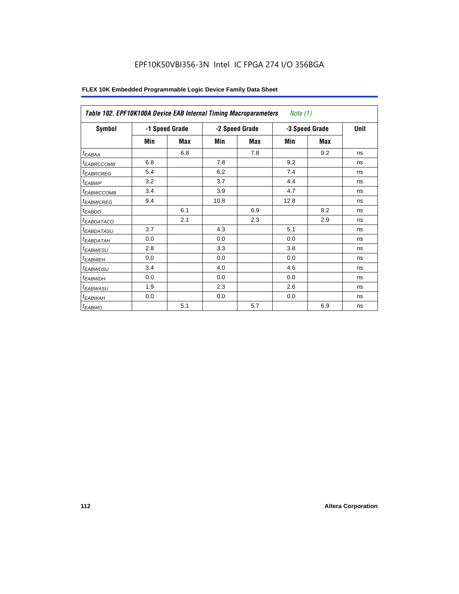| Table 102. EPF10K100A Device EAB Internal Timing Macroparameters |                |     |      |                | Note (1)       |      |    |
|------------------------------------------------------------------|----------------|-----|------|----------------|----------------|------|----|
| Symbol                                                           | -1 Speed Grade |     |      | -2 Speed Grade | -3 Speed Grade | Unit |    |
|                                                                  | Min            | Max | Min  | Max            | Min            | Max  |    |
| $t_{EABA}$                                                       |                | 6.8 |      | 7.8            |                | 9.2  | ns |
| <sup>t</sup> EABRCCOMB                                           | 6.8            |     | 7.8  |                | 9.2            |      | ns |
| <sup>t</sup> EABRCREG                                            | 5.4            |     | 6.2  |                | 7.4            |      | ns |
| <sup>t</sup> EABWP                                               | 3.2            |     | 3.7  |                | 4.4            |      | ns |
| <sup>t</sup> EABWCCOMB                                           | 3.4            |     | 3.9  |                | 4.7            |      | ns |
| <sup>t</sup> EABWCREG                                            | 9.4            |     | 10.8 |                | 12.8           |      | ns |
| <sup>t</sup> EABDD                                               |                | 6.1 |      | 6.9            |                | 8.2  | ns |
| <sup>t</sup> EABDATACO                                           |                | 2.1 |      | 2.3            |                | 2.9  | ns |
| <sup>t</sup> EABDATASU                                           | 3.7            |     | 4.3  |                | 5.1            |      | ns |
| <sup>t</sup> EABDATAH                                            | 0.0            |     | 0.0  |                | 0.0            |      | ns |
| <sup>t</sup> EABWESU                                             | 2.8            |     | 3.3  |                | 3.8            |      | ns |
| <sup>t</sup> EABWEH                                              | 0.0            |     | 0.0  |                | 0.0            |      | ns |
| <sup>t</sup> EABWDSU                                             | 3.4            |     | 4.0  |                | 4.6            |      | ns |
| <sup>t</sup> EABWDH                                              | 0.0            |     | 0.0  |                | 0.0            |      | ns |
| <sup>t</sup> EABWASU                                             | 1.9            |     | 2.3  |                | 2.6            |      | ns |
| <sup>t</sup> EABWAH                                              | 0.0            |     | 0.0  |                | 0.0            |      | ns |
| t <sub>EABWO</sub>                                               |                | 5.1 |      | 5.7            |                | 6.9  | ns |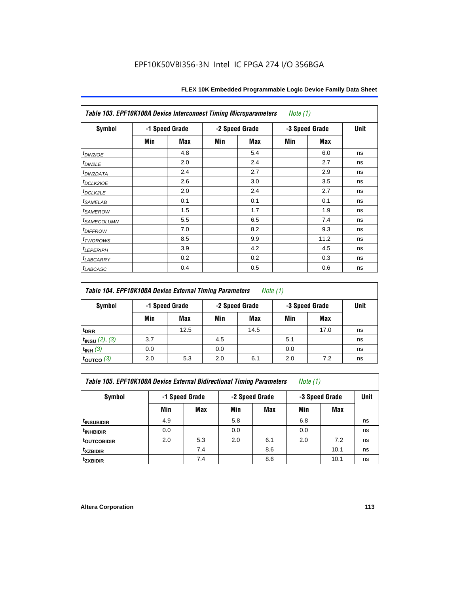| Table 103. EPF10K100A Device Interconnect Timing Microparameters<br>Note $(1)$ |                |     |     |                |                |      |    |  |  |  |
|--------------------------------------------------------------------------------|----------------|-----|-----|----------------|----------------|------|----|--|--|--|
| Symbol                                                                         | -1 Speed Grade |     |     | -2 Speed Grade | -3 Speed Grade | Unit |    |  |  |  |
|                                                                                | Min            | Max | Min | Max            | Min            | Max  |    |  |  |  |
| $t_{DINZIOE}$                                                                  |                | 4.8 |     | 5.4            |                | 6.0  | ns |  |  |  |
| $t_{DIN2LE}$                                                                   |                | 2.0 |     | 2.4            |                | 2.7  | ns |  |  |  |
| <sup>t</sup> DIN2DATA                                                          |                | 2.4 |     | 2.7            |                | 2.9  | ns |  |  |  |
| t <sub>DCLK2IOE</sub>                                                          |                | 2.6 |     | 3.0            |                | 3.5  | ns |  |  |  |
| $t_{DCLK2LE}$                                                                  |                | 2.0 |     | 2.4            |                | 2.7  | ns |  |  |  |
| <i>t</i> SAMELAB                                                               |                | 0.1 |     | 0.1            |                | 0.1  | ns |  |  |  |
| <i>t</i> SAMEROW                                                               |                | 1.5 |     | 1.7            |                | 1.9  | ns |  |  |  |
| <sup>t</sup> SAMECOLUMN                                                        |                | 5.5 |     | 6.5            |                | 7.4  | ns |  |  |  |
| <i>t<sub>DIFFROW</sub></i>                                                     |                | 7.0 |     | 8.2            |                | 9.3  | ns |  |  |  |
| t <sub>TWOROWS</sub>                                                           |                | 8.5 |     | 9.9            |                | 11.2 | ns |  |  |  |
| <sup>t</sup> LEPERIPH                                                          |                | 3.9 |     | 4.2            |                | 4.5  | ns |  |  |  |
| <sup>t</sup> LABCARRY                                                          |                | 0.2 |     | 0.2            |                | 0.3  | ns |  |  |  |
| t <sub>LABCASC</sub>                                                           |                | 0.4 |     | 0.5            |                | 0.6  | ns |  |  |  |

| Table 104. EPF10K100A Device External Timing Parameters | Note (1) |
|---------------------------------------------------------|----------|
|---------------------------------------------------------|----------|

| Symbol                 | -1 Speed Grade |      | -2 Speed Grade |      | -3 Speed Grade |            | Unit |
|------------------------|----------------|------|----------------|------|----------------|------------|------|
|                        | Min            | Max  | Min            | Max  | Min            | <b>Max</b> |      |
| t <sub>DRR</sub>       |                | 12.5 |                | 14.5 |                | 17.0       | ns   |
| $t_{INSU}$ (2), (3)    | 3.7            |      | 4.5            |      | 5.1            |            | ns   |
| $t_{INH}$ (3)          | 0.0            |      | 0.0            |      | 0.0            |            | ns   |
| $t_{\text{OUTCO}}$ (3) | 2.0            | 5.3  | 2.0            | 6.1  | 2.0            | 7.2        | ns   |

| Table 105. EPF10K100A Device External Bidirectional Timing Parameters | Note (1) |  |  |
|-----------------------------------------------------------------------|----------|--|--|
|-----------------------------------------------------------------------|----------|--|--|

| Symbol                  | -1 Speed Grade |     |     | -2 Speed Grade | -3 Speed Grade | <b>Unit</b> |    |
|-------------------------|----------------|-----|-----|----------------|----------------|-------------|----|
|                         | Min            | Max | Min | <b>Max</b>     | Min            | Max         |    |
| <sup>t</sup> INSUBIDIR  | 4.9            |     | 5.8 |                | 6.8            |             | ns |
| <sup>t</sup> INHBIDIR   | 0.0            |     | 0.0 |                | 0.0            |             | ns |
| <sup>t</sup> OUTCOBIDIR | 2.0            | 5.3 | 2.0 | 6.1            | 2.0            | 7.2         | ns |
| <sup>t</sup> xzbidir    |                | 7.4 |     | 8.6            |                | 10.1        | ns |
| <sup>t</sup> zxbidir    |                | 7.4 |     | 8.6            |                | 10.1        | ns |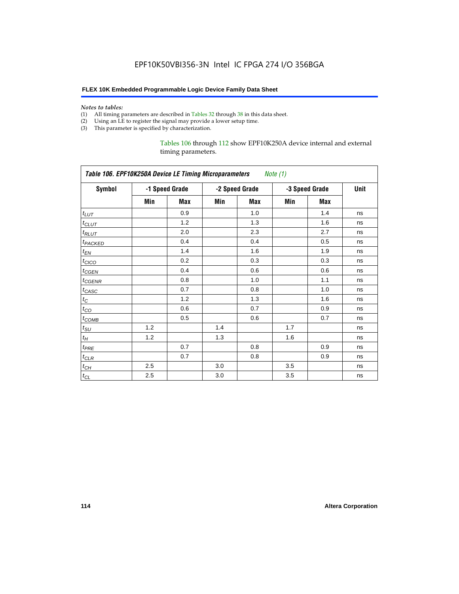#### *Notes to tables:*

- (1) All timing parameters are described in Tables 32 through 38 in this data sheet.
- (2) Using an LE to register the signal may provide a lower setup time.
- (3) This parameter is specified by characterization.

## Tables 106 through 112 show EPF10K250A device internal and external timing parameters.

| Table 106. EPF10K250A Device LE Timing Microparameters<br>Note (1) |     |                |     |                |                |            |    |  |
|--------------------------------------------------------------------|-----|----------------|-----|----------------|----------------|------------|----|--|
| <b>Symbol</b>                                                      |     | -1 Speed Grade |     | -2 Speed Grade | -3 Speed Grade | Unit       |    |  |
|                                                                    | Min | <b>Max</b>     | Min | <b>Max</b>     | Min            | <b>Max</b> |    |  |
| $t_{LUT}$                                                          |     | 0.9            |     | 1.0            |                | 1.4        | ns |  |
| $t_{CLUT}$                                                         |     | 1.2            |     | 1.3            |                | 1.6        | ns |  |
| $t_{RLUT}$                                                         |     | 2.0            |     | 2.3            |                | 2.7        | ns |  |
| t <sub>PACKED</sub>                                                |     | 0.4            |     | 0.4            |                | 0.5        | ns |  |
| $t_{EN}$                                                           |     | 1.4            |     | 1.6            |                | 1.9        | ns |  |
| $t_{CICO}$                                                         |     | 0.2            |     | 0.3            |                | 0.3        | ns |  |
| $t_{CSEN}$                                                         |     | 0.4            |     | 0.6            |                | 0.6        | ns |  |
| t <sub>CGENR</sub>                                                 |     | 0.8            |     | 1.0            |                | 1.1        | ns |  |
| $t_{CASC}$                                                         |     | 0.7            |     | 0.8            |                | 1.0        | ns |  |
| $t_C$                                                              |     | 1.2            |     | 1.3            |                | 1.6        | ns |  |
| $t_{CO}$                                                           |     | 0.6            |     | 0.7            |                | 0.9        | ns |  |
| $t_{\mathsf{COMB}}$                                                |     | 0.5            |     | 0.6            |                | 0.7        | ns |  |
| $t_{\rm SU}$                                                       | 1.2 |                | 1.4 |                | 1.7            |            | ns |  |
| $t_H$                                                              | 1.2 |                | 1.3 |                | 1.6            |            | ns |  |
| $t_{PRE}$                                                          |     | 0.7            |     | 0.8            |                | 0.9        | ns |  |
| $t_{CLR}$                                                          |     | 0.7            |     | 0.8            |                | 0.9        | ns |  |
| $t_{CH}$                                                           | 2.5 |                | 3.0 |                | 3.5            |            | ns |  |
| $t_{CL}$                                                           | 2.5 |                | 3.0 |                | 3.5            |            | ns |  |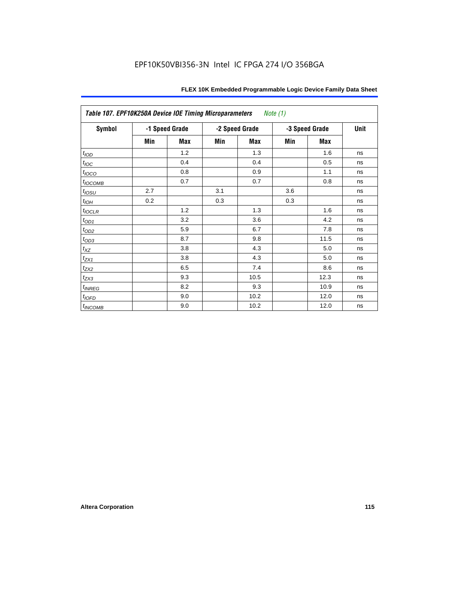| Table 107. EPF10K250A Device IOE Timing Microparameters<br>Note $(1)$ |     |                                  |     |      |                |      |      |
|-----------------------------------------------------------------------|-----|----------------------------------|-----|------|----------------|------|------|
| <b>Symbol</b>                                                         |     | -1 Speed Grade<br>-2 Speed Grade |     |      | -3 Speed Grade |      | Unit |
|                                                                       | Min | Max                              | Min | Max  | Min            | Max  |      |
| t <sub>IOD</sub>                                                      |     | 1.2                              |     | 1.3  |                | 1.6  | ns   |
| $t_{\text{loc}}$                                                      |     | 0.4                              |     | 0.4  |                | 0.5  | ns   |
| $t_{IOCO}$                                                            |     | 0.8                              |     | 0.9  |                | 1.1  | ns   |
| $t_{IOCOMB}$                                                          |     | 0.7                              |     | 0.7  |                | 0.8  | ns   |
| $t_{IOSU}$                                                            | 2.7 |                                  | 3.1 |      | 3.6            |      | ns   |
| $t_{IOH}$                                                             | 0.2 |                                  | 0.3 |      | 0.3            |      | ns   |
| $t_{IOCLR}$                                                           |     | 1.2                              |     | 1.3  |                | 1.6  | ns   |
| $t_{OD1}$                                                             |     | 3.2                              |     | 3.6  |                | 4.2  | ns   |
| $t_{OD2}$                                                             |     | 5.9                              |     | 6.7  |                | 7.8  | ns   |
| $t_{OD3}$                                                             |     | 8.7                              |     | 9.8  |                | 11.5 | ns   |
| $t_{\mathsf{XZ}}$                                                     |     | 3.8                              |     | 4.3  |                | 5.0  | ns   |
| $t_{ZX1}$                                                             |     | 3.8                              |     | 4.3  |                | 5.0  | ns   |
| $t_{ZX2}$                                                             |     | 6.5                              |     | 7.4  |                | 8.6  | ns   |
| $t_{ZX3}$                                                             |     | 9.3                              |     | 10.5 |                | 12.3 | ns   |
| $t_{INREG}$                                                           |     | 8.2                              |     | 9.3  |                | 10.9 | ns   |
| $t_{IOED}$                                                            |     | 9.0                              |     | 10.2 |                | 12.0 | ns   |
| $t_{INCOMB}$                                                          |     | 9.0                              |     | 10.2 |                | 12.0 | ns   |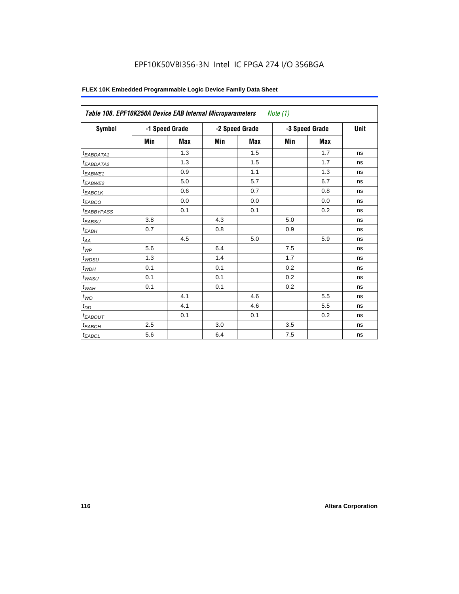| <b>Symbol</b>                |     | -1 Speed Grade |     | -2 Speed Grade | -3 Speed Grade | Unit       |    |
|------------------------------|-----|----------------|-----|----------------|----------------|------------|----|
|                              | Min | <b>Max</b>     | Min | <b>Max</b>     | Min            | <b>Max</b> |    |
| <sup>t</sup> EABDATA1        |     | 1.3            |     | 1.5            |                | 1.7        | ns |
| <sup>t</sup> EABDATA2        |     | 1.3            |     | 1.5            |                | 1.7        | ns |
| <sup>t</sup> EABWE1          |     | 0.9            |     | 1.1            |                | 1.3        | ns |
| t <sub>EABWE2</sub>          |     | 5.0            |     | 5.7            |                | 6.7        | ns |
| <sup>t</sup> EABCLK          |     | 0.6            |     | 0.7            |                | 0.8        | ns |
| <sup>t</sup> EABCO           |     | 0.0            |     | 0.0            |                | 0.0        | ns |
| <sup>t</sup> EABBYPASS       |     | 0.1            |     | 0.1            |                | 0.2        | ns |
| <sup>t</sup> EABSU           | 3.8 |                | 4.3 |                | 5.0            |            | ns |
| t <sub>EABH</sub>            | 0.7 |                | 0.8 |                | 0.9            |            | ns |
| $t_{\mathcal{A}\mathcal{A}}$ |     | 4.5            |     | 5.0            |                | 5.9        | ns |
| $t_{\mathcal{WP}}$           | 5.6 |                | 6.4 |                | 7.5            |            | ns |
| t <sub>WDSU</sub>            | 1.3 |                | 1.4 |                | 1.7            |            | ns |
| $t_{WDH}$                    | 0.1 |                | 0.1 |                | 0.2            |            | ns |
| t <sub>WASU</sub>            | 0.1 |                | 0.1 |                | 0.2            |            | ns |
| $t_{WAH}$                    | 0.1 |                | 0.1 |                | 0.2            |            | ns |
| $t_{WO}$                     |     | 4.1            |     | 4.6            |                | 5.5        | ns |
| $t_{DD}$                     |     | 4.1            |     | 4.6            |                | 5.5        | ns |
| <sup>t</sup> EABOUT          |     | 0.1            |     | 0.1            |                | 0.2        | ns |
| $t_{EABCH}$                  | 2.5 |                | 3.0 |                | 3.5            |            | ns |
| $t_{EABCL}$                  | 5.6 |                | 6.4 |                | 7.5            |            | ns |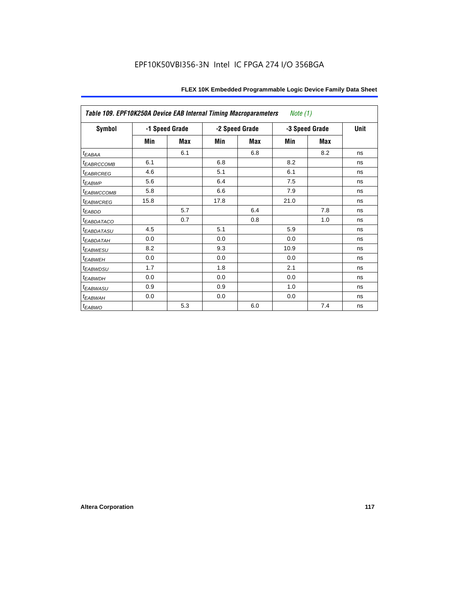|                            | Table 109. EPF10K250A Device EAB Internal Timing Macroparameters<br>Note (1) |                |                |     |                |     |      |
|----------------------------|------------------------------------------------------------------------------|----------------|----------------|-----|----------------|-----|------|
| Symbol                     |                                                                              | -1 Speed Grade | -2 Speed Grade |     | -3 Speed Grade |     | Unit |
|                            | Min                                                                          | Max            | Min            | Max | Min            | Max |      |
| $t_{EABA}$                 |                                                                              | 6.1            |                | 6.8 |                | 8.2 | ns   |
| <i><b>EABRCCOMB</b></i>    | 6.1                                                                          |                | 6.8            |     | 8.2            |     | ns   |
| <sup>t</sup> EABRCREG      | 4.6                                                                          |                | 5.1            |     | 6.1            |     | ns   |
| t <sub>EABWP</sub>         | 5.6                                                                          |                | 6.4            |     | 7.5            |     | ns   |
| <sup>t</sup> EABWCCOMB     | 5.8                                                                          |                | 6.6            |     | 7.9            |     | ns   |
| <b><i>EABWCREG</i></b>     | 15.8                                                                         |                | 17.8           |     | 21.0           |     | ns   |
| $t_{EABDD}$                |                                                                              | 5.7            |                | 6.4 |                | 7.8 | ns   |
| <i>EABDATACO</i>           |                                                                              | 0.7            |                | 0.8 |                | 1.0 | ns   |
| <sup>t</sup> EABDATASU     | 4.5                                                                          |                | 5.1            |     | 5.9            |     | ns   |
| <sup>t</sup> EABDATAH      | 0.0                                                                          |                | 0.0            |     | 0.0            |     | ns   |
| <sup>t</sup> EABWESU       | 8.2                                                                          |                | 9.3            |     | 10.9           |     | ns   |
| t <sub>EABWEH</sub>        | 0.0                                                                          |                | 0.0            |     | 0.0            |     | ns   |
| <i>t<sub>EABWDSU</sub></i> | 1.7                                                                          |                | 1.8            |     | 2.1            |     | ns   |
| t <sub>EABWDH</sub>        | 0.0                                                                          |                | 0.0            |     | 0.0            |     | ns   |
| <sup>t</sup> EABWASU       | 0.9                                                                          |                | 0.9            |     | 1.0            |     | ns   |
| <sup>t</sup> EABWAH        | 0.0                                                                          |                | 0.0            |     | 0.0            |     | ns   |
| t <sub>EABWO</sub>         |                                                                              | 5.3            |                | 6.0 |                | 7.4 | ns   |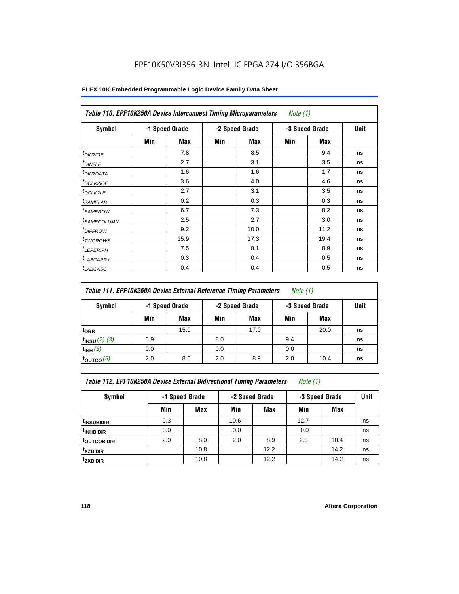| Symbol                  |     | -1 Speed Grade |     | -2 Speed Grade |     | -3 Speed Grade | Unit |
|-------------------------|-----|----------------|-----|----------------|-----|----------------|------|
|                         | Min | Max            | Min | Max            | Min | Max            |      |
| $t_{DINZIOE}$           |     | 7.8            |     | 8.5            |     | 9.4            | ns   |
| t <sub>DIN2LE</sub>     |     | 2.7            |     | 3.1            |     | 3.5            | ns   |
| <sup>t</sup> DIN2DATA   |     | 1.6            |     | 1.6            |     | 1.7            | ns   |
| <sup>t</sup> DCLK2IOE   |     | 3.6            |     | 4.0            |     | 4.6            | ns   |
| <sup>t</sup> DCLK2LE    |     | 2.7            |     | 3.1            |     | 3.5            | ns   |
| <sup>t</sup> SAMELAB    |     | 0.2            |     | 0.3            |     | 0.3            | ns   |
| <sup>t</sup> SAMEROW    |     | 6.7            |     | 7.3            |     | 8.2            | ns   |
| <sup>t</sup> SAMECOLUMN |     | 2.5            |     | 2.7            |     | 3.0            | ns   |
| <i><b>IDIFFROW</b></i>  |     | 9.2            |     | 10.0           |     | 11.2           | ns   |
| <sup>t</sup> TWOROWS    |     | 15.9           |     | 17.3           |     | 19.4           | ns   |
| <sup>t</sup> LEPERIPH   |     | 7.5            |     | 8.1            |     | 8.9            | ns   |
| <sup>I</sup> LABCARRY   |     | 0.3            |     | 0.4            |     | 0.5            | ns   |
| <sup>t</sup> LABCASC    |     | 0.4            |     | 0.4            |     | 0.5            | ns   |

| Table 111. EPF10K250A Device External Reference Timing Parameters<br><i>Note</i> $(1)$ |                                                    |      |     |      |     |            |             |  |  |
|----------------------------------------------------------------------------------------|----------------------------------------------------|------|-----|------|-----|------------|-------------|--|--|
| Symbol                                                                                 | -2 Speed Grade<br>-3 Speed Grade<br>-1 Speed Grade |      |     |      |     |            | <b>Unit</b> |  |  |
|                                                                                        | Min                                                | Max  | Min | Max  | Min | <b>Max</b> |             |  |  |
| <sup>t</sup> DRR                                                                       |                                                    | 15.0 |     | 17.0 |     | 20.0       | ns          |  |  |
| $t_{INSU} (2) (3)$                                                                     | 6.9                                                |      | 8.0 |      | 9.4 |            | ns          |  |  |
| $t_{INH}$ (3)                                                                          | 0.0                                                |      | 0.0 |      | 0.0 |            | ns          |  |  |
| $t_{\rm OUTCO}$ (3)                                                                    | 2.0                                                | 8.0  | 2.0 | 8.9  | 2.0 | 10.4       | ns          |  |  |

| Table 112. EPF10K250A Device External Bidirectional Timing Parameters |  | Note (1) |
|-----------------------------------------------------------------------|--|----------|
|-----------------------------------------------------------------------|--|----------|

| Symbol                  | -1 Speed Grade |      |      | -2 Speed Grade | -3 Speed Grade | <b>Unit</b> |    |
|-------------------------|----------------|------|------|----------------|----------------|-------------|----|
|                         | Min            | Max  | Min  | <b>Max</b>     | Min            | <b>Max</b>  |    |
| <sup>t</sup> INSUBIDIR  | 9.3            |      | 10.6 |                | 12.7           |             | ns |
| <sup>t</sup> INHBIDIR   | 0.0            |      | 0.0  |                | 0.0            |             | ns |
| <sup>t</sup> OUTCOBIDIR | 2.0            | 8.0  | 2.0  | 8.9            | 2.0            | 10.4        | ns |
| <sup>t</sup> xzbidir    |                | 10.8 |      | 12.2           |                | 14.2        | ns |
| <sup>t</sup> zxbidir    |                | 10.8 |      | 12.2           |                | 14.2        | ns |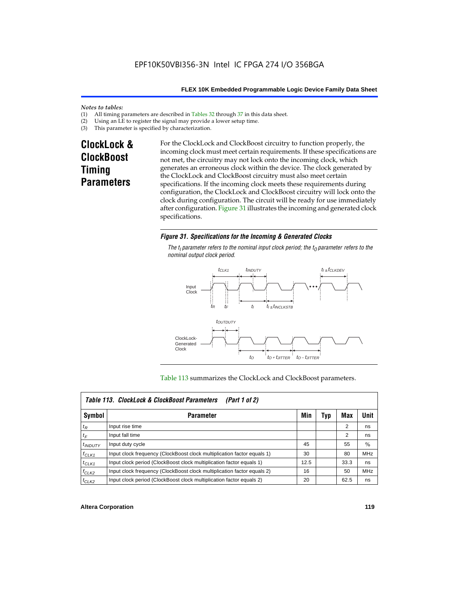#### *Notes to tables:*

- (1) All timing parameters are described in Tables  $32$  through  $37$  in this data sheet.<br>(2) Using an LE to register the signal may provide a lower setup time.
- (2) Using an LE to register the signal may provide a lower setup time.<br>(3) This parameter is specified by characterization.
- This parameter is specified by characterization.

# **ClockLock & ClockBoost Timing Parameters**

For the ClockLock and ClockBoost circuitry to function properly, the incoming clock must meet certain requirements. If these specifications are not met, the circuitry may not lock onto the incoming clock, which generates an erroneous clock within the device. The clock generated by the ClockLock and ClockBoost circuitry must also meet certain specifications. If the incoming clock meets these requirements during configuration, the ClockLock and ClockBoost circuitry will lock onto the clock during configuration. The circuit will be ready for use immediately after configuration. Figure 31 illustrates the incoming and generated clock specifications.

### *Figure 31. Specifications for the Incoming & Generated Clocks*

The  $t_i$  parameter refers to the nominal input clock period; the  $t_0$  parameter refers to the *nominal output clock period.*



#### Table 113 summarizes the ClockLock and ClockBoost parameters.

|              | Table 113. ClockLock & ClockBoost Parameters<br>(Part 1 of 2)           |      |     |      |            |  |  |  |  |
|--------------|-------------------------------------------------------------------------|------|-----|------|------------|--|--|--|--|
| Symbol       | <b>Parameter</b>                                                        | Min  | Typ | Max  | Unit       |  |  |  |  |
| $t_{R}$      | Input rise time                                                         |      |     | 2    | ns         |  |  |  |  |
| $t_F$        | Input fall time                                                         |      |     | 2    | ns         |  |  |  |  |
| $t_{INDUTY}$ | Input duty cycle                                                        | 45   |     | 55   | %          |  |  |  |  |
| $f_{CLK1}$   | Input clock frequency (ClockBoost clock multiplication factor equals 1) | 30   |     | 80   | MHz        |  |  |  |  |
| $t$ CLK1     | Input clock period (ClockBoost clock multiplication factor equals 1)    | 12.5 |     | 33.3 | ns         |  |  |  |  |
| $f_{CLK2}$   | Input clock frequency (ClockBoost clock multiplication factor equals 2) | 16   |     | 50   | <b>MHz</b> |  |  |  |  |
| $t_{CLK2}$   | Input clock period (ClockBoost clock multiplication factor equals 2)    | 20   |     | 62.5 | ns         |  |  |  |  |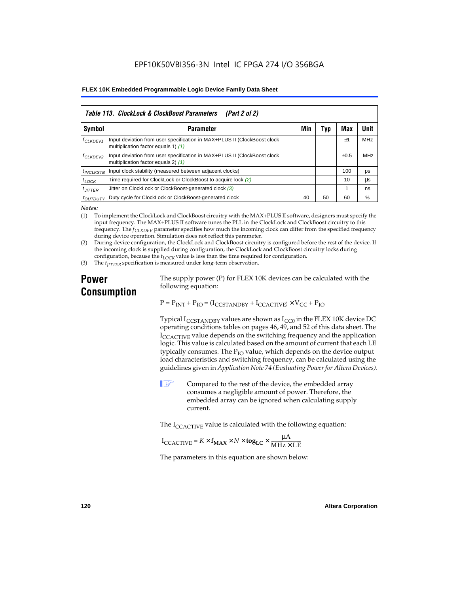|                      | Table 113. ClockLock & ClockBoost Parameters<br>(Part 2 of 2)                                                   |     |     |           |            |  |  |  |  |  |
|----------------------|-----------------------------------------------------------------------------------------------------------------|-----|-----|-----------|------------|--|--|--|--|--|
| Symbol               | <b>Parameter</b>                                                                                                | Min | Typ | Max       | Unit       |  |  |  |  |  |
| f <sub>CLKDEV1</sub> | Input deviation from user specification in MAX+PLUS II (ClockBoost clock<br>multiplication factor equals 1) (1) |     |     | $\pm 1$   | <b>MHz</b> |  |  |  |  |  |
| <sup>f</sup> CLKDEV2 | Input deviation from user specification in MAX+PLUS II (ClockBoost clock<br>multiplication factor equals 2) (1) |     |     | $\pm 0.5$ | MHz        |  |  |  |  |  |
| $t_{INCLKSTB}$       | Input clock stability (measured between adjacent clocks)                                                        |     |     | 100       | ps         |  |  |  |  |  |
| $t_{LOCK}$           | Time required for ClockLock or ClockBoost to acquire lock (2)                                                   |     |     | 10        | иs         |  |  |  |  |  |
| $t_{JITTER}$         | Jitter on ClockLock or ClockBoost-generated clock (3)                                                           |     |     |           | ns         |  |  |  |  |  |
| <i>toutbuty</i>      | Duty cycle for ClockLock or ClockBoost-generated clock                                                          | 40  | 50  | 60        | $\%$       |  |  |  |  |  |

*Notes:*

(1) To implement the ClockLock and ClockBoost circuitry with the MAX+PLUS II software, designers must specify the input frequency. The MAX+PLUS II software tunes the PLL in the ClockLock and ClockBoost circuitry to this frequency. The *fCLKDEV* parameter specifies how much the incoming clock can differ from the specified frequency during device operation. Simulation does not reflect this parameter.

(2) During device configuration, the ClockLock and ClockBoost circuitry is configured before the rest of the device. If the incoming clock is supplied during configuration, the ClockLock and ClockBoost circuitry locks during configuration, because the  $t_{LOCK}$  value is less than the time required for configuration.

(3) The *t<sub>IITTER</sub>* specification is measured under long-term observation.

# **Power Consumption**

The supply power (P) for FLEX 10K devices can be calculated with the following equation:

 $P = P_{INT} + P_{IO} = (I_{CCSTANDBY} + I_{CCACTIVE}) \times V_{CC} + P_{IO}$ 

Typical  $I_{CCSTANDBY}$  values are shown as  $I_{CC0}$  in the FLEX 10K device DC operating conditions tables on pages 46, 49, and 52 of this data sheet. The  $I_{\text{CCACTIVE}}$  value depends on the switching frequency and the application logic. This value is calculated based on the amount of current that each LE typically consumes. The  $P_{IO}$  value, which depends on the device output load characteristics and switching frequency, can be calculated using the guidelines given in *Application Note 74 (Evaluating Power for Altera Devices)*.

 $\Box$  Compared to the rest of the device, the embedded array consumes a negligible amount of power. Therefore, the embedded array can be ignored when calculating supply current.

The  $I_{\text{CCACTIVE}}$  value is calculated with the following equation:

$$
I_{\text{CCACTIVE}} = K \times f_{\text{MAX}} \times N \times \text{tog}_{\text{LC}} \times \frac{\mu A}{\text{MHz} \times \text{LE}}
$$

The parameters in this equation are shown below: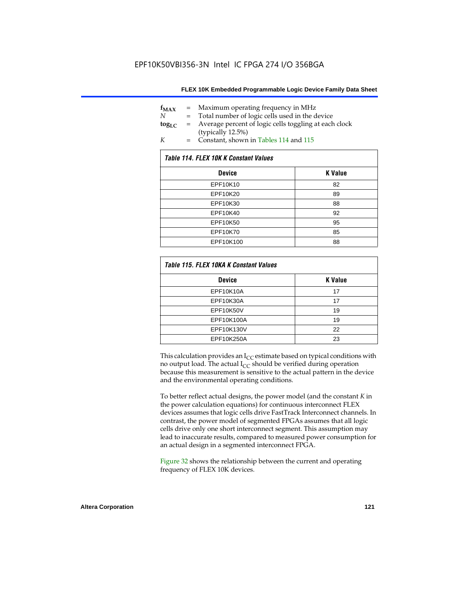| $f_{MAX}$   | $=$ | Maximum operating frequency in MHz                    |
|-------------|-----|-------------------------------------------------------|
| N           |     | Total number of logic cells used in the device        |
| $\log_{LC}$ | $=$ | Average percent of logic cells toggling at each clock |
|             |     | (typically 12.5%)                                     |
| K           | $=$ | Constant, shown in Tables 114 and 115                 |

| Table 114. FLEX 10K K Constant Values |                |  |  |  |  |
|---------------------------------------|----------------|--|--|--|--|
| <b>Device</b>                         | <b>K</b> Value |  |  |  |  |
| EPF10K10                              | 82             |  |  |  |  |
| EPF10K20                              | 89             |  |  |  |  |
| EPF10K30                              | 88             |  |  |  |  |
| EPF10K40                              | 92             |  |  |  |  |
| EPF10K50                              | 95             |  |  |  |  |
| EPF10K70                              | 85             |  |  |  |  |
| EPF10K100                             | 88             |  |  |  |  |

| Table 115. FLEX 10KA K Constant Values |                |
|----------------------------------------|----------------|
| <b>Device</b>                          | <b>K</b> Value |
| <b>EPF10K10A</b>                       | 17             |
| EPF10K30A                              | 17             |
| EPF10K50V                              | 19             |
| EPF10K100A                             | 19             |
| EPF10K130V                             | 22             |
| EPF10K250A                             | 23             |

This calculation provides an  $I_{CC}$  estimate based on typical conditions with no output load. The actual  $I_{CC}$  should be verified during operation because this measurement is sensitive to the actual pattern in the device and the environmental operating conditions.

To better reflect actual designs, the power model (and the constant *K* in the power calculation equations) for continuous interconnect FLEX devices assumes that logic cells drive FastTrack Interconnect channels. In contrast, the power model of segmented FPGAs assumes that all logic cells drive only one short interconnect segment. This assumption may lead to inaccurate results, compared to measured power consumption for an actual design in a segmented interconnect FPGA.

Figure 32 shows the relationship between the current and operating frequency of FLEX 10K devices.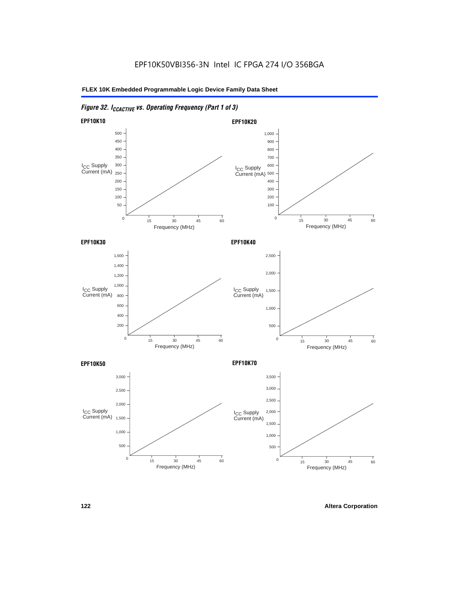# *Figure 32. ICCACTIVE vs. Operating Frequency (Part 1 of 3)*

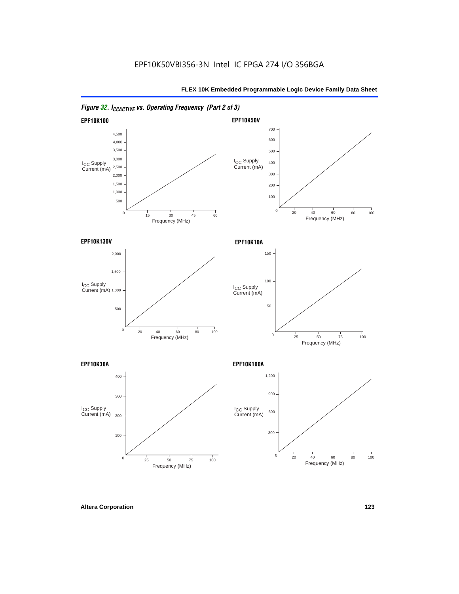

# *Figure 32. ICCACTIVE vs. Operating Frequency (Part 2 of 3)*

**Altera Corporation 123**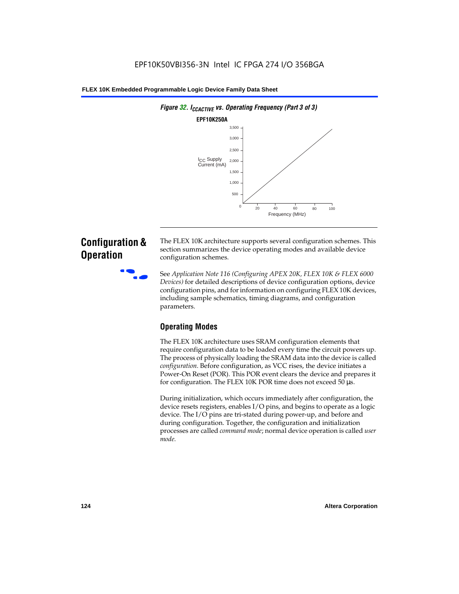

# **Configuration & Operation**

The FLEX 10K architecture supports several configuration schemes. This section summarizes the device operating modes and available device configuration schemes.

f See *Application Note 116 (Configuring APEX 20K, FLEX 10K & FLEX 6000 Devices)* for detailed descriptions of device configuration options, device configuration pins, and for information on configuring FLEX 10K devices, including sample schematics, timing diagrams, and configuration parameters.

# **Operating Modes**

The FLEX 10K architecture uses SRAM configuration elements that require configuration data to be loaded every time the circuit powers up. The process of physically loading the SRAM data into the device is called *configuration*. Before configuration, as VCC rises, the device initiates a Power-On Reset (POR). This POR event clears the device and prepares it for configuration. The FLEX 10K POR time does not exceed 50 µs.

During initialization, which occurs immediately after configuration, the device resets registers, enables I/O pins, and begins to operate as a logic device. The I/O pins are tri-stated during power-up, and before and during configuration. Together, the configuration and initialization processes are called *command mode*; normal device operation is called *user mode*.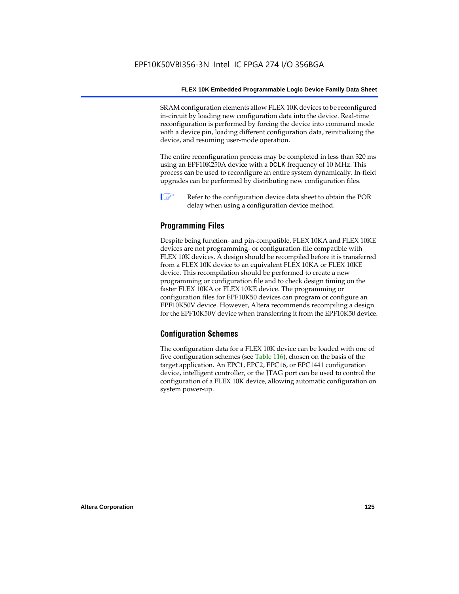SRAM configuration elements allow FLEX 10K devices to be reconfigured in-circuit by loading new configuration data into the device. Real-time reconfiguration is performed by forcing the device into command mode with a device pin, loading different configuration data, reinitializing the device, and resuming user-mode operation.

The entire reconfiguration process may be completed in less than 320 ms using an EPF10K250A device with a DCLK frequency of 10 MHz. This process can be used to reconfigure an entire system dynamically. In-field upgrades can be performed by distributing new configuration files.

 $\Box$  Refer to the configuration device data sheet to obtain the POR delay when using a configuration device method.

## **Programming Files**

Despite being function- and pin-compatible, FLEX 10KA and FLEX 10KE devices are not programming- or configuration-file compatible with FLEX 10K devices. A design should be recompiled before it is transferred from a FLEX 10K device to an equivalent FLEX 10KA or FLEX 10KE device. This recompilation should be performed to create a new programming or configuration file and to check design timing on the faster FLEX 10KA or FLEX 10KE device. The programming or configuration files for EPF10K50 devices can program or configure an EPF10K50V device. However, Altera recommends recompiling a design for the EPF10K50V device when transferring it from the EPF10K50 device.

### **Configuration Schemes**

The configuration data for a FLEX 10K device can be loaded with one of five configuration schemes (see Table 116), chosen on the basis of the target application. An EPC1, EPC2, EPC16, or EPC1441 configuration device, intelligent controller, or the JTAG port can be used to control the configuration of a FLEX 10K device, allowing automatic configuration on system power-up.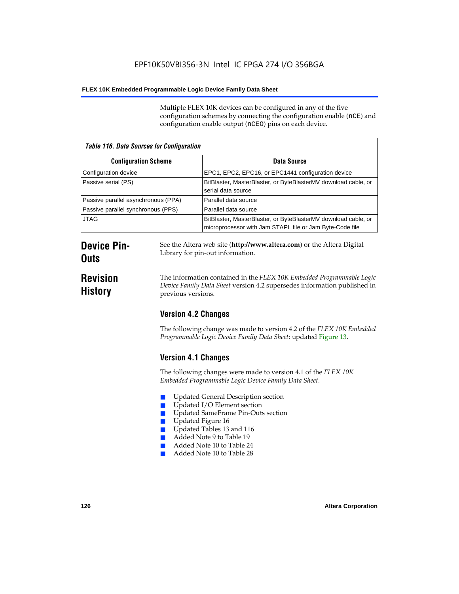Multiple FLEX 10K devices can be configured in any of the five configuration schemes by connecting the configuration enable (nCE) and configuration enable output (nCEO) pins on each device.

| <b>Table 116. Data Sources for Configuration</b> |                                                                                                                            |  |
|--------------------------------------------------|----------------------------------------------------------------------------------------------------------------------------|--|
| <b>Configuration Scheme</b>                      | Data Source                                                                                                                |  |
| Configuration device                             | EPC1, EPC2, EPC16, or EPC1441 configuration device                                                                         |  |
| Passive serial (PS)                              | BitBlaster, MasterBlaster, or ByteBlasterMV download cable, or<br>serial data source                                       |  |
| Passive parallel asynchronous (PPA)              | Parallel data source                                                                                                       |  |
| Passive parallel synchronous (PPS)               | Parallel data source                                                                                                       |  |
| <b>JTAG</b>                                      | BitBlaster, MasterBlaster, or ByteBlasterMV download cable, or<br>microprocessor with Jam STAPL file or Jam Byte-Code file |  |

# **Device Pin-Outs**

# **Revision History**

The information contained in the *FLEX 10K Embedded Programmable Logic* 

See the Altera web site (**http://www.altera.com**) or the Altera Digital

*Device Family Data Sheet* version 4.2 supersedes information published in previous versions.

# **Version 4.2 Changes**

Library for pin-out information.

The following change was made to version 4.2 of the *FLEX 10K Embedded Programmable Logic Device Family Data Sheet*: updated Figure 13.

# **Version 4.1 Changes**

The following changes were made to version 4.1 of the *FLEX 10K Embedded Programmable Logic Device Family Data Sheet*.

- Updated General Description section
- Updated I/O Element section
- Updated SameFrame Pin-Outs section
- Updated Figure 16
- Updated Tables 13 and 116
- Added Note 9 to Table 19
- Added Note 10 to Table 24
- Added Note 10 to Table 28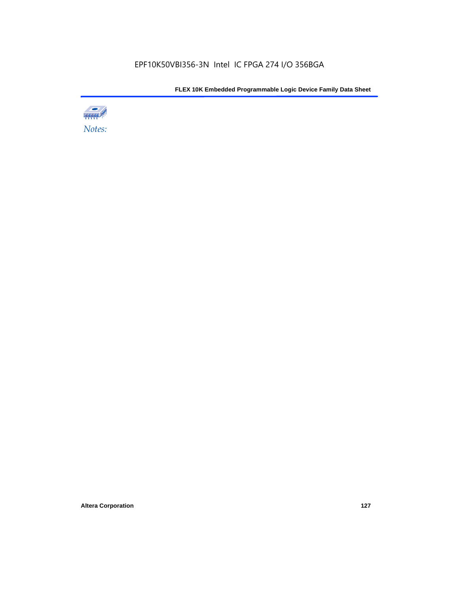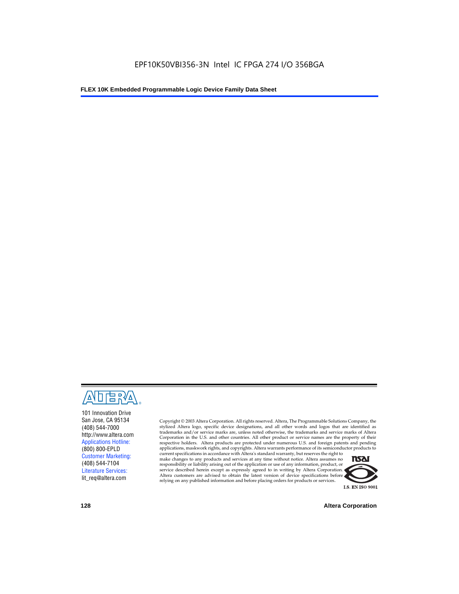

101 Innovation Drive San Jose, CA 95134 (408) 544-7000 http://www.altera.com Applications Hotline: (800) 800-EPLD Customer Marketing: (408) 544-7104 Literature Services: lit\_req@altera.com

Copyright © 2003 Altera Corporation. All rights reserved. Altera, The Programmable Solutions Company, the stylized Altera logo, specific device designations, and all other words and logos that are identified as trademarks and/or service marks are, unless noted otherwise, the trademarks and service marks of Altera Corporation in the U.S. and other countries. All other product or service names are the property of their respective holders. Altera products are protected under numerous U.S. and foreign patents and pending applications, maskwork rights, and copyrights. Altera warrants performance of its semiconductor products to

current specifications in accordance with Altera's standard warranty, but reserves the right to make changes to any products and services at any time without notice. Altera assumes no responsibility or liability arising out of the application or use of any information, product, or service described herein except as expressly agreed to in writing by Altera Corporation. Altera customers are advised to obtain the latest version of device specifications before relying on any published information and before placing orders for products or services.



**128 Altera Corporation**